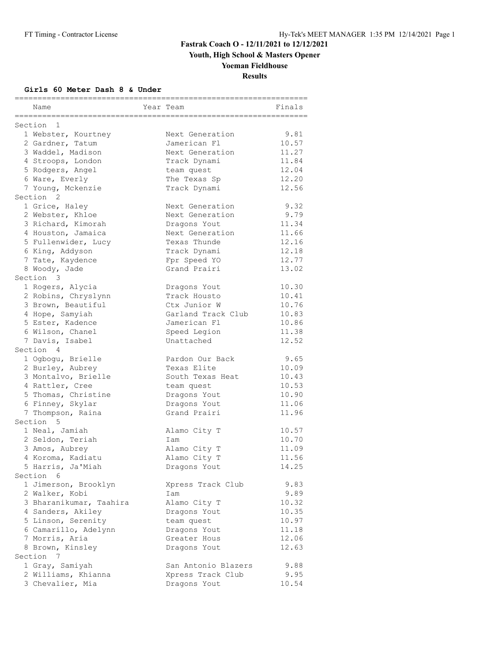**Youth, High School & Masters Opener**

# **Yoeman Fieldhouse**

**Results**

#### **Girls 60 Meter Dash 8 & Under**

| Name                     | Year Team           | Finals |
|--------------------------|---------------------|--------|
| ===========<br>Section 1 |                     |        |
| 1 Webster, Kourtney      | Next Generation     | 9.81   |
| 2 Gardner, Tatum         | Jamerican Fl        | 10.57  |
| 3 Waddel, Madison        | Next Generation     | 11.27  |
| 4 Stroops, London        | Track Dynami        | 11.84  |
| 5 Rodgers, Angel         | team quest          | 12.04  |
| 6 Ware, Everly           | The Texas Sp        | 12.20  |
| 7 Young, Mckenzie        | Track Dynami        | 12.56  |
| Section <sub>2</sub>     |                     |        |
| 1 Grice, Haley           | Next Generation     | 9.32   |
| 2 Webster, Khloe         | Next Generation     | 9.79   |
| 3 Richard, Kimorah       | Dragons Yout        | 11.34  |
| 4 Houston, Jamaica       | Next Generation     | 11.66  |
| 5 Fullenwider, Lucy      | Texas Thunde        | 12.16  |
| 6 King, Addyson          | Track Dynami        | 12.18  |
| 7 Tate, Kaydence         | Fpr Speed YO        | 12.77  |
| 8 Woody, Jade            | Grand Prairi        | 13.02  |
| Section 3                |                     |        |
| 1 Rogers, Alycia         | Dragons Yout        | 10.30  |
| 2 Robins, Chryslynn      | Track Housto        | 10.41  |
| 3 Brown, Beautiful       | Ctx Junior W        | 10.76  |
| 4 Hope, Samyiah          | Garland Track Club  | 10.83  |
| 5 Ester, Kadence         | Jamerican Fl        | 10.86  |
| 6 Wilson, Chanel         | Speed Legion        | 11.38  |
| 7 Davis, Isabel          | Unattached          | 12.52  |
| Section 4                |                     |        |
| 1 Ogbogu, Brielle        | Pardon Our Back     | 9.65   |
| 2 Burley, Aubrey         | Texas Elite         | 10.09  |
| 3 Montalvo, Brielle      | South Texas Heat    | 10.43  |
| 4 Rattler, Cree          | team quest          | 10.53  |
| 5 Thomas, Christine      | Dragons Yout        | 10.90  |
| 6 Finney, Skylar         | Dragons Yout        | 11.06  |
| 7 Thompson, Raina        | Grand Prairi        | 11.96  |
| Section 5                |                     |        |
| 1 Neal, Jamiah           | Alamo City T        | 10.57  |
| 2 Seldon, Teriah         | Iam                 | 10.70  |
| 3 Amos, Aubrey           | Alamo City T        | 11.09  |
| 4 Koroma, Kadiatu        | Alamo City T        | 11.56  |
| 5 Harris, Ja'Miah        | Dragons Yout        | 14.25  |
| Section<br>- 6           |                     |        |
| 1 Jimerson, Brooklyn     | Xpress Track Club   | 9.83   |
| 2 Walker, Kobi           | Iam                 | 9.89   |
| 3 Bharanikumar, Taahira  | Alamo City T        | 10.32  |
| 4 Sanders, Akiley        | Dragons Yout        | 10.35  |
| 5 Linson, Serenity       | team quest          | 10.97  |
| 6 Camarillo, Adelynn     | Dragons Yout        | 11.18  |
| 7 Morris, Aria           | Greater Hous        | 12.06  |
| 8 Brown, Kinsley         | Dragons Yout        | 12.63  |
| Section 7                |                     |        |
| 1 Gray, Samiyah          | San Antonio Blazers | 9.88   |
| 2 Williams, Khianna      | Xpress Track Club   | 9.95   |
| 3 Chevalier, Mia         | Dragons Yout        | 10.54  |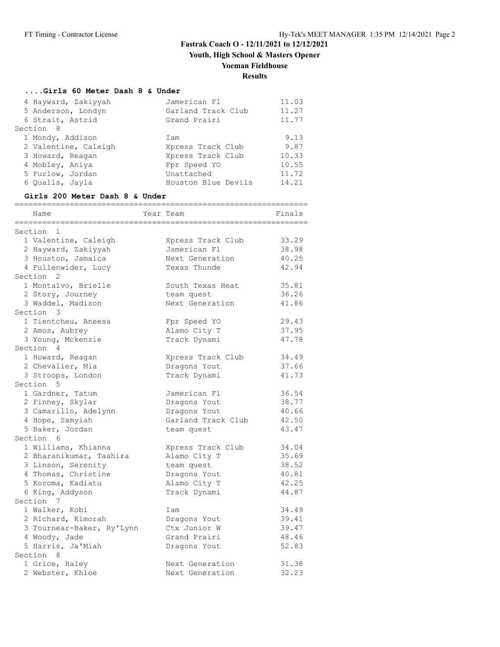**Youth, High School & Masters Opener**

# **Yoeman Fieldhouse**

### **Results**

#### **....Girls 60 Meter Dash 8 & Under**

| 4 Hayward, Zakiyyah  | Jamerican Fl        | 11.03 |
|----------------------|---------------------|-------|
| 5 Anderson, Londyn   | Garland Track Club  | 11.27 |
| 6 Strait, Astrid     | Grand Prairi        | 11.77 |
| Section 8            |                     |       |
| 1 Mondy, Addison     | Iam                 | 9.13  |
| 2 Valentine, Caleigh | Xpress Track Club   | 9.87  |
| 3 Howard, Reagan     | Xpress Track Club   | 10.33 |
| 4 Mobley, Aniya      | Fpr Speed YO        | 10.55 |
| 5 Furlow, Jordan     | Unattached          | 11.72 |
| 6 Qualls, Jayla      | Houston Blue Devils | 14.21 |
|                      |                     |       |

#### **Girls 200 Meter Dash 8 & Under**

| Name<br>_______________________                                                                                                     | Year Team<br>--------------------------------------                                             | Finals                                             |
|-------------------------------------------------------------------------------------------------------------------------------------|-------------------------------------------------------------------------------------------------|----------------------------------------------------|
| $\mathbf{1}$<br>Section                                                                                                             |                                                                                                 |                                                    |
| 1 Valentine, Caleigh<br>2 Hayward, Zakiyyah<br>3 Houston, Jamaica                                                                   | Xpress Track Club<br>Jamerican Fl<br>Next Generation                                            | 33.29<br>38.98<br>40.25                            |
| 4 Fullenwider, Lucy<br>Section <sub>2</sub>                                                                                         | Texas Thunde                                                                                    | 42.94                                              |
| 1 Montalvo, Brielle<br>2 Story, Journey<br>3 Waddel, Madison                                                                        | South Texas Heat<br>team quest<br>Next Generation                                               | 35.81<br>36.26<br>41.86                            |
| Section 3<br>1 Tientcheu, Aneesa                                                                                                    | Fpr Speed YO                                                                                    | 29.43                                              |
| 2 Amos, Aubrey<br>3 Young, Mckenzie                                                                                                 | Alamo City T<br>Track Dynami                                                                    | 37.95<br>47.78                                     |
| Section 4                                                                                                                           |                                                                                                 |                                                    |
| 1 Howard, Reagan<br>2 Chevalier, Mia<br>3 Stroops, London                                                                           | Xpress Track Club<br>Dragons Yout<br>Track Dynami                                               | 34.49<br>37.66<br>41.73                            |
| Section 5                                                                                                                           |                                                                                                 |                                                    |
| 1 Gardner, Tatum<br>2 Finney, Skylar<br>3 Camarillo, Adelynn<br>4 Hope, Samyiah<br>5 Baker, Jordan                                  | Jamerican Fl<br>Dragons Yout<br>Dragons Yout<br>Garland Track Club<br>team quest                | 36.54<br>38.77<br>40.66<br>42.50<br>43.47          |
| Section 6                                                                                                                           |                                                                                                 |                                                    |
| 1 Williams, Khianna<br>2 Bharanikumar, Taahira<br>3 Linson, Serenity<br>4 Thomas, Christine<br>5 Koroma, Kadiatu<br>6 King, Addyson | Xpress Track Club<br>Alamo City T<br>team quest<br>Dragons Yout<br>Alamo City T<br>Track Dynami | 34.04<br>35.69<br>38.52<br>40.81<br>42.25<br>44.87 |
| Section 7                                                                                                                           |                                                                                                 |                                                    |
| 1 Walker, Kobi<br>2 Richard, Kimorah<br>3 Tournear-Baker, Ry'Lynn<br>4 Woody, Jade<br>5 Harris, Ja'Miah                             | Iam<br>Dragons Yout<br>Ctx Junior W<br>Grand Prairi<br>Dragons Yout                             | 34.49<br>39.41<br>39.47<br>48.46<br>52.83          |
| Section 8                                                                                                                           |                                                                                                 |                                                    |
| 1 Grice, Haley<br>2 Webster, Khloe                                                                                                  | Next Generation<br>Next Generation                                                              | 31.38<br>32.23                                     |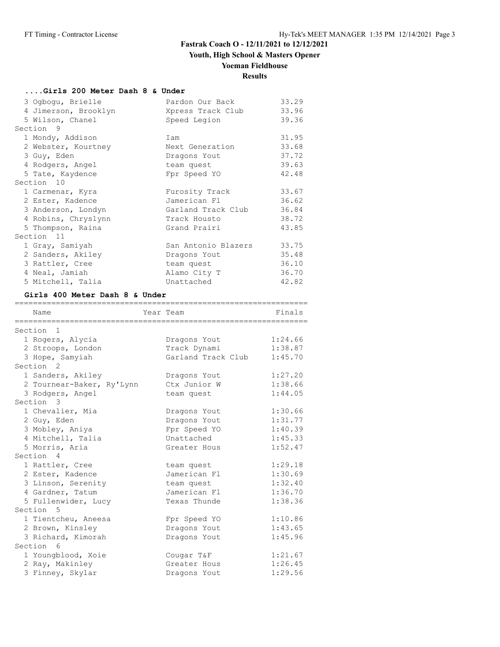# **Youth, High School & Masters Opener**

# **Yoeman Fieldhouse**

# **Results**

#### **....Girls 200 Meter Dash 8 & Under**

| 3 Ogbogu, Brielle    | Pardon Our Back     | 33.29 |
|----------------------|---------------------|-------|
| 4 Jimerson, Brooklyn | Xpress Track Club   | 33.96 |
| 5 Wilson, Chanel     | Speed Legion        | 39.36 |
| Section 9            |                     |       |
| 1 Mondy, Addison     | Iam                 | 31.95 |
| 2 Webster, Kourtney  | Next Generation     | 33.68 |
| 3 Guy, Eden          | Dragons Yout        | 37.72 |
| 4 Rodgers, Angel     | team quest          | 39.63 |
| 5 Tate, Kaydence     | Fpr Speed YO        | 42.48 |
| Section 10           |                     |       |
| 1 Carmenar, Kyra     | Furosity Track      | 33.67 |
| 2 Ester, Kadence     | Jamerican Fl        | 36.62 |
| 3 Anderson, Londyn   | Garland Track Club  | 36.84 |
| 4 Robins, Chryslynn  | Track Housto        | 38.72 |
| 5 Thompson, Raina    | Grand Prairi        | 43.85 |
| Section 11           |                     |       |
| 1 Gray, Samiyah      | San Antonio Blazers | 33.75 |
| 2 Sanders, Akiley    | Dragons Yout        | 35.48 |
| 3 Rattler, Cree      | team quest          | 36.10 |
| 4 Neal, Jamiah       | Alamo City T        | 36.70 |
| 5 Mitchell, Talia    | Unattached          | 42.82 |

#### **Girls 400 Meter Dash 8 & Under**

| Name                                          | Year Team          | Finals  |
|-----------------------------------------------|--------------------|---------|
| Section 1                                     |                    |         |
| 1 Rogers, Alycia                              | Dragons Yout       | 1:24.66 |
| 2 Stroops, London                             | Track Dynami       | 1:38.87 |
| 3 Hope, Samyiah                               | Garland Track Club | 1:45.70 |
| Section <sub>2</sub>                          |                    |         |
| 1 Sanders, Akiley                             | Dragons Yout       | 1:27.20 |
|                                               | Ctx Junior W       | 1:38.66 |
| 2 Tournear-Baker, Ry'Lynn<br>3 Rodgers, Angel |                    | 1:44.05 |
| Section 3                                     | team quest         |         |
|                                               |                    |         |
| 1 Chevalier, Mia                              | Dragons Yout       | 1:30.66 |
| 2 Guy, Eden                                   | Dragons Yout       | 1:31.77 |
| 3 Mobley, Aniya                               | Fpr Speed YO       | 1:40.39 |
| 4 Mitchell, Talia                             | Unattached         | 1:45.33 |
| 5 Morris, Aria                                | Greater Hous       | 1:52.47 |
| Section 4                                     |                    |         |
| 1 Rattler, Cree                               | team quest         | 1:29.18 |
| 2 Ester, Kadence                              | Jamerican Fl       | 1:30.69 |
| 3 Linson, Serenity                            | team quest         | 1:32.40 |
| 4 Gardner, Tatum                              | Jamerican Fl       | 1:36.70 |
| 5 Fullenwider, Lucy                           | Texas Thunde       | 1:38.36 |
| Section 5                                     |                    |         |
| 1 Tientcheu, Aneesa                           | Fpr Speed YO       | 1:10.86 |
| 2 Brown, Kinsley                              | Dragons Yout       | 1:43.65 |
| 3 Richard, Kimorah                            | Dragons Yout       | 1:45.96 |
| Section 6                                     |                    |         |
| 1 Youngblood, Xoie                            | Cougar T&F         | 1:21.67 |
| 2 Ray, Makinley                               | Greater Hous       | 1:26.45 |
| 3 Finney, Skylar                              | Dragons Yout       | 1:29.56 |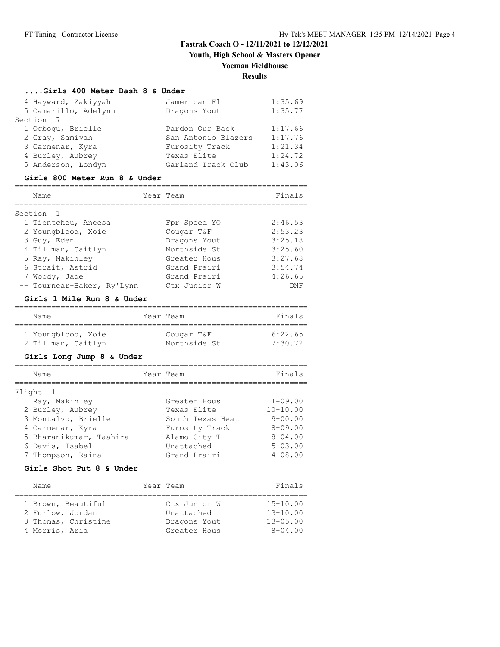**Youth, High School & Masters Opener**

# **Yoeman Fieldhouse**

# **Results**

#### **....Girls 400 Meter Dash 8 & Under**

| 4 Hayward, Zakiyyah  | Jamerican Fl        | 1:35.69 |
|----------------------|---------------------|---------|
| 5 Camarillo, Adelynn | Dragons Yout        | 1:35.77 |
| Section 7            |                     |         |
| 1 Ogbogu, Brielle    | Pardon Our Back     | 1:17.66 |
| 2 Gray, Samiyah      | San Antonio Blazers | 1:17.76 |
| 3 Carmenar, Kyra     | Furosity Track      | 1:21.34 |
| 4 Burley, Aubrey     | Texas Elite         | 1:24.72 |
| 5 Anderson, Londyn   | Garland Track Club  | 1:43.06 |

#### **Girls 800 Meter Run 8 & Under**

| Name                       | Year Team    | Finals  |
|----------------------------|--------------|---------|
| Section                    |              |         |
| 1 Tientcheu, Aneesa        | Fpr Speed YO | 2:46.53 |
| 2 Youngblood, Xoie         | Cougar T&F   | 2:53.23 |
| 3 Guy, Eden                | Dragons Yout | 3:25.18 |
| 4 Tillman, Caitlyn         | Northside St | 3:25.60 |
| 5 Ray, Makinley            | Greater Hous | 3:27.68 |
| 6 Strait, Astrid           | Grand Prairi | 3:54.74 |
| 7 Woody, Jade              | Grand Prairi | 4:26.65 |
| -- Tournear-Baker, Ry'Lynn | Ctx Junior W | DNF     |

#### **Girls 1 Mile Run 8 & Under**

| Name               | Year Team    | Finals  |
|--------------------|--------------|---------|
| 1 Youngblood, Xoie | Cougar T&F   | 6:22.65 |
| 2 Tillman, Caitlyn | Northside St | 7:30.72 |

#### **Girls Long Jump 8 & Under**

| Name                    | Year Team |                  | Finals         |
|-------------------------|-----------|------------------|----------------|
| Flight 1                |           |                  |                |
| 1 Ray, Makinley         |           | Greater Hous     | $11 - 09.00$   |
| 2 Burley, Aubrey        |           | Texas Elite      | $10 - 10.00$   |
| 3 Montalvo, Brielle     |           | South Texas Heat | $9 - 00.00$    |
| 4 Carmenar, Kyra        |           | Furosity Track   | $8 - 09.00$    |
| 5 Bharanikumar, Taahira |           | Alamo City T     | $8 - 04.00$    |
| 6 Davis, Isabel         |           | Unattached       | $5 - 0.3$ , 00 |
| 7 Thompson, Raina       |           | Grand Prairi     | $4 - 08.00$    |

#### **Girls Shot Put 8 & Under**

================================================================

| Name                                   | Year Team                  | Finals                       |
|----------------------------------------|----------------------------|------------------------------|
| 1 Brown, Beautiful<br>2 Furlow, Jordan | Ctx Junior W<br>Unattached | $15 - 10.00$<br>$13 - 10.00$ |
| 3 Thomas, Christine                    | Dragons Yout               | $13 - 05.00$                 |
| 4 Morris, Aria                         | Greater Hous               | $8 - 04.00$                  |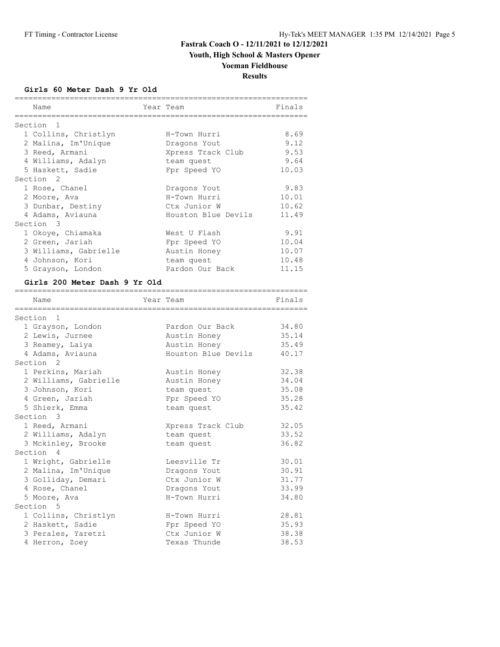**Youth, High School & Masters Opener**

# **Yoeman Fieldhouse**

**Results**

**Girls 60 Meter Dash 9 Yr Old**

| Name                      | Year Team           | Finals |
|---------------------------|---------------------|--------|
| Section<br>$\overline{1}$ |                     |        |
| 1 Collins, Christlyn      | H-Town Hurri        | 8.69   |
| 2 Malina, Im'Unique       | Dragons Yout        | 9.12   |
| 3 Reed, Armani            | Xpress Track Club   | 9.53   |
| 4 Williams, Adalyn        | team quest          | 9.64   |
| 5 Haskett, Sadie          | Fpr Speed YO        | 10.03  |
| Section <sub>2</sub>      |                     |        |
| 1 Rose, Chanel            | Dragons Yout        | 9.83   |
| 2 Moore, Ava              | H-Town Hurri        | 10.01  |
| 3 Dunbar, Destiny         | Ctx Junior W        | 10.62  |
| 4 Adams, Aviauna          | Houston Blue Devils | 11.49  |
| Section 3                 |                     |        |
| 1 Okoye, Chiamaka         | West U Flash        | 9.91   |
| 2 Green, Jariah           | Fpr Speed YO        | 10.04  |
| 3 Williams, Gabrielle     | Austin Honey        | 10.07  |
| 4 Johnson, Kori           | team quest          | 10.48  |
| 5 Grayson, London         | Pardon Our Back     | 11.15  |

#### **Girls 200 Meter Dash 9 Yr Old**

| Name                  | Year Team           | Finals |
|-----------------------|---------------------|--------|
|                       |                     |        |
| Section <sub>1</sub>  |                     |        |
| 1 Grayson, London     | Pardon Our Back     | 34.80  |
| 2 Lewis, Jurnee       | Austin Honey        | 35.14  |
| 3 Reamey, Laiya       | Austin Honey        | 35.49  |
| 4 Adams, Aviauna      | Houston Blue Devils | 40.17  |
| Section <sub>2</sub>  |                     |        |
| 1 Perkins, Mariah     | Austin Honey        | 32.38  |
| 2 Williams, Gabrielle | Austin Honey        | 34.04  |
| 3 Johnson, Kori       | team quest          | 35.08  |
| 4 Green, Jariah       | Fpr Speed YO        | 35.28  |
| 5 Shierk, Emma        | team quest          | 35.42  |
| Section 3             |                     |        |
| 1 Reed, Armani        | Xpress Track Club   | 32.05  |
| 2 Williams, Adalyn    | team quest          | 33.52  |
| 3 Mckinley, Brooke    | team quest          | 36.82  |
| Section 4             |                     |        |
| 1 Wright, Gabrielle   | Leesville Tr        | 30.01  |
| 2 Malina, Im'Unique   | Dragons Yout        | 30.91  |
| 3 Golliday, Demari    | Ctx Junior W        | 31.77  |
| 4 Rose, Chanel        | Dragons Yout        | 33.99  |
| 5 Moore, Ava          | H-Town Hurri        | 34.80  |
| Section 5             |                     |        |
| 1 Collins, Christlyn  | H-Town Hurri        | 28.81  |
| 2 Haskett, Sadie      | Fpr Speed YO        | 35.93  |
| 3 Perales, Yaretzi    | Ctx Junior W        | 38.38  |
| 4 Herron, Zoey        | Texas Thunde        | 38.53  |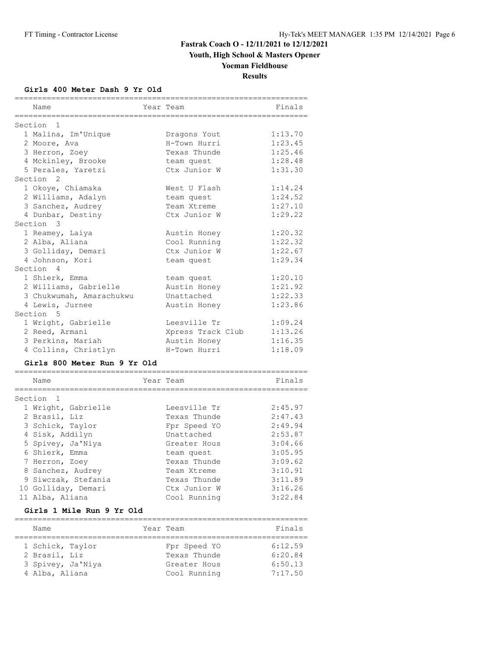**Youth, High School & Masters Opener**

### **Yoeman Fieldhouse**

**Results**

#### **Girls 400 Meter Dash 9 Yr Old**

| Name                                                          | Year Team          | Finals  |
|---------------------------------------------------------------|--------------------|---------|
| =================                                             | _________________  |         |
| Section<br>1                                                  |                    |         |
| 1 Malina, Im'Unique                                           | Dragons Yout       | 1:13.70 |
| 2 Moore, Ava                                                  | H-Town Hurri       | 1:23.45 |
| 3 Herron, Zoey                                                | Texas Thunde       | 1:25.46 |
| 4 Mckinley, Brooke                                            | team quest         | 1:28.48 |
| 5 Perales, Yaretzi                                            | Ctx Junior W       | 1:31.30 |
| Section <sub>2</sub>                                          |                    |         |
| 1 Okoye, Chiamaka                                             | West U Flash       | 1:14.24 |
| 2 Williams, Adalyn                                            | team quest         | 1:24.52 |
| 3 Sanchez, Audrey                                             | Team Xtreme        | 1:27.10 |
| 4 Dunbar, Destiny                                             | Ctx Junior W       | 1:29.22 |
| Section 3                                                     |                    |         |
| 1 Reamey, Laiya                                               | Austin Honey       | 1:20.32 |
| 2 Alba, Aliana                                                | Cool Running       | 1:22.32 |
| 3 Golliday, Demari                                            | Ctx Junior W       | 1:22.67 |
| 4 Johnson, Kori                                               | team quest         | 1:29.34 |
| Section 4                                                     |                    |         |
| 1 Shierk, Emma                                                | team quest         | 1:20.10 |
| 2 Williams, Gabrielle                                         | Austin Honey       | 1:21.92 |
| 3 Chukwumah, Amarachukwu                                      | Unattached         | 1:22.33 |
| 4 Lewis, Jurnee<br>Section 5                                  | Austin Honey       | 1:23.86 |
| 1 Wright, Gabrielle                                           | Leesville Tr       | 1:09.24 |
| 2 Reed, Armani                                                | Xpress Track Club  | 1:13.26 |
| 3 Perkins, Mariah                                             | Austin Honey       | 1:16.35 |
| 4 Collins, Christlyn                                          | H-Town Hurri       | 1:18.09 |
|                                                               |                    |         |
| Girls 800 Meter Run 9 Yr Old<br>============================= | ------------------ |         |
| Name<br>===========                                           | Year Team          | Finals  |
| Section 1                                                     |                    |         |
| 1 Wright, Gabrielle                                           | Leesville Tr       | 2:45.97 |
| 2 Brasil, Liz                                                 | Texas Thunde       | 2:47.43 |
| 3 Schick, Taylor                                              | Fpr Speed YO       | 2:49.94 |
| 4 Sisk, Addilyn                                               | Unattached         | 2:53.87 |
| 5 Spivey, Ja'Niya                                             | Greater Hous       | 3:04.66 |
| 6 Shierk, Emma                                                | team quest         | 3:05.95 |
| 7 Herron, Zoey                                                | Texas Thunde       | 3:09.62 |
| 8 Sanchez, Audrey                                             | Team Xtreme        | 3:10.91 |
| 9 Siwczak, Stefania                                           | Texas Thunde       | 3:11.89 |
| 10 Golliday, Demari                                           | Ctx Junior W       | 3:16.26 |
| 11 Alba, Aliana                                               | Cool Running       | 3:22.84 |
| Girls 1 Mile Run 9 Yr Old                                     |                    |         |

| Name              | Year Team    | Finals  |
|-------------------|--------------|---------|
| 1 Schick, Taylor  | Fpr Speed YO | 6:12.59 |
| 2 Brasil, Liz     | Texas Thunde | 6:20.84 |
| 3 Spivey, Ja'Niya | Greater Hous | 6:50.13 |
| 4 Alba, Aliana    | Cool Running | 7:17.50 |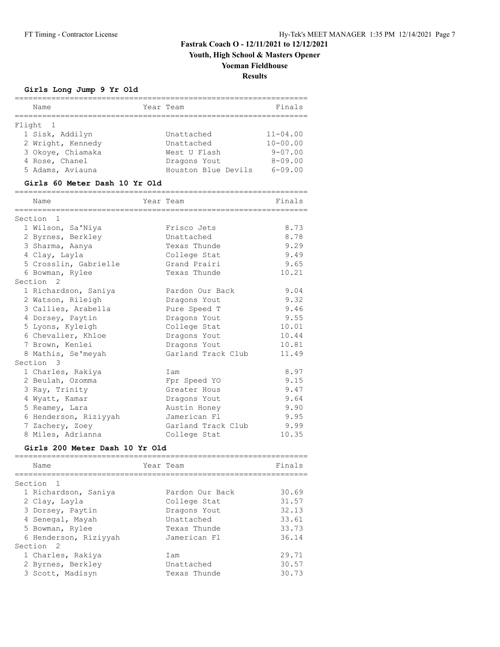**Youth, High School & Masters Opener**

# **Yoeman Fieldhouse**

**Results**

#### **Girls Long Jump 9 Yr Old**

| Name                                                                 | Year Team                                   | Finals                      |
|----------------------------------------------------------------------|---------------------------------------------|-----------------------------|
|                                                                      |                                             |                             |
| Flight<br>1                                                          |                                             |                             |
| 1 Sisk, Addilyn                                                      | Unattached                                  | $11 - 04.00$                |
| 2 Wright, Kennedy                                                    | Unattached                                  | $10 - 00.00$<br>$9 - 07.00$ |
| 3 Okoye, Chiamaka                                                    | West U Flash                                |                             |
| 4 Rose, Chanel                                                       | Dragons Yout<br>Houston Blue Devils 6-09.00 | $8 - 09.00$                 |
| 5 Adams, Aviauna                                                     |                                             |                             |
| Girls 60 Meter Dash 10 Yr Old<br>=================================== |                                             |                             |
| Name<br>================                                             | Year Team<br>___________________            | Finals                      |
| Section <sub>1</sub>                                                 |                                             |                             |
| 1 Wilson, Sa'Niya                                                    | Frisco Jets                                 | 8.73                        |
| 2 Byrnes, Berkley                                                    | Unattached                                  | 8.78                        |
| 3 Sharma, Aanya                                                      | Texas Thunde                                | 9.29                        |
| 4 Clay, Layla                                                        | College Stat                                | 9.49                        |
| 5 Crosslin, Gabrielle                                                | Grand Prairi                                | 9.65                        |
| 6 Bowman, Rylee                                                      | Texas Thunde                                | 10.21                       |
| Section <sub>2</sub>                                                 |                                             |                             |
| 1 Richardson, Saniya                                                 | Pardon Our Back                             | 9.04                        |
| 2 Watson, Rileigh                                                    | Dragons Yout                                | 9.32                        |
| 3 Callies, Arabella                                                  | Pure Speed T                                | 9.46                        |
| 4 Dorsey, Paytin                                                     | Dragons Yout                                | 9.55                        |
| 5 Lyons, Kyleigh                                                     | College Stat                                | 10.01                       |
| 6 Chevalier, Khloe                                                   | Dragons Yout                                | 10.44                       |
| 7 Brown, Kenlei                                                      | Dragons Yout                                | 10.81                       |
| 8 Mathis, Se'meyah                                                   | Garland Track Club                          | 11.49                       |
| Section 3                                                            |                                             |                             |
| 1 Charles, Rakiya                                                    | Iam                                         | 8.97                        |
| 2 Beulah, Ozomma                                                     | Fpr Speed YO                                | 9.15                        |
| 3 Ray, Trinity                                                       | Greater Hous                                | 9.47                        |
| 4 Wyatt, Kamar                                                       | Dragons Yout                                | 9.64                        |
| 5 Reamey, Lara                                                       | Austin Honey                                | 9.90                        |
| 6 Henderson, Riziyyah                                                | Jamerican Fl                                | 9.95                        |
| 7 Zachery, Zoey                                                      | Garland Track Club                          | 9.99                        |
| 8 Miles, Adrianna                                                    | College Stat                                | 10.35                       |
| Girls 200 Meter Dash 10 Yr Old                                       |                                             |                             |
| Name                                                                 | Year Team                                   | Finals                      |
| Section<br>1                                                         |                                             |                             |
| 1 Richardson, Saniya                                                 | Pardon Our Back                             | 30.69                       |
| 2 Clay, Layla                                                        | College Stat                                | 31.57                       |
| 3 Dorsey, Paytin                                                     | Dragons Yout                                | 32.13                       |
| 4 Senegal, Mayah                                                     | Unattached                                  | 33.61                       |
| 5 Bowman, Rylee                                                      | Texas Thunde                                | 33.73                       |
| 6 Henderson, Riziyyah                                                | Jamerican Fl                                | 36.14                       |
| Section<br>2                                                         |                                             |                             |
| 1 Charles, Rakiya                                                    | Iam                                         | 29.71                       |
| 2 Byrnes, Berkley                                                    | Unattached                                  | 30.57                       |
| 3 Scott, Madisyn                                                     | Texas Thunde                                | 30.73                       |

================================================================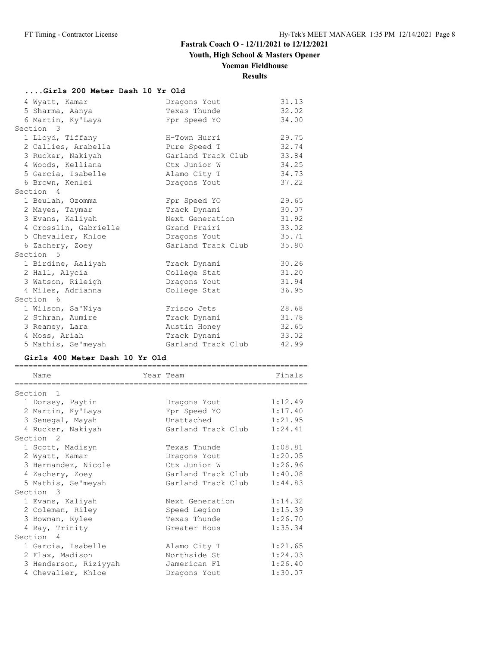**Youth, High School & Masters Opener**

# **Yoeman Fieldhouse**

# **Results**

# **....Girls 200 Meter Dash 10 Yr Old**

| 4 Wyatt, Kamar        | Dragons Yout       | 31.13 |
|-----------------------|--------------------|-------|
| 5 Sharma, Aanya       | Texas Thunde       | 32.02 |
| 6 Martin, Ky'Laya     | Fpr Speed YO       | 34.00 |
| Section 3             |                    |       |
| 1 Lloyd, Tiffany      | H-Town Hurri       | 29.75 |
| 2 Callies, Arabella   | Pure Speed T       | 32.74 |
| 3 Rucker, Nakiyah     | Garland Track Club | 33.84 |
| 4 Woods, Kelliana     | Ctx Junior W       | 34.25 |
| 5 Garcia, Isabelle    | Alamo City T       | 34.73 |
| 6 Brown, Kenlei       | Dragons Yout       | 37.22 |
| Section 4             |                    |       |
| 1 Beulah, Ozomma      | Fpr Speed YO       | 29.65 |
| 2 Mayes, Taymar       | Track Dynami       | 30.07 |
| 3 Evans, Kaliyah      | Next Generation    | 31.92 |
| 4 Crosslin, Gabrielle | Grand Prairi       | 33.02 |
| 5 Chevalier, Khloe    | Dragons Yout       | 35.71 |
| 6 Zachery, Zoey       | Garland Track Club | 35.80 |
| Section 5             |                    |       |
| 1 Birdine, Aaliyah    | Track Dynami       | 30.26 |
| 2 Hall, Alycia        | College Stat       | 31.20 |
| 3 Watson, Rileigh     | Dragons Yout       | 31.94 |
| 4 Miles, Adrianna     | College Stat       | 36.95 |
| Section 6             |                    |       |
| 1 Wilson, Sa'Niya     | Frisco Jets        | 28.68 |
| 2 Sthran, Aumire      | Track Dynami       | 31.78 |
| 3 Reamey, Lara        | Austin Honey       | 32.65 |
| 4 Moss, Ariah         | Track Dynami       | 33.02 |
| 5 Mathis, Se'meyah    | Garland Track Club | 42.99 |

# **Girls 400 Meter Dash 10 Yr Old**

| Name<br>======================== | Year Team<br>------------------------ | Finals  |
|----------------------------------|---------------------------------------|---------|
| Section<br>- 1                   |                                       |         |
| 1 Dorsey, Paytin                 | Dragons Yout                          | 1:12.49 |
| 2 Martin, Ky'Laya                | Fpr Speed YO                          | 1:17.40 |
| 3 Senegal, Mayah                 | Unattached                            | 1:21.95 |
| 4 Rucker, Nakiyah                | Garland Track Club                    | 1:24.41 |
| Section <sub>2</sub>             |                                       |         |
| 1 Scott, Madisyn                 | Texas Thunde                          | 1:08.81 |
| 2 Wyatt, Kamar                   | Dragons Yout                          | 1:20.05 |
| 3 Hernandez, Nicole              | Ctx Junior W                          | 1:26.96 |
| 4 Zachery, Zoey                  | Garland Track Club                    | 1:40.08 |
| 5 Mathis, Se'meyah               | Garland Track Club                    | 1:44.83 |
| Section 3                        |                                       |         |
| 1 Evans, Kaliyah                 | Next Generation                       | 1:14.32 |
| 2 Coleman, Riley                 | Speed Legion                          | 1:15.39 |
| 3 Bowman, Rylee                  | Texas Thunde                          | 1:26.70 |
| 4 Ray, Trinity                   | Greater Hous                          | 1:35.34 |
| Section 4                        |                                       |         |
| 1 Garcia, Isabelle               | Alamo City T                          | 1:21.65 |
| 2 Flax, Madison                  | Northside St                          | 1:24.03 |
| 3 Henderson, Riziyyah            | Jamerican Fl                          | 1:26.40 |
| 4 Chevalier, Khloe               | Dragons Yout                          | 1:30.07 |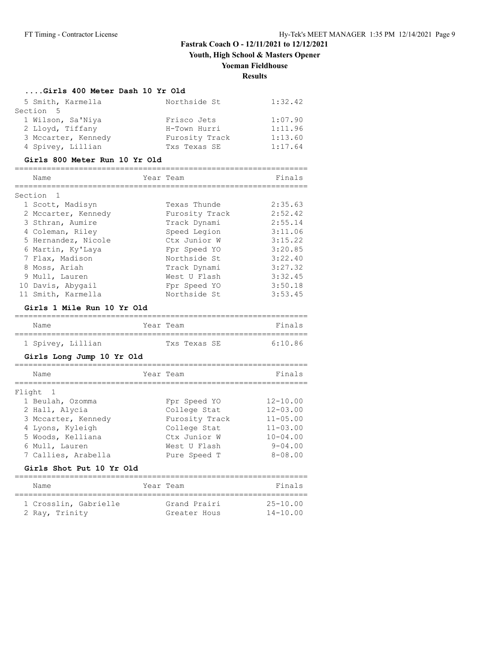**Youth, High School & Masters Opener**

#### **Yoeman Fieldhouse**

**Results**

#### **....Girls 400 Meter Dash 10 Yr Old**

| 5 Smith, Karmella   | Northside St   | 1:32.42 |
|---------------------|----------------|---------|
| Section 5           |                |         |
| 1 Wilson, Sa'Niya   | Frisco Jets    | 1:07.90 |
| 2 Lloyd, Tiffany    | H-Town Hurri   | 1:11.96 |
| 3 Mccarter, Kennedy | Furosity Track | 1:13.60 |
| 4 Spivey, Lillian   | Txs Texas SE   | 1:17.64 |

#### **Girls 800 Meter Run 10 Yr Old**

| Name                      | Year Team      | Finals  |
|---------------------------|----------------|---------|
|                           |                |         |
| Section<br>$\overline{1}$ |                |         |
| 1 Scott, Madisyn          | Texas Thunde   | 2:35.63 |
| 2 Mccarter, Kennedy       | Furosity Track | 2:52.42 |
| 3 Sthran, Aumire          | Track Dynami   | 2:55.14 |
| 4 Coleman, Riley          | Speed Legion   | 3:11.06 |
| 5 Hernandez, Nicole       | Ctx Junior W   | 3:15.22 |
| 6 Martin, Ky'Laya         | Fpr Speed YO   | 3:20.85 |
| 7 Flax, Madison           | Northside St   | 3:22.40 |
| 8 Moss, Ariah             | Track Dynami   | 3:27.32 |
| 9 Mull, Lauren            | West U Flash   | 3:32.45 |
| 10 Davis, Abygail         | Fpr Speed YO   | 3:50.18 |
| 11 Smith, Karmella        | Northside St   | 3:53.45 |

#### **Girls 1 Mile Run 10 Yr Old**

| Name |                   | Year Team |              | Finals  |
|------|-------------------|-----------|--------------|---------|
|      |                   |           |              |         |
|      | 1 Spivey, Lillian |           | Txs Texas SE | 6.10.86 |

#### **Girls Long Jump 10 Yr Old**

| Name                | Year Team      | Finals         |
|---------------------|----------------|----------------|
| Flight 1            |                |                |
| 1 Beulah, Ozomma    | Fpr Speed YO   | $12 - 10.00$   |
| 2 Hall, Alycia      | College Stat   | $12 - 03.00$   |
| 3 Mccarter, Kennedy | Furosity Track | $11 - 05.00$   |
| 4 Lyons, Kyleigh    | College Stat   | $11 - 03.00$   |
| 5 Woods, Kelliana   | Ctx Junior W   | $10 - 04.00$   |
| 6 Mull, Lauren      | West U Flash   | $9 - 04.00$    |
| 7 Callies, Arabella | Pure Speed T   | $8 - 0.8$ , 00 |
|                     |                |                |

#### **Girls Shot Put 10 Yr Old**

================================================================

| Name                                    | Year Team                    | Finals                       |
|-----------------------------------------|------------------------------|------------------------------|
| 1 Crosslin, Gabrielle<br>2 Ray, Trinity | Grand Prairi<br>Greater Hous | $25 - 10.00$<br>$14 - 10.00$ |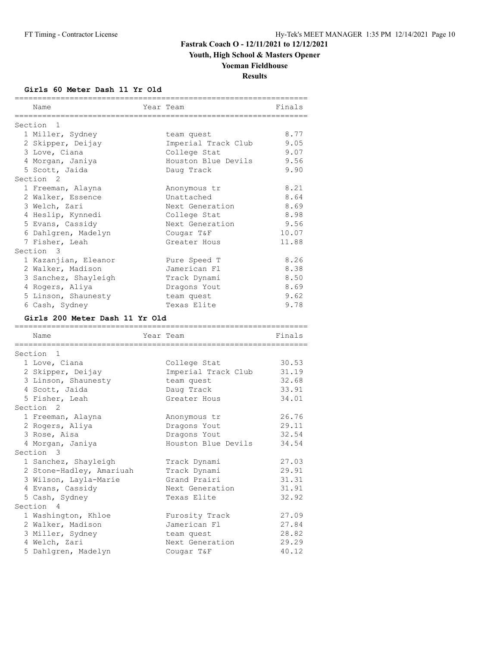**Youth, High School & Masters Opener**

# **Yoeman Fieldhouse**

**Results**

#### **Girls 60 Meter Dash 11 Yr Old**

| Section 1<br>1 Miller, Sydney<br>8.77<br>team quest<br>9.05<br>2 Skipper, Deijay<br>Imperial Track Club<br>College Stat<br>9.07<br>3 Love, Ciana<br>Houston Blue Devils<br>9.56<br>4 Morgan, Janiya<br>5 Scott, Jaida<br>9.90<br>Daug Track<br>Section 2<br>8.21<br>1 Freeman, Alayna<br>Anonymous tr<br>Unattached<br>8.64<br>2 Walker, Essence<br>8.69<br>3 Welch, Zari<br>Next Generation<br>8.98<br>4 Heslip, Kynnedi<br>College Stat<br>9.56<br>5 Evans, Cassidy<br>Next Generation<br>6 Dahlgren, Madelyn<br>10.07<br>Cougar T&F<br>7 Fisher, Leah<br>11.88<br>Greater Hous<br>Section 3<br>1 Kazanjian, Eleanor<br>8.26<br>Pure Speed T<br>8.38<br>2 Walker, Madison<br>Jamerican Fl<br>3 Sanchez, Shayleigh<br>8.50<br>Track Dynami<br>4 Rogers, Aliya<br>8.69<br>Dragons Yout<br>5 Linson, Shaunesty<br>9.62<br>team quest<br>Texas Elite<br>9.78<br>6 Cash, Sydney<br>Girls 200 Meter Dash 11 Yr Old<br>Year Team<br>Finals<br>Name<br>=================<br>Section 1<br>30.53<br>1 Love, Ciana<br>College Stat<br>31.19<br>2 Skipper, Deijay<br>Imperial Track Club<br>3 Linson, Shaunesty<br>32.68<br>team quest<br>4 Scott, Jaida<br>33.91<br>Daug Track<br>5 Fisher, Leah<br>34.01<br>Greater Hous<br>Section <sub>2</sub><br>26.76<br>1 Freeman, Alayna<br>Anonymous tr<br>2 Rogers, Aliya<br>29.11<br>Dragons Yout<br>3 Rose, Aisa<br>32.54<br>Dragons Yout<br>Houston Blue Devils<br>34.54<br>4 Morgan, Janiya<br>Section 3<br>1 Sanchez, Shayleigh<br>27.03<br>Track Dynami<br>29.91<br>2 Stone-Hadley, Amariuah<br>Track Dynami<br>31.31<br>3 Wilson, Layla-Marie<br>Grand Prairi<br>4 Evans, Cassidy<br>Next Generation<br>31.91<br>5 Cash, Sydney<br>Texas Elite<br>32.92<br>Section 4<br>27.09<br>1 Washington, Khloe<br>Furosity Track<br>2 Walker, Madison<br>Jamerican Fl<br>27.84<br>3 Miller, Sydney<br>28.82<br>team quest<br>4 Welch, Zari<br>29.29<br>Next Generation<br>5 Dahlgren, Madelyn<br>40.12<br>Cougar T&F | ============<br>Name<br>============ | Year Team<br>,,,,,,,,,,,,,,,,, | Finals |
|---------------------------------------------------------------------------------------------------------------------------------------------------------------------------------------------------------------------------------------------------------------------------------------------------------------------------------------------------------------------------------------------------------------------------------------------------------------------------------------------------------------------------------------------------------------------------------------------------------------------------------------------------------------------------------------------------------------------------------------------------------------------------------------------------------------------------------------------------------------------------------------------------------------------------------------------------------------------------------------------------------------------------------------------------------------------------------------------------------------------------------------------------------------------------------------------------------------------------------------------------------------------------------------------------------------------------------------------------------------------------------------------------------------------------------------------------------------------------------------------------------------------------------------------------------------------------------------------------------------------------------------------------------------------------------------------------------------------------------------------------------------------------------------------------------------------------------------------------------------------------------------------------------------------------------------------------|--------------------------------------|--------------------------------|--------|
|                                                                                                                                                                                                                                                                                                                                                                                                                                                                                                                                                                                                                                                                                                                                                                                                                                                                                                                                                                                                                                                                                                                                                                                                                                                                                                                                                                                                                                                                                                                                                                                                                                                                                                                                                                                                                                                                                                                                                   |                                      |                                |        |
|                                                                                                                                                                                                                                                                                                                                                                                                                                                                                                                                                                                                                                                                                                                                                                                                                                                                                                                                                                                                                                                                                                                                                                                                                                                                                                                                                                                                                                                                                                                                                                                                                                                                                                                                                                                                                                                                                                                                                   |                                      |                                |        |
|                                                                                                                                                                                                                                                                                                                                                                                                                                                                                                                                                                                                                                                                                                                                                                                                                                                                                                                                                                                                                                                                                                                                                                                                                                                                                                                                                                                                                                                                                                                                                                                                                                                                                                                                                                                                                                                                                                                                                   |                                      |                                |        |
|                                                                                                                                                                                                                                                                                                                                                                                                                                                                                                                                                                                                                                                                                                                                                                                                                                                                                                                                                                                                                                                                                                                                                                                                                                                                                                                                                                                                                                                                                                                                                                                                                                                                                                                                                                                                                                                                                                                                                   |                                      |                                |        |
|                                                                                                                                                                                                                                                                                                                                                                                                                                                                                                                                                                                                                                                                                                                                                                                                                                                                                                                                                                                                                                                                                                                                                                                                                                                                                                                                                                                                                                                                                                                                                                                                                                                                                                                                                                                                                                                                                                                                                   |                                      |                                |        |
|                                                                                                                                                                                                                                                                                                                                                                                                                                                                                                                                                                                                                                                                                                                                                                                                                                                                                                                                                                                                                                                                                                                                                                                                                                                                                                                                                                                                                                                                                                                                                                                                                                                                                                                                                                                                                                                                                                                                                   |                                      |                                |        |
|                                                                                                                                                                                                                                                                                                                                                                                                                                                                                                                                                                                                                                                                                                                                                                                                                                                                                                                                                                                                                                                                                                                                                                                                                                                                                                                                                                                                                                                                                                                                                                                                                                                                                                                                                                                                                                                                                                                                                   |                                      |                                |        |
|                                                                                                                                                                                                                                                                                                                                                                                                                                                                                                                                                                                                                                                                                                                                                                                                                                                                                                                                                                                                                                                                                                                                                                                                                                                                                                                                                                                                                                                                                                                                                                                                                                                                                                                                                                                                                                                                                                                                                   |                                      |                                |        |
|                                                                                                                                                                                                                                                                                                                                                                                                                                                                                                                                                                                                                                                                                                                                                                                                                                                                                                                                                                                                                                                                                                                                                                                                                                                                                                                                                                                                                                                                                                                                                                                                                                                                                                                                                                                                                                                                                                                                                   |                                      |                                |        |
|                                                                                                                                                                                                                                                                                                                                                                                                                                                                                                                                                                                                                                                                                                                                                                                                                                                                                                                                                                                                                                                                                                                                                                                                                                                                                                                                                                                                                                                                                                                                                                                                                                                                                                                                                                                                                                                                                                                                                   |                                      |                                |        |
|                                                                                                                                                                                                                                                                                                                                                                                                                                                                                                                                                                                                                                                                                                                                                                                                                                                                                                                                                                                                                                                                                                                                                                                                                                                                                                                                                                                                                                                                                                                                                                                                                                                                                                                                                                                                                                                                                                                                                   |                                      |                                |        |
|                                                                                                                                                                                                                                                                                                                                                                                                                                                                                                                                                                                                                                                                                                                                                                                                                                                                                                                                                                                                                                                                                                                                                                                                                                                                                                                                                                                                                                                                                                                                                                                                                                                                                                                                                                                                                                                                                                                                                   |                                      |                                |        |
|                                                                                                                                                                                                                                                                                                                                                                                                                                                                                                                                                                                                                                                                                                                                                                                                                                                                                                                                                                                                                                                                                                                                                                                                                                                                                                                                                                                                                                                                                                                                                                                                                                                                                                                                                                                                                                                                                                                                                   |                                      |                                |        |
|                                                                                                                                                                                                                                                                                                                                                                                                                                                                                                                                                                                                                                                                                                                                                                                                                                                                                                                                                                                                                                                                                                                                                                                                                                                                                                                                                                                                                                                                                                                                                                                                                                                                                                                                                                                                                                                                                                                                                   |                                      |                                |        |
|                                                                                                                                                                                                                                                                                                                                                                                                                                                                                                                                                                                                                                                                                                                                                                                                                                                                                                                                                                                                                                                                                                                                                                                                                                                                                                                                                                                                                                                                                                                                                                                                                                                                                                                                                                                                                                                                                                                                                   |                                      |                                |        |
|                                                                                                                                                                                                                                                                                                                                                                                                                                                                                                                                                                                                                                                                                                                                                                                                                                                                                                                                                                                                                                                                                                                                                                                                                                                                                                                                                                                                                                                                                                                                                                                                                                                                                                                                                                                                                                                                                                                                                   |                                      |                                |        |
|                                                                                                                                                                                                                                                                                                                                                                                                                                                                                                                                                                                                                                                                                                                                                                                                                                                                                                                                                                                                                                                                                                                                                                                                                                                                                                                                                                                                                                                                                                                                                                                                                                                                                                                                                                                                                                                                                                                                                   |                                      |                                |        |
|                                                                                                                                                                                                                                                                                                                                                                                                                                                                                                                                                                                                                                                                                                                                                                                                                                                                                                                                                                                                                                                                                                                                                                                                                                                                                                                                                                                                                                                                                                                                                                                                                                                                                                                                                                                                                                                                                                                                                   |                                      |                                |        |
|                                                                                                                                                                                                                                                                                                                                                                                                                                                                                                                                                                                                                                                                                                                                                                                                                                                                                                                                                                                                                                                                                                                                                                                                                                                                                                                                                                                                                                                                                                                                                                                                                                                                                                                                                                                                                                                                                                                                                   |                                      |                                |        |
|                                                                                                                                                                                                                                                                                                                                                                                                                                                                                                                                                                                                                                                                                                                                                                                                                                                                                                                                                                                                                                                                                                                                                                                                                                                                                                                                                                                                                                                                                                                                                                                                                                                                                                                                                                                                                                                                                                                                                   |                                      |                                |        |
|                                                                                                                                                                                                                                                                                                                                                                                                                                                                                                                                                                                                                                                                                                                                                                                                                                                                                                                                                                                                                                                                                                                                                                                                                                                                                                                                                                                                                                                                                                                                                                                                                                                                                                                                                                                                                                                                                                                                                   |                                      |                                |        |
|                                                                                                                                                                                                                                                                                                                                                                                                                                                                                                                                                                                                                                                                                                                                                                                                                                                                                                                                                                                                                                                                                                                                                                                                                                                                                                                                                                                                                                                                                                                                                                                                                                                                                                                                                                                                                                                                                                                                                   |                                      |                                |        |
|                                                                                                                                                                                                                                                                                                                                                                                                                                                                                                                                                                                                                                                                                                                                                                                                                                                                                                                                                                                                                                                                                                                                                                                                                                                                                                                                                                                                                                                                                                                                                                                                                                                                                                                                                                                                                                                                                                                                                   |                                      |                                |        |
|                                                                                                                                                                                                                                                                                                                                                                                                                                                                                                                                                                                                                                                                                                                                                                                                                                                                                                                                                                                                                                                                                                                                                                                                                                                                                                                                                                                                                                                                                                                                                                                                                                                                                                                                                                                                                                                                                                                                                   |                                      |                                |        |
|                                                                                                                                                                                                                                                                                                                                                                                                                                                                                                                                                                                                                                                                                                                                                                                                                                                                                                                                                                                                                                                                                                                                                                                                                                                                                                                                                                                                                                                                                                                                                                                                                                                                                                                                                                                                                                                                                                                                                   |                                      |                                |        |
|                                                                                                                                                                                                                                                                                                                                                                                                                                                                                                                                                                                                                                                                                                                                                                                                                                                                                                                                                                                                                                                                                                                                                                                                                                                                                                                                                                                                                                                                                                                                                                                                                                                                                                                                                                                                                                                                                                                                                   |                                      |                                |        |
|                                                                                                                                                                                                                                                                                                                                                                                                                                                                                                                                                                                                                                                                                                                                                                                                                                                                                                                                                                                                                                                                                                                                                                                                                                                                                                                                                                                                                                                                                                                                                                                                                                                                                                                                                                                                                                                                                                                                                   |                                      |                                |        |
|                                                                                                                                                                                                                                                                                                                                                                                                                                                                                                                                                                                                                                                                                                                                                                                                                                                                                                                                                                                                                                                                                                                                                                                                                                                                                                                                                                                                                                                                                                                                                                                                                                                                                                                                                                                                                                                                                                                                                   |                                      |                                |        |
|                                                                                                                                                                                                                                                                                                                                                                                                                                                                                                                                                                                                                                                                                                                                                                                                                                                                                                                                                                                                                                                                                                                                                                                                                                                                                                                                                                                                                                                                                                                                                                                                                                                                                                                                                                                                                                                                                                                                                   |                                      |                                |        |
|                                                                                                                                                                                                                                                                                                                                                                                                                                                                                                                                                                                                                                                                                                                                                                                                                                                                                                                                                                                                                                                                                                                                                                                                                                                                                                                                                                                                                                                                                                                                                                                                                                                                                                                                                                                                                                                                                                                                                   |                                      |                                |        |
|                                                                                                                                                                                                                                                                                                                                                                                                                                                                                                                                                                                                                                                                                                                                                                                                                                                                                                                                                                                                                                                                                                                                                                                                                                                                                                                                                                                                                                                                                                                                                                                                                                                                                                                                                                                                                                                                                                                                                   |                                      |                                |        |
|                                                                                                                                                                                                                                                                                                                                                                                                                                                                                                                                                                                                                                                                                                                                                                                                                                                                                                                                                                                                                                                                                                                                                                                                                                                                                                                                                                                                                                                                                                                                                                                                                                                                                                                                                                                                                                                                                                                                                   |                                      |                                |        |
|                                                                                                                                                                                                                                                                                                                                                                                                                                                                                                                                                                                                                                                                                                                                                                                                                                                                                                                                                                                                                                                                                                                                                                                                                                                                                                                                                                                                                                                                                                                                                                                                                                                                                                                                                                                                                                                                                                                                                   |                                      |                                |        |
|                                                                                                                                                                                                                                                                                                                                                                                                                                                                                                                                                                                                                                                                                                                                                                                                                                                                                                                                                                                                                                                                                                                                                                                                                                                                                                                                                                                                                                                                                                                                                                                                                                                                                                                                                                                                                                                                                                                                                   |                                      |                                |        |
|                                                                                                                                                                                                                                                                                                                                                                                                                                                                                                                                                                                                                                                                                                                                                                                                                                                                                                                                                                                                                                                                                                                                                                                                                                                                                                                                                                                                                                                                                                                                                                                                                                                                                                                                                                                                                                                                                                                                                   |                                      |                                |        |
|                                                                                                                                                                                                                                                                                                                                                                                                                                                                                                                                                                                                                                                                                                                                                                                                                                                                                                                                                                                                                                                                                                                                                                                                                                                                                                                                                                                                                                                                                                                                                                                                                                                                                                                                                                                                                                                                                                                                                   |                                      |                                |        |
|                                                                                                                                                                                                                                                                                                                                                                                                                                                                                                                                                                                                                                                                                                                                                                                                                                                                                                                                                                                                                                                                                                                                                                                                                                                                                                                                                                                                                                                                                                                                                                                                                                                                                                                                                                                                                                                                                                                                                   |                                      |                                |        |
|                                                                                                                                                                                                                                                                                                                                                                                                                                                                                                                                                                                                                                                                                                                                                                                                                                                                                                                                                                                                                                                                                                                                                                                                                                                                                                                                                                                                                                                                                                                                                                                                                                                                                                                                                                                                                                                                                                                                                   |                                      |                                |        |
|                                                                                                                                                                                                                                                                                                                                                                                                                                                                                                                                                                                                                                                                                                                                                                                                                                                                                                                                                                                                                                                                                                                                                                                                                                                                                                                                                                                                                                                                                                                                                                                                                                                                                                                                                                                                                                                                                                                                                   |                                      |                                |        |
|                                                                                                                                                                                                                                                                                                                                                                                                                                                                                                                                                                                                                                                                                                                                                                                                                                                                                                                                                                                                                                                                                                                                                                                                                                                                                                                                                                                                                                                                                                                                                                                                                                                                                                                                                                                                                                                                                                                                                   |                                      |                                |        |
|                                                                                                                                                                                                                                                                                                                                                                                                                                                                                                                                                                                                                                                                                                                                                                                                                                                                                                                                                                                                                                                                                                                                                                                                                                                                                                                                                                                                                                                                                                                                                                                                                                                                                                                                                                                                                                                                                                                                                   |                                      |                                |        |
|                                                                                                                                                                                                                                                                                                                                                                                                                                                                                                                                                                                                                                                                                                                                                                                                                                                                                                                                                                                                                                                                                                                                                                                                                                                                                                                                                                                                                                                                                                                                                                                                                                                                                                                                                                                                                                                                                                                                                   |                                      |                                |        |
|                                                                                                                                                                                                                                                                                                                                                                                                                                                                                                                                                                                                                                                                                                                                                                                                                                                                                                                                                                                                                                                                                                                                                                                                                                                                                                                                                                                                                                                                                                                                                                                                                                                                                                                                                                                                                                                                                                                                                   |                                      |                                |        |
|                                                                                                                                                                                                                                                                                                                                                                                                                                                                                                                                                                                                                                                                                                                                                                                                                                                                                                                                                                                                                                                                                                                                                                                                                                                                                                                                                                                                                                                                                                                                                                                                                                                                                                                                                                                                                                                                                                                                                   |                                      |                                |        |
|                                                                                                                                                                                                                                                                                                                                                                                                                                                                                                                                                                                                                                                                                                                                                                                                                                                                                                                                                                                                                                                                                                                                                                                                                                                                                                                                                                                                                                                                                                                                                                                                                                                                                                                                                                                                                                                                                                                                                   |                                      |                                |        |
|                                                                                                                                                                                                                                                                                                                                                                                                                                                                                                                                                                                                                                                                                                                                                                                                                                                                                                                                                                                                                                                                                                                                                                                                                                                                                                                                                                                                                                                                                                                                                                                                                                                                                                                                                                                                                                                                                                                                                   |                                      |                                |        |
|                                                                                                                                                                                                                                                                                                                                                                                                                                                                                                                                                                                                                                                                                                                                                                                                                                                                                                                                                                                                                                                                                                                                                                                                                                                                                                                                                                                                                                                                                                                                                                                                                                                                                                                                                                                                                                                                                                                                                   |                                      |                                |        |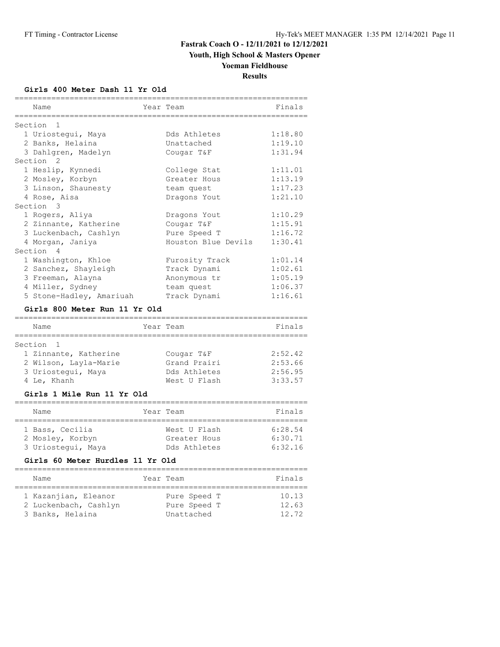# **Youth, High School & Masters Opener**

# **Yoeman Fieldhouse**

**Results**

#### **Girls 400 Meter Dash 11 Yr Old**

| Name<br>==============            | Year Team<br>_____________ | Finals  |
|-----------------------------------|----------------------------|---------|
| Section<br>$\mathbf{1}$           |                            |         |
| 1 Uriostegui, Maya                | Dds Athletes               | 1:18.80 |
| 2 Banks, Helaina                  | Unattached                 | 1:19.10 |
| 3 Dahlgren, Madelyn               | Cougar T&F                 | 1:31.94 |
| Section<br>2                      |                            |         |
| 1 Heslip, Kynnedi                 | College Stat               | 1:11.01 |
| 2 Mosley, Korbyn                  | Greater Hous               | 1:13.19 |
| 3 Linson, Shaunesty               | team quest                 | 1:17.23 |
| 4 Rose, Aisa                      | Dragons Yout               | 1:21.10 |
| Section 3                         |                            |         |
| 1 Rogers, Aliya                   | Dragons Yout               | 1:10.29 |
| 2 Zinnante, Katherine             | Cougar T&F                 | 1:15.91 |
| 3 Luckenbach, Cashlyn             | Pure Speed T               | 1:16.72 |
| 4 Morgan, Janiya                  | Houston Blue Devils        | 1:30.41 |
| Section<br>4                      |                            |         |
| 1 Washington, Khloe               | Furosity Track             | 1:01.14 |
| 2 Sanchez, Shayleigh              | Track Dynami               | 1:02.61 |
| 3 Freeman, Alayna                 | Anonymous tr               | 1:05.19 |
| 4 Miller, Sydney                  | team quest                 | 1:06.37 |
| 5 Stone-Hadley, Amariuah          | Track Dynami               | 1:16.61 |
| Girls 800 Meter Run 11 Yr Old     |                            |         |
| ----------------------------      |                            |         |
| Name<br>.===========              | Year Team                  | Finals  |
| Section<br>$\mathbf{1}$           |                            |         |
| 1 Zinnante, Katherine             | Cougar T&F                 | 2:52.42 |
| 2 Wilson, Layla-Marie             | Grand Prairi               | 2:53.66 |
| 3 Uriostegui, Maya                | Dds Athletes               | 2:56.95 |
| 4 Le, Khanh                       | West U Flash               | 3:33.57 |
| Girls 1 Mile Run 11 Yr Old        |                            |         |
| ----------------------------      |                            |         |
| Name                              | Year Team                  | Finals  |
| 1 Bass, Cecilia                   | West U Flash               | 6:28.54 |
| 2 Mosley, Korbyn                  | Greater Hous               | 6:30.71 |
| 3 Uriostegui, Maya                | Dds Athletes               | 6:32.16 |
| Girls 60 Meter Hurdles 11 Yr Old  |                            |         |
|                                   |                            |         |
| Name<br>:======================== | Year Team                  | Finals  |
| 1 Kazanjian, Eleanor              | Pure Speed T               | 10.13   |
| 2 Luckenbach, Cashlyn             | Pure Speed T               | 12.63   |
| 3 Banks, Helaina                  | Unattached                 | 12.72   |
|                                   |                            |         |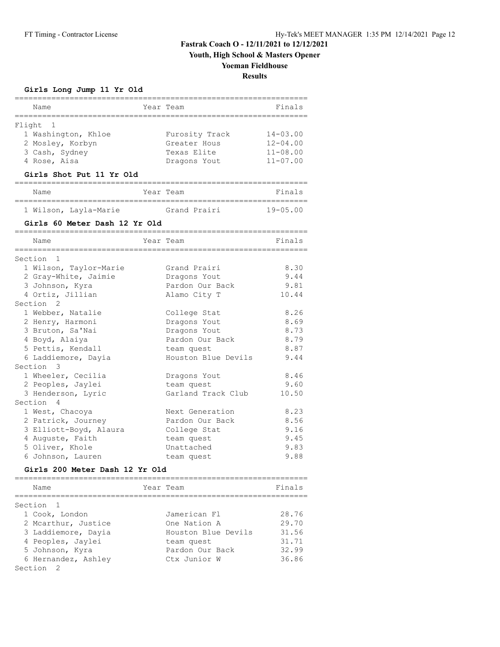**Youth, High School & Masters Opener**

## **Yoeman Fieldhouse**

**Results**

**Girls Long Jump 11 Yr Old**

| Name                                 | Year Team |                     | Finals       |
|--------------------------------------|-----------|---------------------|--------------|
| ========                             |           |                     |              |
| Flight 1                             |           |                     |              |
| 1 Washington, Khloe                  |           | Furosity Track      | $14 - 03.00$ |
| 2 Mosley, Korbyn                     |           | Greater Hous        | $12 - 04.00$ |
| 3 Cash, Sydney                       |           | Texas Elite         | $11 - 08.00$ |
| 4 Rose, Aisa                         |           | Dragons Yout        | $11 - 07.00$ |
| Girls Shot Put 11 Yr Old             |           |                     |              |
|                                      |           |                     |              |
| Name                                 |           | Year Team           | Finals       |
| 1 Wilson, Layla-Marie                |           | Grand Prairi        | $19 - 05.00$ |
| Girls 60 Meter Dash 12 Yr Old        |           |                     |              |
| Name                                 |           | Year Team           | Finals       |
| Section <sub>1</sub>                 |           |                     |              |
| 1 Wilson, Taylor-Marie               |           | Grand Prairi        | 8.30         |
| 2 Gray-White, Jaimie                 |           | Dragons Yout        | 9.44         |
| 3 Johnson, Kyra                      |           | Pardon Our Back     | 9.81         |
| 4 Ortiz, Jillian                     |           | Alamo City T        | 10.44        |
| Section <sub>2</sub>                 |           |                     |              |
| 1 Webber, Natalie                    |           | College Stat        | 8.26         |
| 2 Henry, Harmoni                     |           | Dragons Yout        | 8.69         |
| 3 Bruton, Sa'Nai                     |           | Dragons Yout        | 8.73         |
| 4 Boyd, Alaiya                       |           | Pardon Our Back     | 8.79         |
| 5 Pettis, Kendall                    |           | team quest          | 8.87         |
| 6 Laddiemore, Dayia                  |           | Houston Blue Devils | 9.44         |
| Section 3                            |           |                     |              |
| 1 Wheeler, Cecilia                   |           | Dragons Yout        | 8.46         |
| 2 Peoples, Jaylei                    |           | team quest          | 9.60         |
| 3 Henderson, Lyric                   |           | Garland Track Club  | 10.50        |
| Section 4                            |           |                     |              |
| 1 West, Chacoya                      |           | Next Generation     | 8.23         |
| 2 Patrick, Journey                   |           | Pardon Our Back     | 8.56         |
| 3 Elliott-Boyd, Alaura               |           | College Stat        | 9.16         |
| 4 Auguste, Faith                     |           | team quest          | 9.45         |
|                                      |           | Unattached          | 9.83         |
| 5 Oliver, Khole<br>6 Johnson, Lauren |           |                     |              |
| Girls 200 Meter Dash 12 Yr Old       |           | team quest          | 9.88         |
|                                      |           |                     |              |
| Name                                 |           | Year Team           | Finals       |
| Section<br>1                         |           |                     |              |
| 1 Cook, London                       |           | Jamerican Fl        | 28.76        |
| 2 Mcarthur, Justice                  |           | One Nation A        | 29.70        |
| 3 Laddiemore, Dayia                  |           | Houston Blue Devils | 31.56        |
| 4 Peoples, Jaylei                    |           | team quest          | 31.71        |
| 5 Johnson, Kyra                      |           | Pardon Our Back     | 32.99        |
| 6 Hernandez, Ashley                  |           | Ctx Junior W        | 36.86        |
| Section<br>2                         |           |                     |              |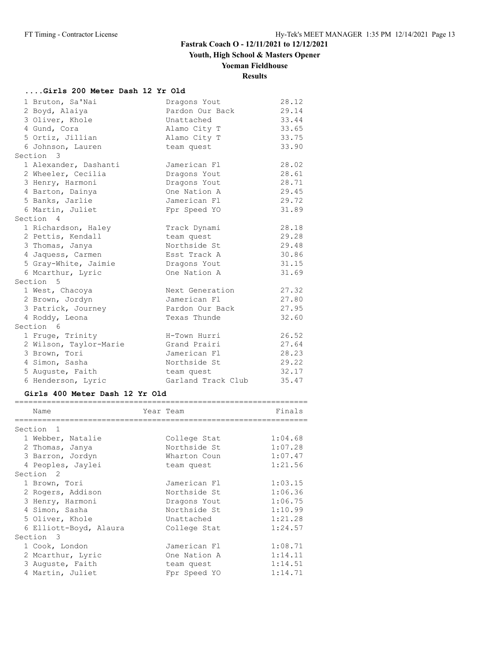**Youth, High School & Masters Opener**

# **Yoeman Fieldhouse**

## **Results**

### **....Girls 200 Meter Dash 12 Yr Old**

| 1 Bruton, Sa'Nai       | Dragons Yout       | 28.12 |
|------------------------|--------------------|-------|
| 2 Boyd, Alaiya         | Pardon Our Back    | 29.14 |
| 3 Oliver, Khole        | Unattached         | 33.44 |
| 4 Gund, Cora           | Alamo City T       | 33.65 |
| 5 Ortiz, Jillian       | Alamo City T       | 33.75 |
| 6 Johnson, Lauren      | team quest         | 33.90 |
| Section 3              |                    |       |
| 1 Alexander, Dashanti  | Jamerican Fl       | 28.02 |
| 2 Wheeler, Cecilia     | Dragons Yout       | 28.61 |
| 3 Henry, Harmoni       | Dragons Yout       | 28.71 |
| 4 Barton, Dainya       | One Nation A       | 29.45 |
| 5 Banks, Jarlie        | Jamerican Fl       | 29.72 |
| 6 Martin, Juliet       | Fpr Speed YO       | 31.89 |
| Section 4              |                    |       |
| 1 Richardson, Haley    | Track Dynami       | 28.18 |
| 2 Pettis, Kendall      | team quest         | 29.28 |
| 3 Thomas, Janya        | Northside St       | 29.48 |
| 4 Jaquess, Carmen      | Esst Track A       | 30.86 |
| 5 Gray-White, Jaimie   | Dragons Yout       | 31.15 |
| 6 Mcarthur, Lyric      | One Nation A       | 31.69 |
| Section 5              |                    |       |
| 1 West, Chacoya        | Next Generation    | 27.32 |
| 2 Brown, Jordyn        | Jamerican Fl       | 27.80 |
| 3 Patrick, Journey     | Pardon Our Back    | 27.95 |
| 4 Roddy, Leona         | Texas Thunde       | 32.60 |
| Section 6              |                    |       |
| 1 Fruge, Trinity       | H-Town Hurri       | 26.52 |
| 2 Wilson, Taylor-Marie | Grand Prairi       | 27.64 |
| 3 Brown, Tori          | Jamerican Fl       | 28.23 |
| 4 Simon, Sasha         | Northside St       | 29.22 |
| 5 Auguste, Faith       | team quest         | 32.17 |
| 6 Henderson, Lyric     | Garland Track Club | 35.47 |

#### **Girls 400 Meter Dash 12 Yr Old**

| Name                                | Year Team |              | Finals  |
|-------------------------------------|-----------|--------------|---------|
| Section<br>$\overline{\phantom{0}}$ |           |              |         |
| 1 Webber, Natalie                   |           | College Stat | 1:04.68 |
| 2 Thomas, Janya                     |           | Northside St | 1:07.28 |
| 3 Barron, Jordyn                    |           | Wharton Coun | 1:07.47 |
| 4 Peoples, Jaylei                   |           | team quest   | 1:21.56 |
| Section <sub>2</sub>                |           |              |         |
| 1 Brown, Tori                       |           | Jamerican Fl | 1:03.15 |
| 2 Rogers, Addison                   |           | Northside St | 1:06.36 |
| 3 Henry, Harmoni                    |           | Dragons Yout | 1:06.75 |
| 4 Simon, Sasha                      |           | Northside St | 1:10.99 |
| 5 Oliver, Khole                     |           | Unattached   | 1:21.28 |
| 6 Elliott-Boyd, Alaura              |           | College Stat | 1:24.57 |
| Section 3                           |           |              |         |
| 1 Cook, London                      |           | Jamerican Fl | 1:08.71 |
| 2 Mcarthur, Lyric                   |           | One Nation A | 1:14.11 |
| 3 Auguste, Faith                    |           | team quest   | 1:14.51 |
| 4 Martin, Juliet                    |           | Fpr Speed YO | 1:14.71 |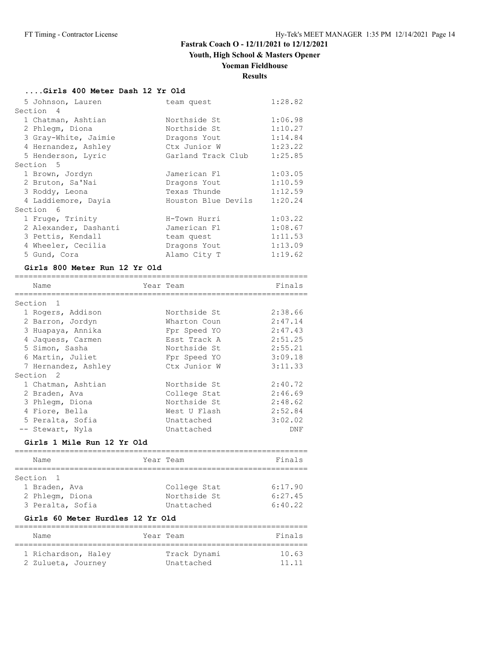# **Youth, High School & Masters Opener**

#### **Yoeman Fieldhouse**

### **Results**

#### **....Girls 400 Meter Dash 12 Yr Old**

| 5 Johnson, Lauren     | team quest          | 1:28.82 |
|-----------------------|---------------------|---------|
| Section 4             |                     |         |
| 1 Chatman, Ashtian    | Northside St        | 1:06.98 |
| 2 Phlegm, Diona       | Northside St        | 1:10.27 |
| 3 Gray-White, Jaimie  | Dragons Yout        | 1:14.84 |
| 4 Hernandez, Ashley   | Ctx Junior W        | 1:23.22 |
| 5 Henderson, Lyric    | Garland Track Club  | 1:25.85 |
| Section 5             |                     |         |
| 1 Brown, Jordyn       | Jamerican Fl        | 1:03.05 |
| 2 Bruton, Sa'Nai      | Dragons Yout        | 1:10.59 |
| 3 Roddy, Leona        | Texas Thunde        | 1:12.59 |
| 4 Laddiemore, Dayia   | Houston Blue Devils | 1:20.24 |
| Section 6             |                     |         |
| 1 Fruge, Trinity      | H-Town Hurri        | 1:03.22 |
| 2 Alexander, Dashanti | Jamerican Fl        | 1:08.67 |
| 3 Pettis, Kendall     | team quest          | 1:11.53 |
| 4 Wheeler, Cecilia    | Dragons Yout        | 1:13.09 |
| 5 Gund, Cora          | Alamo City T        | 1:19.62 |

#### **Girls 800 Meter Run 12 Yr Old**

| Name                 | Year Team    | Finals  |
|----------------------|--------------|---------|
|                      |              |         |
| Section 1            |              |         |
| 1 Rogers, Addison    | Northside St | 2:38.66 |
| 2 Barron, Jordyn     | Wharton Coun | 2:47.14 |
| 3 Huapaya, Annika    | Fpr Speed YO | 2:47.43 |
| 4 Jaquess, Carmen    | Esst Track A | 2:51.25 |
| 5 Simon, Sasha       | Northside St | 2:55.21 |
| 6 Martin, Juliet     | Fpr Speed YO | 3:09.18 |
| 7 Hernandez, Ashley  | Ctx Junior W | 3:11.33 |
| Section <sub>2</sub> |              |         |
| 1 Chatman, Ashtian   | Northside St | 2:40.72 |
| 2 Braden, Ava        | College Stat | 2:46.69 |
| 3 Phlegm, Diona      | Northside St | 2:48.62 |
| 4 Fiore, Bella       | West U Flash | 2:52.84 |
| 5 Peralta, Sofia     | Unattached   | 3:02.02 |
| -- Stewart, Nyla     | Unattached   | DNF     |

#### **Girls 1 Mile Run 12 Yr Old**

| Name             | Year Team    | Finals  |
|------------------|--------------|---------|
|                  |              |         |
| Section 1        |              |         |
| 1 Braden, Ava    | College Stat | 6:17.90 |
| 2 Phlegm, Diona  | Northside St | 6:27.45 |
| 3 Peralta, Sofia | Unattached   | 6:40.22 |

## **Girls 60 Meter Hurdles 12 Yr Old**

| Name                                      | Year Team |                            | Finals         |
|-------------------------------------------|-----------|----------------------------|----------------|
| 1 Richardson, Haley<br>2 Zulueta, Journey |           | Track Dynami<br>Unattached | 10.63<br>11.11 |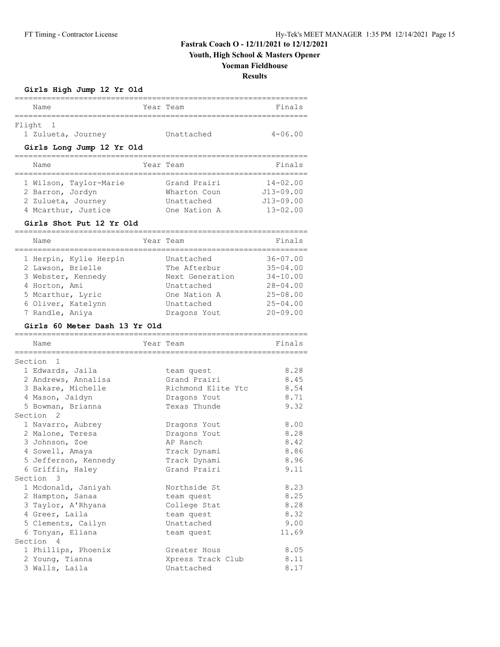**Youth, High School & Masters Opener**

#### **Yoeman Fieldhouse**

**Results**

**Girls High Jump 12 Yr Old**

| Name                                                                                    | Year Team |                                                            | Finals                                                         |
|-----------------------------------------------------------------------------------------|-----------|------------------------------------------------------------|----------------------------------------------------------------|
| Flight 1<br>1 Zulueta, Journey                                                          |           | Unattached                                                 | $4 - 06.00$                                                    |
| Girls Long Jump 12 Yr Old                                                               |           |                                                            |                                                                |
| Name                                                                                    |           | Year Team                                                  | Finals                                                         |
| 1 Wilson, Taylor-Marie<br>2 Barron, Jordyn<br>2 Zulueta, Journey<br>4 Mcarthur, Justice |           | Grand Prairi<br>Wharton Coun<br>Unattached<br>One Nation A | $14 - 02.00$<br>$J13 - 09.00$<br>$J13 - 09.00$<br>$13 - 02.00$ |

#### **Girls Shot Put 12 Yr Old**

================================================================ Name Year Team Team Finals ================================================================ 1 Herpin, Kylie Herpin Unattached 36-07.00 2 Lawson, Brielle The Afterbur 35-04.00 3 Webster, Kennedy Next Generation 34-10.00 4 Horton, Ami Unattached 28-04.00 5 Mcarthur, Lyric One Nation A 25-08.00 6 Oliver, Katelynn Unattached 25-04.00 7 Randle, Aniya Dragons Yout 20-09.00

#### **Girls 60 Meter Dash 13 Yr Old**

| Name                         | Year Team                        | Finals |
|------------------------------|----------------------------------|--------|
| ============================ | ================================ |        |
| Section 1                    |                                  |        |
| 1 Edwards, Jaila             | team quest                       | 8.28   |
| 2 Andrews, Annalisa          | Grand Prairi                     | 8.45   |
| 3 Bakare, Michelle           | Richmond Elite Ytc               | 8.54   |
| 4 Mason, Jaidyn              | Dragons Yout                     | 8.71   |
| 5 Bowman, Brianna            | Texas Thunde                     | 9.32   |
| Section <sub>2</sub>         |                                  |        |
| 1 Navarro, Aubrey            | Dragons Yout                     | 8.00   |
| 2 Malone, Teresa             | Dragons Yout                     | 8.28   |
| 3 Johnson, Zoe               | AP Ranch                         | 8.42   |
| 4 Sowell, Amaya              | Track Dynami                     | 8.86   |
| 5 Jefferson, Kennedy         | Track Dynami                     | 8.96   |
| 6 Griffin, Haley             | Grand Prairi                     | 9.11   |
| Section 3                    |                                  |        |
| 1 Mcdonald, Janiyah          | Northside St                     | 8.23   |
| 2 Hampton, Sanaa             | team quest                       | 8.25   |
| 3 Taylor, A'Rhyana           | College Stat                     | 8.28   |
| 4 Greer, Laila               | team quest                       | 8.32   |
| 5 Clements, Cailyn           | Unattached                       | 9.00   |
| 6 Tonyan, Eliana             | team quest                       | 11.69  |
| Section 4                    |                                  |        |
| 1 Phillips, Phoenix          | Greater Hous                     | 8.05   |
| 2 Young, Tianna              | Xpress Track Club                | 8.11   |
| 3 Walls, Laila               | Unattached                       | 8.17   |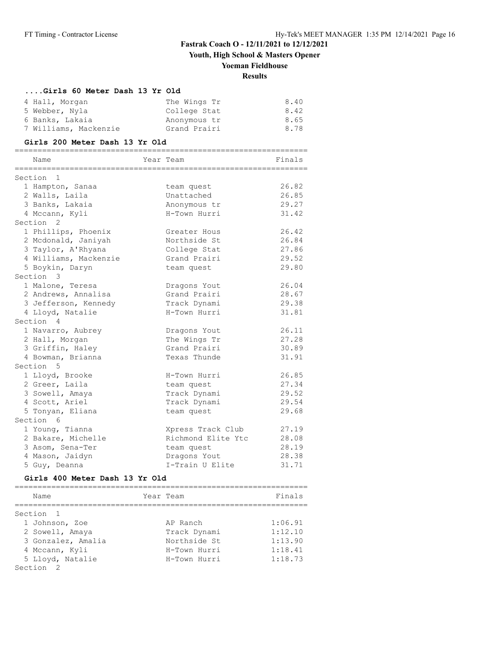**Youth, High School & Masters Opener**

# **Yoeman Fieldhouse**

# **Results**

#### **....Girls 60 Meter Dash 13 Yr Old**

| 4 Hall, Morgan        | The Wings Tr | 8.40 |
|-----------------------|--------------|------|
| 5 Webber, Nyla        | College Stat | 8.42 |
| 6 Banks, Lakaia       | Anonymous tr | 8.65 |
| 7 Williams, Mackenzie | Grand Prairi | 8.78 |

#### **Girls 200 Meter Dash 13 Yr Old**

| ========              | ===================== |        |
|-----------------------|-----------------------|--------|
| Name                  | Year Team             | Finals |
| Section 1             |                       |        |
| 1 Hampton, Sanaa      | team quest            | 26.82  |
| 2 Walls, Laila        | Unattached            | 26.85  |
| 3 Banks, Lakaia       | Anonymous tr          | 29.27  |
| 4 Mccann, Kyli        | H-Town Hurri          | 31.42  |
| Section <sub>2</sub>  |                       |        |
| 1 Phillips, Phoenix   | Greater Hous          | 26.42  |
| 2 Mcdonald, Janiyah   | Northside St          | 26.84  |
| 3 Taylor, A'Rhyana    | College Stat          | 27.86  |
| 4 Williams, Mackenzie | Grand Prairi          | 29.52  |
| 5 Boykin, Daryn       | team quest            | 29.80  |
| Section 3             |                       |        |
| 1 Malone, Teresa      | Dragons Yout          | 26.04  |
| 2 Andrews, Annalisa   | Grand Prairi          | 28.67  |
| 3 Jefferson, Kennedy  | Track Dynami          | 29.38  |
| 4 Lloyd, Natalie      | H-Town Hurri          | 31.81  |
| Section 4             |                       |        |
| 1 Navarro, Aubrey     | Dragons Yout          | 26.11  |
| 2 Hall, Morgan        | The Wings Tr          | 27.28  |
| 3 Griffin, Haley      | Grand Prairi          | 30.89  |
| 4 Bowman, Brianna     | Texas Thunde          | 31.91  |
| Section 5             |                       |        |
| 1 Lloyd, Brooke       | H-Town Hurri          | 26.85  |
| 2 Greer, Laila        | team quest            | 27.34  |
| 3 Sowell, Amaya       | Track Dynami          | 29.52  |
| 4 Scott, Ariel        | Track Dynami          | 29.54  |
| 5 Tonyan, Eliana      | team quest            | 29.68  |
| Section 6             |                       |        |
| 1 Young, Tianna       | Xpress Track Club     | 27.19  |
| 2 Bakare, Michelle    | Richmond Elite Ytc    | 28.08  |
| 3 Asom, Sena-Ter      | team quest            | 28.19  |
| 4 Mason, Jaidyn       | Dragons Yout          | 28.38  |
| 5 Guy, Deanna         | I-Train U Elite       | 31.71  |

#### **Girls 400 Meter Dash 13 Yr Old**

| Name                 | Year Team    | Finals  |
|----------------------|--------------|---------|
| Section 1            |              |         |
| 1 Johnson, Zoe       | AP Ranch     | 1:06.91 |
| 2 Sowell, Amaya      | Track Dynami | 1:12.10 |
| 3 Gonzalez, Amalia   | Northside St | 1:13.90 |
| 4 Mccann, Kyli       | H-Town Hurri | 1:18.41 |
| 5 Lloyd, Natalie     | H-Town Hurri | 1:18.73 |
| Section <sub>2</sub> |              |         |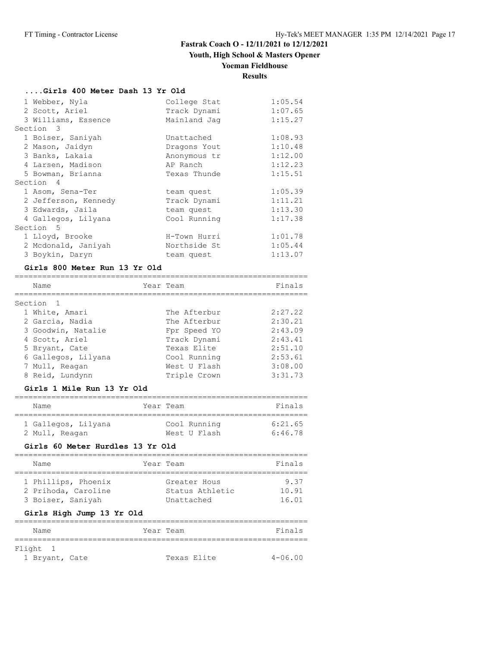# **Youth, High School & Masters Opener**

## **Yoeman Fieldhouse**

# **Results**

### **....Girls 400 Meter Dash 13 Yr Old**

| 1 Webber, Nyla       | College Stat | 1:05.54 |
|----------------------|--------------|---------|
| 2 Scott, Ariel       | Track Dynami | 1:07.65 |
| 3 Williams, Essence  | Mainland Jag | 1:15.27 |
| Section 3            |              |         |
| 1 Boiser, Saniyah    | Unattached   | 1:08.93 |
| 2 Mason, Jaidyn      | Dragons Yout | 1:10.48 |
| 3 Banks, Lakaia      | Anonymous tr | 1:12.00 |
| 4 Larsen, Madison    | AP Ranch     | 1:12.23 |
| 5 Bowman, Brianna    | Texas Thunde | 1:15.51 |
| Section 4            |              |         |
| 1 Asom, Sena-Ter     | team quest   | 1:05.39 |
| 2 Jefferson, Kennedy | Track Dynami | 1:11.21 |
| 3 Edwards, Jaila     | team quest   | 1:13.30 |
| 4 Gallegos, Lilyana  | Cool Running | 1:17.38 |
| Section 5            |              |         |
| 1 Lloyd, Brooke      | H-Town Hurri | 1:01.78 |
| 2 Mcdonald, Janiyah  | Northside St | 1:05.44 |
| 3 Boykin, Daryn      | team quest   | 1:13.07 |

#### **Girls 800 Meter Run 13 Yr Old**

| Name                 | Year Team    | Finals  |
|----------------------|--------------|---------|
|                      |              |         |
| Section <sub>1</sub> |              |         |
| 1 White, Amari       | The Afterbur | 2:27.22 |
| 2 Garcia, Nadia      | The Afterbur | 2:30.21 |
| 3 Goodwin, Natalie   | Fpr Speed YO | 2:43.09 |
| 4 Scott, Ariel       | Track Dynami | 2:43.41 |
| 5 Bryant, Cate       | Texas Elite  | 2:51.10 |
| 6 Gallegos, Lilyana  | Cool Running | 2:53.61 |
| 7 Mull, Reagan       | West U Flash | 3:08.00 |
| 8 Reid, Lundynn      | Triple Crown | 3:31.73 |

#### **Girls 1 Mile Run 13 Yr Old**

| Name                | Year Team    | Finals  |
|---------------------|--------------|---------|
| 1 Gallegos, Lilyana | Cool Running | 6:21.65 |
| 2 Mull, Reagan      | West U Flash | 6:46.78 |

#### **Girls 60 Meter Hurdles 13 Yr Old**

| Name                | Year Team       | Finals |
|---------------------|-----------------|--------|
|                     |                 |        |
| 1 Phillips, Phoenix | Greater Hous    | 9.37   |
| 2 Prihoda, Caroline | Status Athletic | 10.91  |
| 3 Boiser, Saniyah   | Unattached      | 16.01  |
|                     |                 |        |

#### **Girls High Jump 13 Yr Old**

| Name           | Year Team |             | Finals      |
|----------------|-----------|-------------|-------------|
|                |           |             |             |
| Flight 1       |           |             |             |
| 1 Bryant, Cate |           | Texas Elite | $4 - 06.00$ |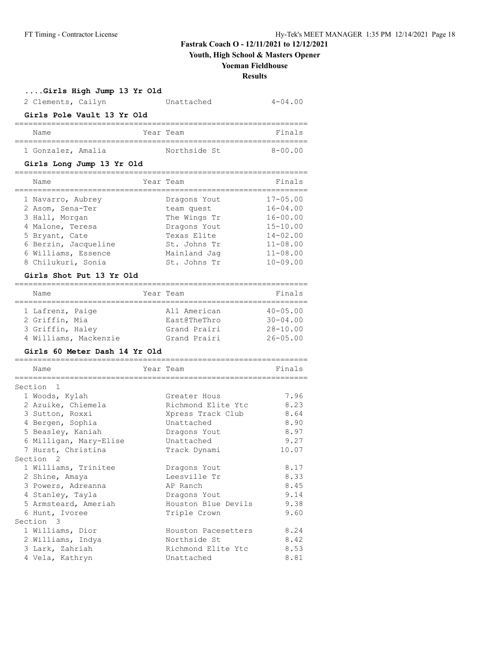**Youth, High School & Masters Opener**

#### **Yoeman Fieldhouse**

**Results**

**....Girls High Jump 13 Yr Old**

| 2 Clements, Cailyn |                            | Unattached   | $4 - 04.00$ |
|--------------------|----------------------------|--------------|-------------|
|                    | Girls Pole Vault 13 Yr Old |              |             |
| Name               |                            | Year Team    | Finals      |
| 1 Gonzalez, Amalia |                            | Northside St | $8 - 00.00$ |

#### **Girls Long Jump 13 Yr Old**

| Name                 | Year Team    | Finals       |
|----------------------|--------------|--------------|
| 1 Navarro, Aubrey    | Dragons Yout | $17 - 05.00$ |
| 2 Asom, Sena-Ter     | team quest   | $16 - 04.00$ |
| 3 Hall, Morgan       | The Wings Tr | $16 - 00.00$ |
| 4 Malone, Teresa     | Dragons Yout | $15 - 10.00$ |
| 5 Bryant, Cate       | Texas Elite  | $14 - 02.00$ |
| 6 Berzin, Jacqueline | St. Johns Tr | $11 - 08.00$ |
| 6 Williams, Essence  | Mainland Jag | $11 - 08.00$ |
| 8 Chilukuri, Sonia   | St. Johns Tr | $10 - 09.00$ |

#### **Girls Shot Put 13 Yr Old**

| Name             |                       | Year Team |              | Finals       |
|------------------|-----------------------|-----------|--------------|--------------|
|                  |                       |           |              |              |
| 1 Lafrenz, Paige |                       |           | All American | $40 - 05.00$ |
| 2 Griffin, Mia   |                       |           | East@TheThro | $30 - 04.00$ |
| 3 Griffin, Haley |                       |           | Grand Prairi | $28 - 10.00$ |
|                  | 4 Williams, Mackenzie |           | Grand Prairi | $26 - 05.00$ |

#### **Girls 60 Meter Dash 14 Yr Old**

| Name                   | Year Team           | Finals |
|------------------------|---------------------|--------|
|                        |                     |        |
| Section 1              |                     |        |
| 1 Woods, Kylah         | Greater Hous        | 7.96   |
| 2 Azuike, Chiemela     | Richmond Elite Ytc  | 8.23   |
| 3 Sutton, Roxxi        | Xpress Track Club   | 8.64   |
| 4 Bergen, Sophia       | Unattached          | 8.90   |
| 5 Beasley, Kaniah      | Dragons Yout        | 8.97   |
| 6 Milligan, Mary-Elise | Unattached          | 9.27   |
| 7 Hurst, Christina     | Track Dynami        | 10.07  |
| Section <sub>2</sub>   |                     |        |
| 1 Williams, Trinitee   | Dragons Yout        | 8.17   |
| 2 Shine, Amaya         | Leesville Tr        | 8.33   |
| 3 Powers, Adreanna     | AP Ranch            | 8.45   |
| 4 Stanley, Tayla       | Dragons Yout        | 9.14   |
| 5 Armsteard, Ameriah   | Houston Blue Devils | 9.38   |
| 6 Hunt, Ivoree         | Triple Crown        | 9.60   |
| Section 3              |                     |        |
| 1 Williams, Dior       | Houston Pacesetters | 8.24   |
| 2 Williams, Indya      | Northside St        | 8.42   |
| 3 Lark, Zahriah        | Richmond Elite Ytc  | 8.53   |
| 4 Vela, Kathryn        | Unattached          | 8.81   |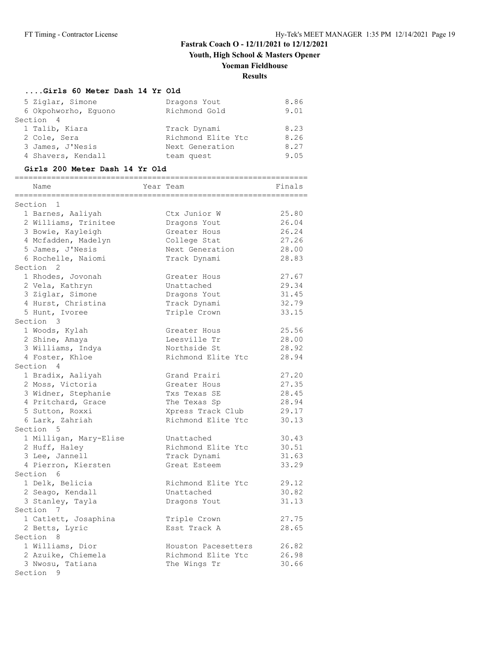**Youth, High School & Masters Opener**

# **Yoeman Fieldhouse**

# **Results**

#### **....Girls 60 Meter Dash 14 Yr Old**

| 5 Ziglar, Simone     | Dragons Yout       | 8.86 |
|----------------------|--------------------|------|
| 6 Okpohworho, Equono | Richmond Gold      | 9.01 |
| Section 4            |                    |      |
| 1 Talib, Kiara       | Track Dynami       | 8.23 |
| 2 Cole, Sera         | Richmond Elite Ytc | 8.26 |
| 3 James, J'Nesis     | Next Generation    | 8.27 |
| 4 Shavers, Kendall   | team quest         | 9.05 |
|                      |                    |      |

#### **Girls 200 Meter Dash 14 Yr Old**

| =============================<br>Name<br>======================= | ------------------------------------<br>Year Team | Finals |
|------------------------------------------------------------------|---------------------------------------------------|--------|
| Section 1                                                        |                                                   |        |
| 1 Barnes, Aaliyah                                                | Ctx Junior W                                      | 25.80  |
| 2 Williams, Trinitee                                             | Dragons Yout                                      | 26.04  |
| 3 Bowie, Kayleigh                                                | Greater Hous                                      | 26.24  |
| 4 Mcfadden, Madelyn                                              | College Stat                                      | 27.26  |
| 5 James, J'Nesis                                                 | Next Generation                                   | 28.00  |
| 6 Rochelle, Naiomi                                               | Track Dynami                                      | 28.83  |
| Section 2                                                        |                                                   |        |
| 1 Rhodes, Jovonah                                                | Greater Hous                                      | 27.67  |
| 2 Vela, Kathryn                                                  | Unattached                                        | 29.34  |
| 3 Ziglar, Simone                                                 | Dragons Yout                                      | 31.45  |
| 4 Hurst, Christina                                               | Track Dynami                                      | 32.79  |
| 5 Hunt, Ivoree                                                   | Triple Crown                                      | 33.15  |
| Section 3                                                        |                                                   |        |
| 1 Woods, Kylah                                                   | Greater Hous                                      | 25.56  |
| 2 Shine, Amaya                                                   | Leesville Tr                                      | 28.00  |
| 3 Williams, Indya                                                | Northside St                                      | 28.92  |
| 4 Foster, Khloe                                                  | Richmond Elite Ytc                                | 28.94  |
| Section 4                                                        |                                                   |        |
| 1 Bradix, Aaliyah                                                | Grand Prairi                                      | 27.20  |
| 2 Moss, Victoria                                                 | Greater Hous                                      | 27.35  |
| 3 Widner, Stephanie                                              | Txs Texas SE                                      | 28.45  |
| 4 Pritchard, Grace                                               | The Texas Sp                                      | 28.94  |
| 5 Sutton, Roxxi                                                  | Xpress Track Club                                 | 29.17  |
| 6 Lark, Zahriah                                                  | Richmond Elite Ytc                                | 30.13  |
| Section 5                                                        |                                                   |        |
| 1 Milligan, Mary-Elise                                           | Unattached                                        | 30.43  |
| 2 Huff, Haley                                                    | Richmond Elite Ytc                                | 30.51  |
| 3 Lee, Jannell                                                   | Track Dynami                                      | 31.63  |
| 4 Pierron, Kiersten                                              | Great Esteem                                      | 33.29  |
| Section 6                                                        |                                                   |        |
| 1 Delk, Belicia                                                  | Richmond Elite Ytc                                | 29.12  |
| 2 Seago, Kendall                                                 | Unattached                                        | 30.82  |
| 3 Stanley, Tayla                                                 | Dragons Yout                                      | 31.13  |
| Section 7                                                        |                                                   |        |
| 1 Catlett, Josaphina                                             | Triple Crown                                      | 27.75  |
| 2 Betts, Lyric                                                   | Esst Track A                                      | 28.65  |
| Section 8                                                        |                                                   |        |
| 1 Williams, Dior                                                 | Houston Pacesetters                               | 26.82  |
| 2 Azuike, Chiemela                                               | Richmond Elite Ytc                                | 26.98  |
| 3 Nwosu, Tatiana                                                 | The Wings Tr                                      | 30.66  |
| Section<br>-9                                                    |                                                   |        |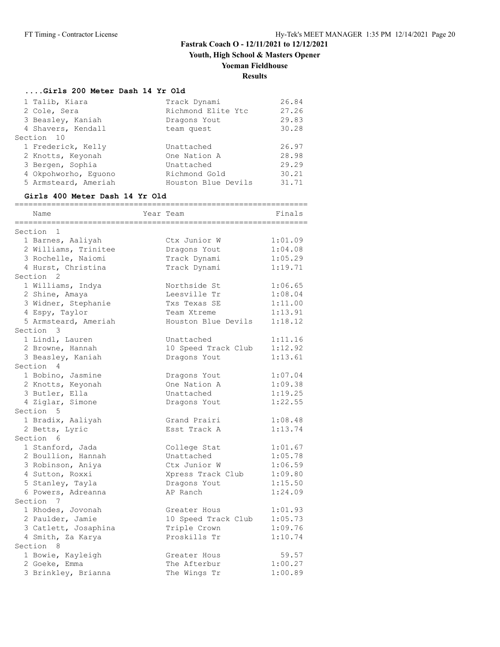**Youth, High School & Masters Opener**

# **Yoeman Fieldhouse**

# **Results**

### **....Girls 200 Meter Dash 14 Yr Old**

| 1 Talib, Kiara       | Track Dynami        | 26.84 |
|----------------------|---------------------|-------|
| 2 Cole, Sera         | Richmond Elite Ytc  | 27.26 |
| 3 Beasley, Kaniah    | Dragons Yout        | 29.83 |
| 4 Shavers, Kendall   | team quest          | 30.28 |
| Section 10           |                     |       |
| 1 Frederick, Kelly   | Unattached          | 26.97 |
| 2 Knotts, Keyonah    | One Nation A        | 28.98 |
| 3 Bergen, Sophia     | Unattached          | 29.29 |
| 4 Okpohworho, Equono | Richmond Gold       | 30.21 |
| 5 Armsteard, Ameriah | Houston Blue Devils | 31.71 |
|                      |                     |       |

#### **Girls 400 Meter Dash 14 Yr Old**

| Name                   | Year Team           | Finals  |
|------------------------|---------------------|---------|
| $\mathbf 1$<br>Section |                     |         |
| 1 Barnes, Aaliyah      | Ctx Junior W        | 1:01.09 |
| 2 Williams, Trinitee   | Dragons Yout        | 1:04.08 |
| 3 Rochelle, Naiomi     | Track Dynami        | 1:05.29 |
| 4 Hurst, Christina     | Track Dynami        | 1:19.71 |
| Section <sub>2</sub>   |                     |         |
| 1 Williams, Indya      | Northside St        | 1:06.65 |
| 2 Shine, Amaya         | Leesville Tr        | 1:08.04 |
| 3 Widner, Stephanie    | Txs Texas SE        | 1:11.00 |
| 4 Espy, Taylor         | Team Xtreme         | 1:13.91 |
| 5 Armsteard, Ameriah   | Houston Blue Devils | 1:18.12 |
| Section 3              |                     |         |
| 1 Lindl, Lauren        | Unattached          | 1:11.16 |
| 2 Browne, Hannah       | 10 Speed Track Club | 1:12.92 |
| 3 Beasley, Kaniah      | Dragons Yout        | 1:13.61 |
| Section 4              |                     |         |
| 1 Bobino, Jasmine      | Dragons Yout        | 1:07.04 |
| 2 Knotts, Keyonah      | One Nation A        | 1:09.38 |
| 3 Butler, Ella         | Unattached          | 1:19.25 |
| 4 Ziglar, Simone       | Dragons Yout        | 1:22.55 |
| Section 5              |                     |         |
| 1 Bradix, Aaliyah      | Grand Prairi        | 1:08.48 |
| 2 Betts, Lyric         | Esst Track A        | 1:13.74 |
| Section 6              |                     |         |
| 1 Stanford, Jada       | College Stat        | 1:01.67 |
| 2 Boullion, Hannah     | Unattached          | 1:05.78 |
| 3 Robinson, Aniya      | Ctx Junior W        | 1:06.59 |
| 4 Sutton, Roxxi        | Xpress Track Club   | 1:09.80 |
| 5 Stanley, Tayla       | Dragons Yout        | 1:15.50 |
| 6 Powers, Adreanna     | AP Ranch            | 1:24.09 |
| Section 7              |                     |         |
| 1 Rhodes, Jovonah      | Greater Hous        | 1:01.93 |
| 2 Paulder, Jamie       | 10 Speed Track Club | 1:05.73 |
| 3 Catlett, Josaphina   | Triple Crown        | 1:09.76 |
| 4 Smith, Za Karya      | Proskills Tr        | 1:10.74 |
| Section 8              |                     |         |
| 1 Bowie, Kayleigh      | Greater Hous        | 59.57   |
| 2 Goeke, Emma          | The Afterbur        | 1:00.27 |
| 3 Brinkley, Brianna    | The Wings Tr        | 1:00.89 |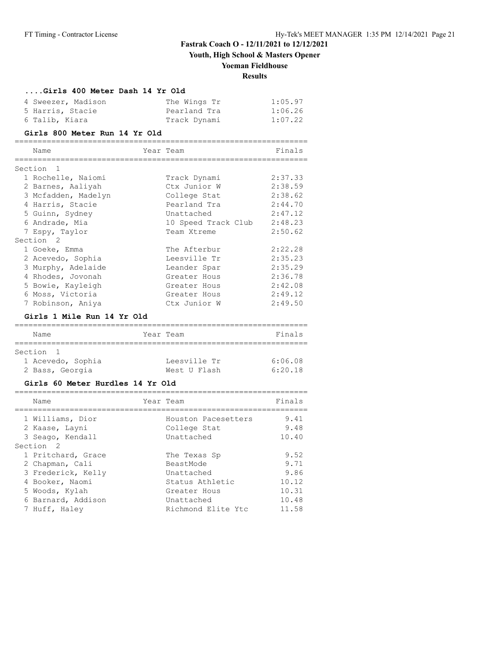**Youth, High School & Masters Opener**

### **Yoeman Fieldhouse**

# **Results**

#### **....Girls 400 Meter Dash 14 Yr Old**

| 4 Sweezer, Madison | The Wings Tr | 1:05.97 |
|--------------------|--------------|---------|
| 5 Harris, Stacie   | Pearland Tra | 1:06.26 |
| 6 Talib, Kiara     | Track Dynami | 1:07.22 |

#### **Girls 800 Meter Run 14 Yr Old**

| Name                      | Year Team |                     | Finals  |
|---------------------------|-----------|---------------------|---------|
| Section<br>$\overline{1}$ |           |                     |         |
| 1 Rochelle, Naiomi        |           | Track Dynami        | 2:37.33 |
| 2 Barnes, Aaliyah         |           | Ctx Junior W        | 2:38.59 |
| 3 Mcfadden, Madelyn       |           | College Stat        | 2:38.62 |
| 4 Harris, Stacie          |           | Pearland Tra        | 2:44.70 |
| 5 Guinn, Sydney           |           | Unattached          | 2:47.12 |
| 6 Andrade, Mia            |           | 10 Speed Track Club | 2:48.23 |
| 7 Espy, Taylor            |           | Team Xtreme         | 2:50.62 |
| Section 2                 |           |                     |         |
| 1 Goeke, Emma             |           | The Afterbur        | 2:22.28 |
| 2 Acevedo, Sophia         |           | Leesville Tr        | 2:35.23 |
| 3 Murphy, Adelaide        |           | Leander Spar        | 2:35.29 |
| 4 Rhodes, Jovonah         |           | Greater Hous        | 2:36.78 |
| 5 Bowie, Kayleigh         |           | Greater Hous        | 2:42.08 |
| 6 Moss, Victoria          |           | Greater Hous        | 2:49.12 |
| 7 Robinson, Aniya         |           | Ctx Junior W        | 2:49.50 |

#### **Girls 1 Mile Run 14 Yr Old**

| Name              | Year Team    | Finals  |
|-------------------|--------------|---------|
| Section 1         |              |         |
| 1 Acevedo, Sophia | Leesville Tr | 6:06.08 |
| 2 Bass, Georgia   | West U Flash | 6:20.18 |

#### **Girls 60 Meter Hurdles 14 Yr Old**

| Name                                                   | Year Team |                                                   | Finals                |
|--------------------------------------------------------|-----------|---------------------------------------------------|-----------------------|
| 1 Williams, Dior<br>2 Kaase, Layni<br>3 Seago, Kendall |           | Houston Pacesetters<br>College Stat<br>Unattached | 9.41<br>9.48<br>10.40 |
| Section 2                                              |           |                                                   |                       |
| 1 Pritchard, Grace                                     |           | The Texas Sp                                      | 9.52                  |
| 2 Chapman, Cali                                        |           | BeastMode                                         | 9.71                  |
| 3 Frederick, Kelly                                     |           | Unattached                                        | 9.86                  |
| 4 Booker, Naomi                                        |           | Status Athletic                                   | 10.12                 |
| 5 Woods, Kylah                                         |           | Greater Hous                                      | 10.31                 |
| 6 Barnard, Addison                                     |           | Unattached                                        | 10.48                 |
| 7 Huff, Haley                                          |           | Richmond Elite Ytc                                | 11.58                 |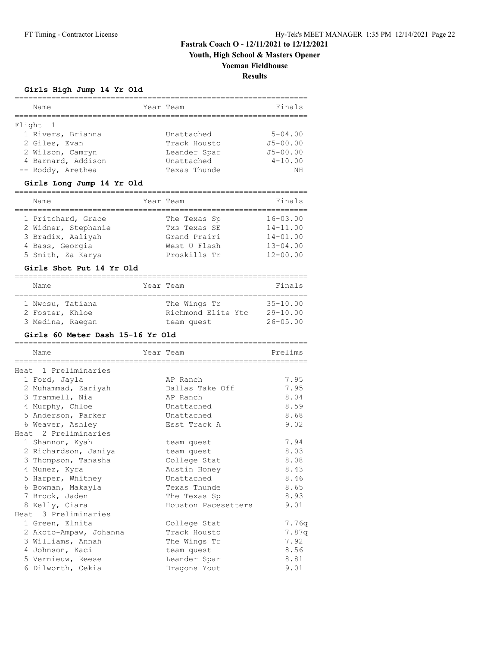**Youth, High School & Masters Opener**

# **Yoeman Fieldhouse**

**Results**

#### **Girls High Jump 14 Yr Old**

| Name               | Year Team    | Finals       |
|--------------------|--------------|--------------|
|                    |              |              |
| Flight 1           |              |              |
| 1 Rivers, Brianna  | Unattached   | $5 - 04.00$  |
| 2 Giles, Evan      | Track Housto | $J5 - 00.00$ |
| 2 Wilson, Camryn   | Leander Spar | $J5 - 00.00$ |
| 4 Barnard, Addison | Unattached   | $4 - 10.00$  |
| -- Roddy, Arethea  | Texas Thunde | ΝH           |

#### **Girls Long Jump 14 Yr Old**

| Name                | Year Team    | Finals       |
|---------------------|--------------|--------------|
| 1 Pritchard, Grace  | The Texas Sp | $16 - 03.00$ |
| 2 Widner, Stephanie | Txs Texas SE | $14 - 11.00$ |
| 3 Bradix, Aaliyah   | Grand Prairi | $14 - 01.00$ |
| 4 Bass, Georgia     | West U Flash | $13 - 04.00$ |
| 5 Smith, Za Karya   | Proskills Tr | $12 - 00.00$ |

#### **Girls Shot Put 14 Yr Old**

| Name             | Year Team          | Finals       |
|------------------|--------------------|--------------|
|                  |                    |              |
| 1 Nwosu, Tatiana | The Wings Tr       | $35 - 10.00$ |
| 2 Foster, Khloe  | Richmond Elite Ytc | $29 - 10.00$ |
| 3 Medina, Raegan | team quest         | $26 - 05.00$ |

#### **Girls 60 Meter Dash 15-16 Yr Old**

|                        |                           | ======= |
|------------------------|---------------------------|---------|
| Name                   | Year Team                 | Prelims |
|                        | ========================= |         |
| Heat 1 Preliminaries   |                           |         |
| 1 Ford, Jayla          | AP Ranch                  | 7.95    |
| 2 Muhammad, Zariyah    | Dallas Take Off           | 7.95    |
| 3 Trammell, Nia        | AP Ranch                  | 8.04    |
| 4 Murphy, Chloe        | Unattached                | 8.59    |
| 5 Anderson, Parker     | Unattached                | 8.68    |
| 6 Weaver, Ashley       | Esst Track A              | 9.02    |
| Heat 2 Preliminaries   |                           |         |
| 1 Shannon, Kyah        | team quest                | 7.94    |
| 2 Richardson, Janiya   | team quest                | 8.03    |
| 3 Thompson, Tanasha    | College Stat              | 8.08    |
| 4 Nunez, Kyra          | Austin Honey              | 8.43    |
| 5 Harper, Whitney      | Unattached                | 8.46    |
| 6 Bowman, Makayla      | Texas Thunde              | 8.65    |
| 7 Brock, Jaden         | The Texas Sp              | 8.93    |
| 8 Kelly, Ciara         | Houston Pacesetters       | 9.01    |
| Heat 3 Preliminaries   |                           |         |
| 1 Green, Elnita        | College Stat              | 7.76q   |
| 2 Akoto-Ampaw, Johanna | Track Housto              | 7.87q   |
| 3 Williams, Annah      | The Wings Tr              | 7.92    |
| 4 Johnson, Kaci        | team quest                | 8.56    |
| 5 Vernieuw, Reese      | Leander Spar              | 8.81    |
| 6 Dilworth, Cekia      | Dragons Yout              | 9.01    |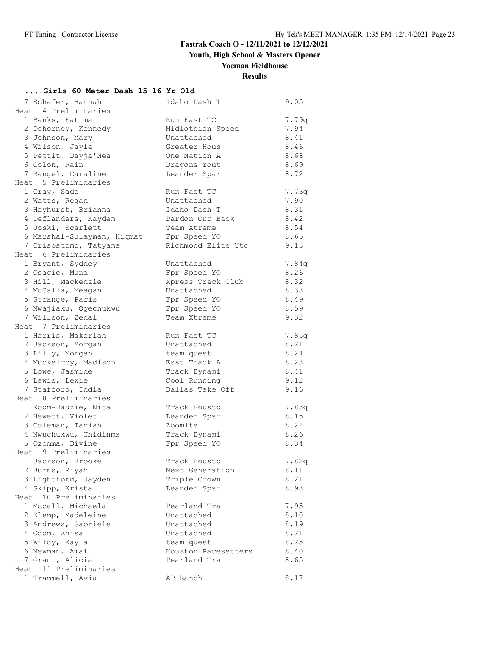**Youth, High School & Masters Opener**

# **Yoeman Fieldhouse**

# **Results**

### **....Girls 60 Meter Dash 15-16 Yr Old**

| 7 Schafer, Hannah          | Idaho Dash T        | 9.05  |
|----------------------------|---------------------|-------|
| Heat 4 Preliminaries       |                     |       |
| 1 Banks, Fatima            | Run Fast TC         | 7.79q |
| 2 Dehorney, Kennedy        | Midlothian Speed    | 7.94  |
| 3 Johnson, Mary            | Unattached          | 8.41  |
| 4 Wilson, Jayla            | Greater Hous        | 8.46  |
| 5 Pettit, Dayja'Nea        | One Nation A        | 8.68  |
| 6 Colon, Rain              | Dragons Yout        | 8.69  |
| 7 Rangel, Caraline         | Leander Spar        | 8.72  |
| Heat 5 Preliminaries       |                     |       |
| 1 Gray, Sade'              | Run Fast TC         | 7.73q |
| 2 Watts, Regan             | Unattached          | 7.90  |
| 3 Hayhurst, Brianna        | Idaho Dash T        | 8.31  |
| 4 Deflanders, Kayden       | Pardon Our Back     | 8.42  |
| 5 Joski, Scarlett          | Team Xtreme         | 8.54  |
| 6 Marshal-Sulayman, Hiqmat | Fpr Speed YO        | 8.65  |
| 7 Crisostomo, Tatyana      | Richmond Elite Ytc  | 9.13  |
| Heat 6 Preliminaries       |                     |       |
| 1 Bryant, Sydney           | Unattached          | 7.84q |
| 2 Osagie, Muna             | Fpr Speed YO        | 8.26  |
| 3 Hill, Mackenzie          | Xpress Track Club   | 8.32  |
| 4 McCalla, Meagan          | Unattached          | 8.38  |
| 5 Strange, Paris           | Fpr Speed YO        | 8.49  |
| 6 Nwajiaku, Ogechukwu      | Fpr Speed YO        | 8.59  |
| 7 Willson, Zenai           | Team Xtreme         | 9.32  |
| Heat 7 Preliminaries       |                     |       |
| 1 Harris, Makeriah         | Run Fast TC         | 7.85q |
| 2 Jackson, Morgan          | Unattached          | 8.21  |
| 3 Lilly, Morgan            | team quest          | 8.24  |
| 4 Muckelroy, Madison       | Esst Track A        | 8.28  |
| 5 Lowe, Jasmine            | Track Dynami        | 8.41  |
| 6 Lewis, Lexie             | Cool Running        | 9.12  |
| 7 Stafford, India          | Dallas Take Off     | 9.16  |
| Heat 8 Preliminaries       |                     |       |
| 1 Koom-Dadzie, Nita        | Track Housto        | 7.83q |
| 2 Hewett, Violet           | Leander Spar        | 8.15  |
| 3 Coleman, Taniah          | Zoomlte             | 8.22  |
| 4 Nwuchukwu, Chidinma      | Track Dynami        | 8.26  |
| 5 Ozomma, Divine           | Fpr Speed YO        | 8.34  |
| Heat 9 Preliminaries       |                     |       |
| 1 Jackson, Brooke          | Track Housto        | 7.82q |
| 2 Burns, Riyah             | Next Generation     | 8.11  |
| 3 Lightford, Jayden        | Triple Crown        | 8.21  |
| 4 Skipp, Krista            | Leander Spar        | 8.98  |
| 10 Preliminaries<br>Heat   |                     |       |
| 1 Mccall, Michaela         | Pearland Tra        | 7.95  |
| 2 Klemp, Madeleine         | Unattached          | 8.10  |
| 3 Andrews, Gabriele        | Unattached          | 8.19  |
| 4 Odom, Anisa              | Unattached          | 8.21  |
| 5 Wildy, Kayla             | team quest          | 8.25  |
| 6 Newman, Amai             | Houston Pacesetters | 8.40  |
| 7 Grant, Alicia            | Pearland Tra        | 8.65  |
| Heat 11 Preliminaries      |                     |       |
| 1 Trammell, Avia           | AP Ranch            | 8.17  |
|                            |                     |       |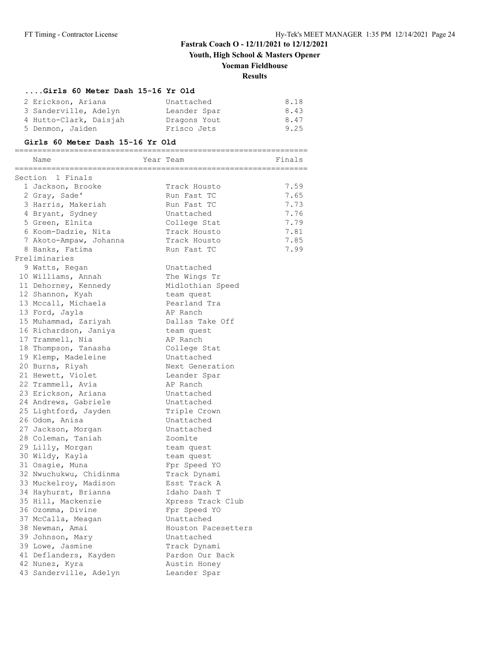**Youth, High School & Masters Opener**

# **Yoeman Fieldhouse**

# **Results**

#### **....Girls 60 Meter Dash 15-16 Yr Old**

| 2 Erickson, Ariana     | Unattached   | 8.18 |
|------------------------|--------------|------|
| 3 Sanderville, Adelyn  | Leander Spar | 8.43 |
| 4 Hutto-Clark, Daisjah | Dragons Yout | 8.47 |
| 5 Denmon, Jaiden       | Frisco Jets  | 9.25 |

#### **Girls 60 Meter Dash 15-16 Yr Old**

|                  | Name                   |  | Year Team           | Finals |
|------------------|------------------------|--|---------------------|--------|
| Section 1 Finals |                        |  |                     |        |
|                  | 1 Jackson, Brooke      |  | Track Housto        | 7.59   |
|                  | 2 Gray, Sade'          |  | Run Fast TC         | 7.65   |
|                  | 3 Harris, Makeriah     |  | Run Fast TC         | 7.73   |
|                  | 4 Bryant, Sydney       |  | Unattached          | 7.76   |
|                  | 5 Green, Elnita        |  | College Stat        | 7.79   |
|                  | 6 Koom-Dadzie, Nita    |  | Track Housto        | 7.81   |
|                  | 7 Akoto-Ampaw, Johanna |  | Track Housto        | 7.85   |
|                  | 8 Banks, Fatima        |  | Run Fast TC         | 7.99   |
|                  | Preliminaries          |  |                     |        |
|                  | 9 Watts, Regan         |  | Unattached          |        |
|                  | 10 Williams, Annah     |  | The Wings Tr        |        |
|                  | 11 Dehorney, Kennedy   |  | Midlothian Speed    |        |
|                  | 12 Shannon, Kyah       |  | team quest          |        |
|                  | 13 Mccall, Michaela    |  | Pearland Tra        |        |
|                  | 13 Ford, Jayla         |  | AP Ranch            |        |
|                  | 15 Muhammad, Zariyah   |  | Dallas Take Off     |        |
|                  | 16 Richardson, Janiya  |  | team quest          |        |
|                  | 17 Trammell, Nia       |  | AP Ranch            |        |
|                  | 18 Thompson, Tanasha   |  | College Stat        |        |
|                  | 19 Klemp, Madeleine    |  | Unattached          |        |
|                  | 20 Burns, Riyah        |  | Next Generation     |        |
|                  | 21 Hewett, Violet      |  | Leander Spar        |        |
|                  | 22 Trammell, Avia      |  | AP Ranch            |        |
|                  | 23 Erickson, Ariana    |  | Unattached          |        |
|                  | 24 Andrews, Gabriele   |  | Unattached          |        |
|                  | 25 Lightford, Jayden   |  | Triple Crown        |        |
|                  | 26 Odom, Anisa         |  | Unattached          |        |
|                  | 27 Jackson, Morgan     |  | Unattached          |        |
|                  | 28 Coleman, Taniah     |  | Zoomlte             |        |
|                  | 29 Lilly, Morgan       |  | team quest          |        |
|                  | 30 Wildy, Kayla        |  | team quest          |        |
|                  | 31 Osagie, Muna        |  | Fpr Speed YO        |        |
|                  | 32 Nwuchukwu, Chidinma |  | Track Dynami        |        |
|                  | 33 Muckelroy, Madison  |  | Esst Track A        |        |
|                  | 34 Hayhurst, Brianna   |  | Idaho Dash T        |        |
|                  | 35 Hill, Mackenzie     |  | Xpress Track Club   |        |
|                  | 36 Ozomma, Divine      |  | Fpr Speed YO        |        |
|                  | 37 McCalla, Meagan     |  | Unattached          |        |
|                  | 38 Newman, Amai        |  | Houston Pacesetters |        |
|                  | 39 Johnson, Mary       |  | Unattached          |        |
|                  | 39 Lowe, Jasmine       |  | Track Dynami        |        |
|                  | 41 Deflanders, Kayden  |  | Pardon Our Back     |        |
|                  | 42 Nunez, Kyra         |  | Austin Honey        |        |
|                  | 43 Sanderville, Adelyn |  | Leander Spar        |        |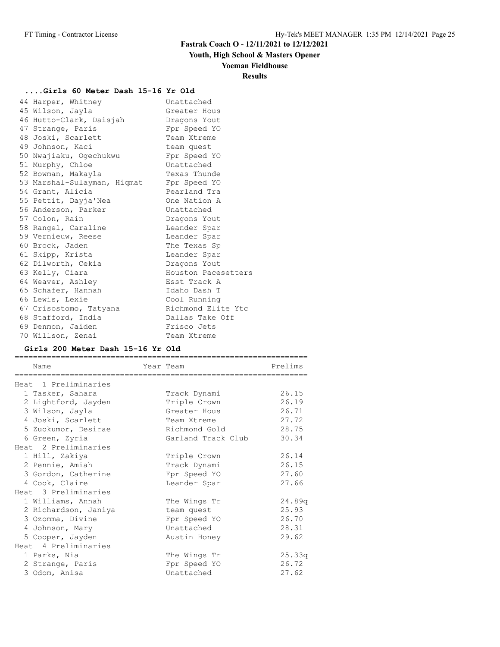# **Youth, High School & Masters Opener**

#### **Yoeman Fieldhouse**

#### **Results**

### **....Girls 60 Meter Dash 15-16 Yr Old**

| 44 Harper, Whitney          | Unattached          |
|-----------------------------|---------------------|
| 45 Wilson, Jayla            | Greater Hous        |
| 46 Hutto-Clark, Daisjah     | Dragons Yout        |
| 47 Strange, Paris           | Fpr Speed YO        |
| 48 Joski, Scarlett          | Team Xtreme         |
| 49 Johnson, Kaci            | team quest          |
| 50 Nwajiaku, Ogechukwu      | Fpr Speed YO        |
| 51 Murphy, Chloe            | Unattached          |
| 52 Bowman, Makayla          | Texas Thunde        |
| 53 Marshal-Sulayman, Hiqmat | Fpr Speed YO        |
| 54 Grant, Alicia            | Pearland Tra        |
| 55 Pettit, Dayja'Nea        | One Nation A        |
| 56 Anderson, Parker         | Unattached          |
| 57 Colon, Rain              | Dragons Yout        |
| 58 Rangel, Caraline         | Leander Spar        |
| 59 Vernieuw, Reese          | Leander Spar        |
| 60 Brock, Jaden             | The Texas Sp        |
| 61 Skipp, Krista            | Leander Spar        |
| 62 Dilworth, Cekia          | Dragons Yout        |
| 63 Kelly, Ciara             | Houston Pacesetters |
| 64 Weaver, Ashley           | Esst Track A        |
| 65 Schafer, Hannah          | Idaho Dash T        |
| 66 Lewis, Lexie             | Cool Running        |
| 67 Crisostomo, Tatyana      | Richmond Elite Ytc  |
| 68 Stafford, India          | Dallas Take Off     |
| 69 Denmon, Jaiden           | Frisco Jets         |
| 70 Willson, Zenai           | Team Xtreme         |

#### **Girls 200 Meter Dash 15-16 Yr Old**

| Name                 | Year Team          | Prelims |
|----------------------|--------------------|---------|
|                      |                    |         |
| Heat 1 Preliminaries |                    |         |
| 1 Tasker, Sahara     | Track Dynami       | 26.15   |
| 2 Lightford, Jayden  | Triple Crown       | 26.19   |
| 3 Wilson, Jayla      | Greater Hous       | 26.71   |
| 4 Joski, Scarlett    | Team Xtreme        | 27.72   |
| 5 Zuokumor, Desirae  | Richmond Gold      | 28.75   |
| 6 Green, Zyria       | Garland Track Club | 30.34   |
| Heat 2 Preliminaries |                    |         |
| 1 Hill, Zakiya       | Triple Crown       | 26.14   |
| 2 Pennie, Amiah      | Track Dynami       | 26.15   |
| 3 Gordon, Catherine  | Fpr Speed YO       | 27.60   |
| 4 Cook, Claire       | Leander Spar       | 27.66   |
| Heat 3 Preliminaries |                    |         |
| 1 Williams, Annah    | The Wings Tr       | 24.89q  |
| 2 Richardson, Janiya | team quest         | 25.93   |
| 3 Ozomma, Divine     | Fpr Speed YO       | 26.70   |
| 4 Johnson, Mary      | Unattached         | 28.31   |
| 5 Cooper, Jayden     | Austin Honey       | 29.62   |
| Heat 4 Preliminaries |                    |         |
| 1 Parks, Nia         | The Wings Tr       | 25.33q  |
| 2 Strange, Paris     | Fpr Speed YO       | 26.72   |
| 3 Odom, Anisa        | Unattached         | 27.62   |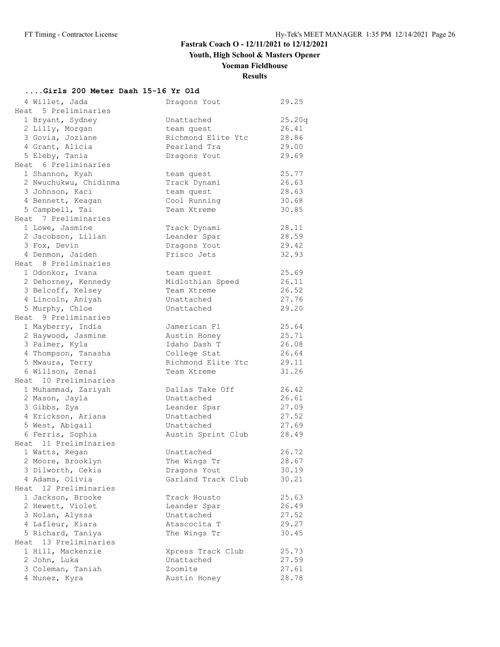**Youth, High School & Masters Opener**

# **Yoeman Fieldhouse**

**Results**

# **....Girls 200 Meter Dash 15-16 Yr Old**

| 4 Willet, Jada                           | Dragons Yout       | 29.25  |
|------------------------------------------|--------------------|--------|
| Heat 5 Preliminaries                     |                    |        |
| 1 Bryant, Sydney                         | Unattached         | 25.20q |
| 2 Lilly, Morgan                          | team quest         | 26.41  |
| 3 Govia, Joziane                         | Richmond Elite Ytc | 28.86  |
| 4 Grant, Alicia                          | Pearland Tra       | 29.00  |
| 5 Eleby, Tania                           | Dragons Yout       | 29.69  |
| Heat 6 Preliminaries                     |                    |        |
| 1 Shannon, Kyah                          | team quest         | 25.77  |
| 2 Nwuchukwu, Chidinma                    | Track Dynami       | 26.63  |
| 3 Johnson, Kaci                          | team quest         | 28.63  |
| 4 Bennett, Keagan                        | Cool Running       | 30.68  |
| 5 Campbell, Tai                          | Team Xtreme        | 30.85  |
| Heat 7 Preliminaries                     |                    |        |
| 1 Lowe, Jasmine                          | Track Dynami       | 28.11  |
| 2 Jacobson, Lilian                       | Leander Spar       | 28.59  |
|                                          |                    | 29.42  |
| 3 Fox, Devin                             | Dragons Yout       |        |
| 4 Denmon, Jaiden<br>Heat 8 Preliminaries | Frisco Jets        | 32.93  |
|                                          |                    |        |
| 1 Odonkor, Ivana                         | team quest         | 25.69  |
| 2 Dehorney, Kennedy                      | Midlothian Speed   | 26.11  |
| 3 Belcoff, Kelsey                        | Team Xtreme        | 26.52  |
| 4 Lincoln, Aniyah                        | Unattached         | 27.76  |
| 5 Murphy, Chloe                          | Unattached         | 29.20  |
| Heat 9 Preliminaries                     |                    |        |
| 1 Mayberry, India                        | Jamerican Fl       | 25.64  |
| 2 Haywood, Jasmine                       | Austin Honey       | 25.71  |
| 3 Palmer, Kyla                           | Idaho Dash T       | 26.08  |
| 4 Thompson, Tanasha                      | College Stat       | 26.64  |
| 5 Mwaura, Terry                          | Richmond Elite Ytc | 29.11  |
| 6 Willson, Zenai                         | Team Xtreme        | 31.26  |
| Heat 10 Preliminaries                    |                    |        |
| 1 Muhammad, Zariyah                      | Dallas Take Off    | 26.42  |
| 2 Mason, Jayla                           | Unattached         | 26.61  |
| 3 Gibbs, Zya                             | Leander Spar       | 27.09  |
| 4 Erickson, Ariana                       | Unattached         | 27.52  |
| 5 West, Abigail                          | Unattached         | 27.69  |
| 6 Ferris, Sophia                         | Austin Sprint Club | 28.49  |
| Heat 11 Preliminaries                    |                    |        |
| 1 Watts, Regan                           | Unattached         | 26.72  |
| 2 Moore, Brooklyn                        | The Wings Tr       | 28.67  |
| 3 Dilworth, Cekia                        | Dragons Yout       | 30.19  |
| 4 Adams, Olivia                          | Garland Track Club | 30.21  |
| 12 Preliminaries<br>Heat.                |                    |        |
| 1 Jackson, Brooke                        | Track Housto       | 25.63  |
| 2 Hewett, Violet                         | Leander Spar       | 26.49  |
| 3 Nolan, Alyssa                          | Unattached         | 27.52  |
| 4 Lafleur, Kiara                         | Atascocita T       | 29.27  |
| 5 Richard, Taniya                        | The Wings Tr       | 30.45  |
| Heat 13 Preliminaries                    |                    |        |
| 1 Hill, Mackenzie                        | Xpress Track Club  | 25.73  |
| 2 John, Luka                             | Unattached         | 27.59  |
| 3 Coleman, Taniah                        | Zoomlte            | 27.61  |
|                                          |                    |        |
| 4 Nunez, Kyra                            | Austin Honey       | 28.78  |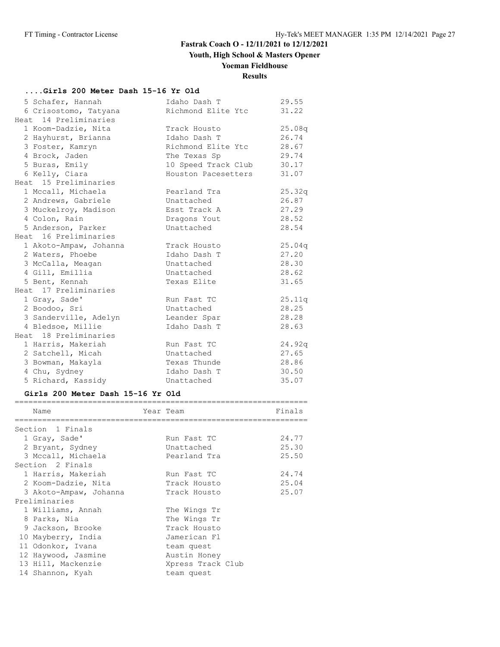# **Youth, High School & Masters Opener**

# **Yoeman Fieldhouse**

# **Results**

### **....Girls 200 Meter Dash 15-16 Yr Old**

| 5 Schafer, Hannah      | Idaho Dash T        | 29.55  |
|------------------------|---------------------|--------|
| 6 Crisostomo, Tatyana  | Richmond Elite Ytc  | 31.22  |
| Heat 14 Preliminaries  |                     |        |
| 1 Koom-Dadzie, Nita    | Track Housto        | 25.08q |
| 2 Hayhurst, Brianna    | Idaho Dash T        | 26.74  |
| 3 Foster, Kamryn       | Richmond Elite Ytc  | 28.67  |
| 4 Brock, Jaden         | The Texas Sp        | 29.74  |
| 5 Buras, Emily         | 10 Speed Track Club | 30.17  |
| 6 Kelly, Ciara         | Houston Pacesetters | 31.07  |
| Heat 15 Preliminaries  |                     |        |
| 1 Mccall, Michaela     | Pearland Tra        | 25.32q |
| 2 Andrews, Gabriele    | Unattached          | 26.87  |
| 3 Muckelroy, Madison   | Esst Track A        | 27.29  |
| 4 Colon, Rain          | Dragons Yout        | 28.52  |
| 5 Anderson, Parker     | Unattached          | 28.54  |
| Heat 16 Preliminaries  |                     |        |
| 1 Akoto-Ampaw, Johanna | Track Housto        | 25.04q |
| 2 Waters, Phoebe       | Idaho Dash T        | 27.20  |
| 3 McCalla, Meagan      | Unattached          | 28.30  |
| 4 Gill, Emillia        | Unattached          | 28.62  |
| 5 Bent, Kennah         | Texas Elite         | 31.65  |
| Heat 17 Preliminaries  |                     |        |
| 1 Gray, Sade'          | Run Fast TC         | 25.11q |
| 2 Boodoo, Sri          | Unattached          | 28.25  |
| 3 Sanderville, Adelyn  | Leander Spar        | 28.28  |
| 4 Bledsoe, Millie      | Idaho Dash T        | 28.63  |
| Heat 18 Preliminaries  |                     |        |
| 1 Harris, Makeriah     | Run Fast TC         | 24.92q |
| 2 Satchell, Micah      | Unattached          | 27.65  |
| 3 Bowman, Makayla      | Texas Thunde        | 28.86  |
| 4 Chu, Sydney          | Idaho Dash T        | 30.50  |
| 5 Richard, Kassidy     | Unattached          | 35.07  |

#### **Girls 200 Meter Dash 15-16 Yr Old**

| Name                   | Year Team         | Finals |
|------------------------|-------------------|--------|
| Section 1 Finals       |                   |        |
| 1 Gray, Sade'          | Run Fast TC       | 24.77  |
| 2 Bryant, Sydney       | Unattached        | 25.30  |
| 3 Mccall, Michaela     | Pearland Tra      | 25.50  |
| Section 2 Finals       |                   |        |
| 1 Harris, Makeriah     | Run Fast TC       | 24.74  |
| 2 Koom-Dadzie, Nita    | Track Housto      | 25.04  |
| 3 Akoto-Ampaw, Johanna | Track Housto      | 25.07  |
| Preliminaries          |                   |        |
| 1 Williams, Annah      | The Wings Tr      |        |
| 8 Parks, Nia           | The Wings Tr      |        |
| 9 Jackson, Brooke      | Track Housto      |        |
| 10 Mayberry, India     | Jamerican Fl      |        |
| 11 Odonkor, Ivana      | team quest        |        |
| 12 Haywood, Jasmine    | Austin Honey      |        |
| 13 Hill, Mackenzie     | Xpress Track Club |        |
| 14 Shannon, Kyah       | team quest        |        |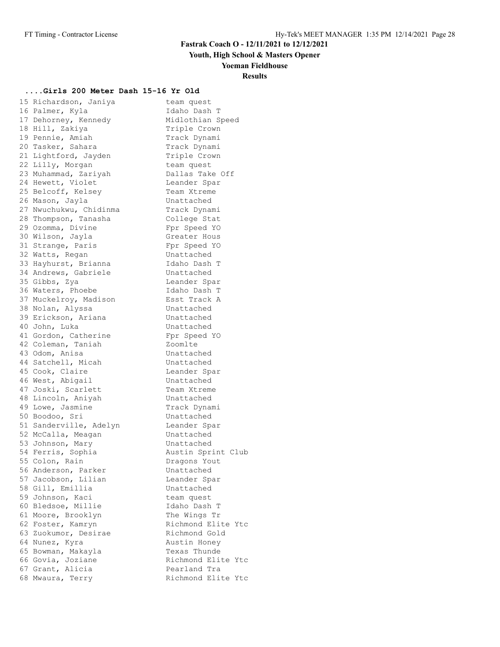**Youth, High School & Masters Opener**

**Yoeman Fieldhouse**

### **Results**

#### **....Girls 200 Meter Dash 15-16 Yr Old**

15 Richardson, Janiya **team quest** 16 Palmer, Kyla Idaho Dash T 17 Dehorney, Kennedy Midlothian Speed 18 Hill, Zakiya **Triple Crown** 19 Pennie, Amiah Manuel Track Dynami 20 Tasker, Sahara Manuk Track Dynami 21 Lightford, Jayden Triple Crown 22 Lilly, Morgan team quest 23 Muhammad, Zariyah Dallas Take Off 24 Hewett, Violet Chander Spar 25 Belcoff, Kelsey Team Xtreme 26 Mason, Jayla **Unattached** 27 Nwuchukwu, Chidinma  $\qquad \qquad$  Track Dynami 28 Thompson, Tanasha College Stat 29 Ozomma, Divine Fpr Speed YO 30 Wilson, Jayla **Greater** Hous 31 Strange, Paris Fpr Speed YO 32 Watts, Regan Chattached 33 Hayhurst, Brianna Idaho Dash T 34 Andrews, Gabriele Chattached 35 Gibbs, Zya Leander Spar 36 Waters, Phoebe **Idaho Dash T**  37 Muckelroy, Madison Esst Track A 38 Nolan, Alyssa Chattached 39 Erickson, Ariana and Unattached 40 John, Luka **Wareler Unattached** 41 Gordon, Catherine Fpr Speed YO 42 Coleman, Taniah  $\sim$  Zoomlte 43 Odom, Anisa Charles Unattached 44 Satchell, Micah Chattached 45 Cook, Claire and Leander Spar 46 West, Abigail Chattached 47 Joski, Scarlett Team Xtreme 48 Lincoln, Aniyah **Unattached** 49 Lowe, Jasmine Track Dynami 50 Boodoo, Sri Unattached 51 Sanderville, Adelyn Leander Spar 52 McCalla, Meagan Chattached 53 Johnson, Mary **East Communist Contracts** 54 Ferris, Sophia and Austin Sprint Club 55 Colon, Rain and Dragons Yout 56 Anderson, Parker Chattached 57 Jacobson, Lilian and Leander Spar 58 Gill, Emillia Unattached 59 Johnson, Kaci and team quest 60 Bledsoe, Millie Idaho Dash T 61 Moore, Brooklyn The Wings Tr 62 Foster, Kamryn Man Richmond Elite Ytc 63 Zuokumor, Desirae Richmond Gold 64 Nunez, Kyra and Austin Honey 65 Bowman, Makayla Texas Thunde 66 Govia, Joziane **Richmond Elite Ytc** 67 Grant, Alicia and Pearland Tra 68 Mwaura, Terry The Richmond Elite Ytc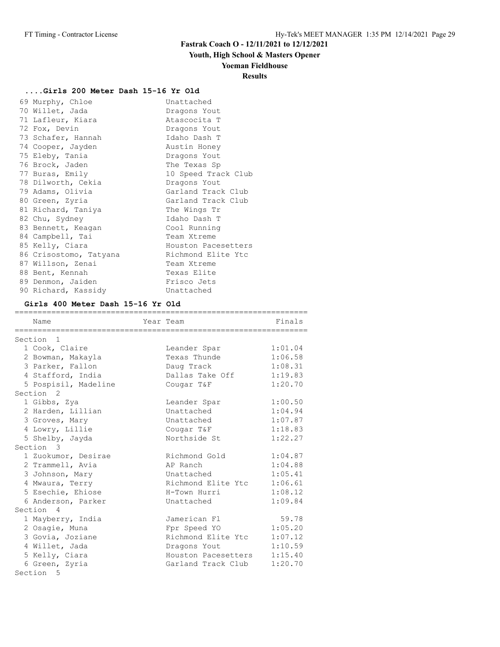# **Youth, High School & Masters Opener**

#### **Yoeman Fieldhouse**

### **Results**

#### **....Girls 200 Meter Dash 15-16 Yr Old**

| 69 Murphy, Chloe       | Unattached          |
|------------------------|---------------------|
| 70 Willet, Jada        | Dragons Yout        |
| 71 Lafleur, Kiara      | Atascocita T        |
| 72 Fox, Devin          | Dragons Yout        |
| 73 Schafer, Hannah     | Idaho Dash T        |
| 74 Cooper, Jayden      | Austin Honey        |
| 75 Eleby, Tania        | Dragons Yout        |
| 76 Brock, Jaden        | The Texas Sp        |
| 77 Buras, Emily        | 10 Speed Track Club |
| 78 Dilworth, Cekia     | Dragons Yout        |
| 79 Adams, Olivia       | Garland Track Club  |
| 80 Green, Zyria        | Garland Track Club  |
| 81 Richard, Taniya     | The Wings Tr        |
| 82 Chu, Sydney         | Idaho Dash T        |
| 83 Bennett, Keagan     | Cool Running        |
| 84 Campbell, Tai       | Team Xtreme         |
| 85 Kelly, Ciara        | Houston Pacesetters |
| 86 Crisostomo, Tatyana | Richmond Elite Ytc  |
| 87 Willson, Zenai      | Team Xtreme         |
| 88 Bent, Kennah        | Texas Elite         |
| 89 Denmon, Jaiden      | Frisco Jets         |
| 90 Richard, Kassidy    | Unattached          |

#### **Girls 400 Meter Dash 15-16 Yr Old**

| Name                 | Year Team           | Finals  |
|----------------------|---------------------|---------|
| Section <sub>1</sub> |                     |         |
| 1 Cook, Claire       | Leander Spar        | 1:01.04 |
| 2 Bowman, Makayla    | Texas Thunde        | 1:06.58 |
| 3 Parker, Fallon     | Daug Track          | 1:08.31 |
| 4 Stafford, India    | Dallas Take Off     | 1:19.83 |
| 5 Pospisil, Madeline | Cougar T&F          | 1:20.70 |
| Section <sub>2</sub> |                     |         |
| 1 Gibbs, Zya         | Leander Spar        | 1:00.50 |
| 2 Harden, Lillian    | Unattached          | 1:04.94 |
| 3 Groves, Mary       | Unattached          | 1:07.87 |
| 4 Lowry, Lillie      | Cougar T&F          | 1:18.83 |
| 5 Shelby, Jayda      | Northside St        | 1:22.27 |
| Section 3            |                     |         |
| 1 Zuokumor, Desirae  | Richmond Gold       | 1:04.87 |
| 2 Trammell, Avia     | AP Ranch            | 1:04.88 |
| 3 Johnson, Mary      | Unattached          | 1:05.41 |
| 4 Mwaura, Terry      | Richmond Elite Ytc  | 1:06.61 |
| 5 Esechie, Ehiose    | H-Town Hurri        | 1:08.12 |
| 6 Anderson, Parker   | Unattached          | 1:09.84 |
| Section 4            |                     |         |
| 1 Mayberry, India    | Jamerican Fl        | 59.78   |
| 2 Osagie, Muna       | Fpr Speed YO        | 1:05.20 |
| 3 Govia, Joziane     | Richmond Elite Ytc  | 1:07.12 |
| 4 Willet, Jada       | Dragons Yout        | 1:10.59 |
| 5 Kelly, Ciara       | Houston Pacesetters | 1:15.40 |
| 6 Green, Zyria       | Garland Track Club  | 1:20.70 |
| Section 5            |                     |         |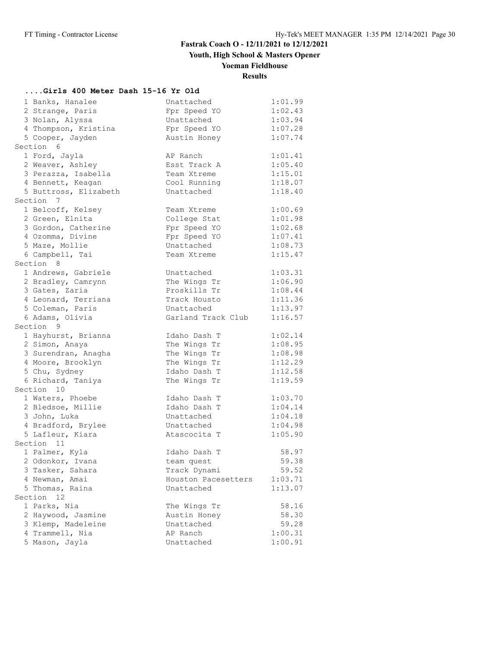**Youth, High School & Masters Opener**

# **Yoeman Fieldhouse**

**Results**

### **....Girls 400 Meter Dash 15-16 Yr Old**

| 1 Banks, Hanalee      | Unattached          | 1:01.99 |
|-----------------------|---------------------|---------|
| 2 Strange, Paris      | Fpr Speed YO        | 1:02.43 |
| 3 Nolan, Alyssa       | Unattached          | 1:03.94 |
| 4 Thompson, Kristina  | Fpr Speed YO        | 1:07.28 |
| 5 Cooper, Jayden      | Austin Honey        | 1:07.74 |
| Section 6             |                     |         |
| 1 Ford, Jayla         | AP Ranch            | 1:01.41 |
| 2 Weaver, Ashley      | Esst Track A        | 1:05.40 |
| 3 Perazza, Isabella   | Team Xtreme         | 1:15.01 |
| 4 Bennett, Keagan     | Cool Running        | 1:18.07 |
| 5 Buttross, Elizabeth | Unattached          | 1:18.40 |
| Section 7             |                     |         |
| 1 Belcoff, Kelsey     | Team Xtreme         | 1:00.69 |
| 2 Green, Elnita       | College Stat        | 1:01.98 |
| 3 Gordon, Catherine   | Fpr Speed YO        | 1:02.68 |
| 4 Ozomma, Divine      | Fpr Speed YO        | 1:07.41 |
| 5 Maze, Mollie        | Unattached          | 1:08.73 |
| 6 Campbell, Tai       | Team Xtreme         | 1:15.47 |
| Section 8             |                     |         |
| 1 Andrews, Gabriele   | Unattached          | 1:03.31 |
| 2 Bradley, Camrynn    | The Wings Tr        | 1:06.90 |
| 3 Gates, Zaria        | Proskills Tr        | 1:08.44 |
| 4 Leonard, Terriana   | Track Housto        | 1:11.36 |
| 5 Coleman, Paris      | Unattached          | 1:13.97 |
| 6 Adams, Olivia       | Garland Track Club  | 1:16.57 |
| Section 9             |                     |         |
| 1 Hayhurst, Brianna   | Idaho Dash T        | 1:02.14 |
| 2 Simon, Anaya        | The Wings Tr        | 1:08.95 |
| 3 Surendran, Anagha   | The Wings Tr        | 1:08.98 |
| 4 Moore, Brooklyn     | The Wings Tr        | 1:12.29 |
| 5 Chu, Sydney         | Idaho Dash T        | 1:12.58 |
| 6 Richard, Taniya     | The Wings Tr        | 1:19.59 |
| Section 10            |                     |         |
| 1 Waters, Phoebe      | Idaho Dash T        | 1:03.70 |
| 2 Bledsoe, Millie     | Idaho Dash T        | 1:04.14 |
| 3 John, Luka          | Unattached          | 1:04.18 |
| 4 Bradford, Brylee    | Unattached          | 1:04.98 |
| 5 Lafleur, Kiara      | Atascocita T        | 1:05.90 |
| Section 11            |                     |         |
| 1 Palmer, Kyla        | Idaho Dash T        | 58.97   |
| 2 Odonkor, Ivana      | team quest          | 59.38   |
| 3 Tasker, Sahara      | Track Dynami        | 59.52   |
| 4 Newman, Amai        | Houston Pacesetters | 1:03.71 |
| 5 Thomas, Raina       | Unattached          | 1:13.07 |
| Section<br>12         |                     |         |
| 1 Parks, Nia          | The Wings Tr        | 58.16   |
| 2 Haywood, Jasmine    | Austin Honey        | 58.30   |
| 3 Klemp, Madeleine    | Unattached          | 59.28   |
| 4 Trammell, Nia       | AP Ranch            | 1:00.31 |
| 5 Mason, Jayla        | Unattached          | 1:00.91 |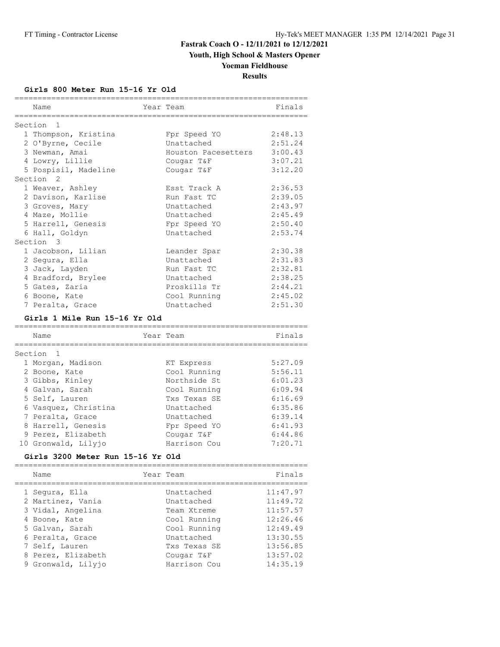# **Youth, High School & Masters Opener**

# **Yoeman Fieldhouse**

**Results**

#### **Girls 800 Meter Run 15-16 Yr Old**

| Name                          | Year Team           | Finals  |
|-------------------------------|---------------------|---------|
| Section 1                     |                     |         |
| 1 Thompson, Kristina          | Fpr Speed YO        | 2:48.13 |
| 2 O'Byrne, Cecile             | Unattached          | 2:51.24 |
| 3 Newman, Amai                | Houston Pacesetters | 3:00.43 |
| 4 Lowry, Lillie               | Cougar T&F          | 3:07.21 |
| 5 Pospisil, Madeline          | Cougar T&F          | 3:12.20 |
| Section <sub>2</sub>          |                     |         |
| 1 Weaver, Ashley              | Esst Track A        | 2:36.53 |
| 2 Davison, Karlise            | Run Fast TC         | 2:39.05 |
| 3 Groves, Mary                | Unattached          | 2:43.97 |
| 4 Maze, Mollie                | Unattached          | 2:45.49 |
| 5 Harrell, Genesis            | Fpr Speed YO        | 2:50.40 |
| 6 Hall, Goldyn                | Unattached          | 2:53.74 |
| Section 3                     |                     |         |
| 1 Jacobson, Lilian            | Leander Spar        | 2:30.38 |
| 2 Sequra, Ella                | Unattached          | 2:31.83 |
| 3 Jack, Layden                | Run Fast TC         | 2:32.81 |
| 4 Bradford, Brylee            | Unattached          | 2:38.25 |
| 5 Gates, Zaria                | Proskills Tr        | 2:44.21 |
| 6 Boone, Kate                 | Cool Running        | 2:45.02 |
| 7 Peralta, Grace              | Unattached          | 2:51.30 |
| Girls 1 Mile Run 15-16 Yr Old |                     |         |

| Name                 | Year Team    | Finals  |
|----------------------|--------------|---------|
| Section <sub>1</sub> |              |         |
| 1 Morgan, Madison    | KT Express   | 5:27.09 |
| 2 Boone, Kate        | Cool Running | 5:56.11 |
| 3 Gibbs, Kinley      | Northside St | 6:01.23 |
| 4 Galvan, Sarah      | Cool Running | 6:09.94 |
| 5 Self, Lauren       | Txs Texas SE | 6:16.69 |
| 6 Vasquez, Christina | Unattached   | 6:35.86 |
| 7 Peralta, Grace     | Unattached   | 6:39.14 |
| 8 Harrell, Genesis   | Fpr Speed YO | 6:41.93 |
| 9 Perez, Elizabeth   | Cougar T&F   | 6:44.86 |
| 10 Gronwald, Lilyjo  | Harrison Cou | 7:20.71 |

#### **Girls 3200 Meter Run 15-16 Yr Old**

| Name                                   | Year Team                | Finals               |
|----------------------------------------|--------------------------|----------------------|
| 1 Segura, Ella                         | Unattached<br>Unattached | 11:47.97<br>11:49.72 |
| 2 Martinez, Vania<br>3 Vidal, Angelina | Team Xtreme              | 11:57.57             |
| 4 Boone, Kate                          | Cool Running             | 12:26.46             |
| 5 Galvan, Sarah                        | Cool Running             | 12:49.49             |
| 6 Peralta, Grace                       | Unattached               | 13:30.55             |
| 7 Self, Lauren                         | Txs Texas SE             | 13:56.85             |
| 8 Perez, Elizabeth                     | Cougar T&F               | 13:57.02             |
| 9 Gronwald, Lilyjo                     | Harrison Cou             | 14:35.19             |

================================================================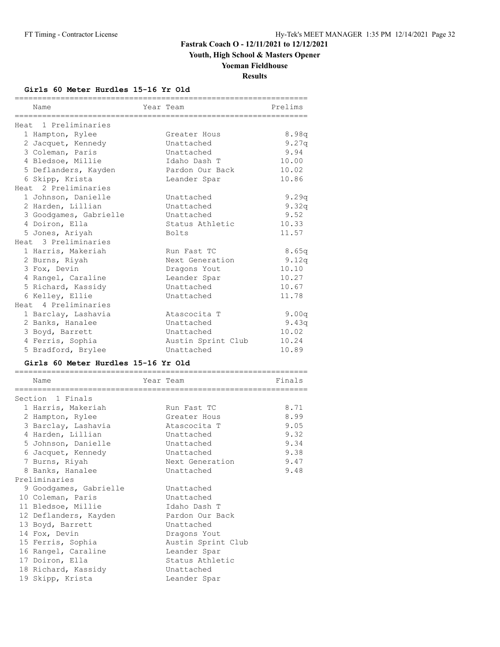**Youth, High School & Masters Opener**

## **Yoeman Fieldhouse**

**Results**

#### **Girls 60 Meter Hurdles 15-16 Yr Old**

| Name                                 | Year Team          | Prelims  |
|--------------------------------------|--------------------|----------|
| ============<br>Heat 1 Preliminaries |                    |          |
| 1 Hampton, Rylee                     | Greater Hous       | 8.98q    |
| 2 Jacquet, Kennedy                   | Unattached         | 9.27q    |
| 3 Coleman, Paris                     | Unattached         | 9.94     |
| 4 Bledsoe, Millie                    | Idaho Dash T       | 10.00    |
| 5 Deflanders, Kayden                 | Pardon Our Back    | 10.02    |
| 6 Skipp, Krista                      | Leander Spar       | 10.86    |
| Heat 2 Preliminaries                 |                    |          |
| 1 Johnson, Danielle                  | Unattached         | 9.29q    |
| 2 Harden, Lillian                    | Unattached         | 9.32q    |
| 3 Goodgames, Gabrielle               | Unattached         | 9.52     |
| 4 Doiron, Ella                       | Status Athletic    | 10.33    |
| 5 Jones, Ariyah                      | <b>Bolts</b>       | 11.57    |
| Heat 3 Preliminaries                 |                    |          |
| 1 Harris, Makeriah                   | Run Fast TC        | 8.65q    |
| 2 Burns, Riyah                       | Next Generation    | 9.12q    |
| 3 Fox, Devin                         | Dragons Yout       | 10.10    |
| 4 Rangel, Caraline                   | Leander Spar       | 10.27    |
| 5 Richard, Kassidy                   | Unattached         | 10.67    |
| 6 Kelley, Ellie                      | Unattached         | 11.78    |
| Heat 4 Preliminaries                 |                    |          |
| 1 Barclay, Lashavia                  | Atascocita T       | 9.00q    |
| 2 Banks, Hanalee                     | Unattached         | 9.43 $q$ |
| 3 Boyd, Barrett                      | Unattached         | 10.02    |
| 4 Ferris, Sophia                     | Austin Sprint Club | 10.24    |
| 5 Bradford, Brylee                   | Unattached         | 10.89    |
|                                      |                    |          |
| Girls 60 Meter Hurdles 15-16 Yr Old  |                    |          |
| Name<br>._____________________       | Year Team          | Finals   |
| Section 1 Finals                     |                    |          |
| 1 Harris, Makeriah                   | Run Fast TC        | 8.71     |
| 2 Hampton, Rylee                     | Greater Hous       | 8.99     |
| 3 Barclay, Lashavia                  | Atascocita T       | 9.05     |
| 4 Harden, Lillian                    | Unattached         | 9.32     |
| 5 Johnson, Danielle                  | Unattached         | 9.34     |
| 6 Jacquet, Kennedy                   | Unattached         | 9.38     |
| 7 Burns, Riyah                       | Next Generation    | 9.47     |
| 8 Banks, Hanalee                     | Unattached         | 9.48     |
| Preliminaries                        |                    |          |
| 9 Goodgames, Gabrielle               | Unattached         |          |
| 10 Coleman, Paris                    | Unattached         |          |
| 11 Bledsoe, Millie                   | Idaho Dash T       |          |
| 12 Deflanders, Kayden                | Pardon Our Back    |          |
|                                      | Unattached         |          |
| 13 Boyd, Barrett<br>14 Fox, Devin    |                    |          |
|                                      | Dragons Yout       |          |
| 15 Ferris, Sophia                    | Austin Sprint Club |          |
| 16 Rangel, Caraline                  | Leander Spar       |          |
| 17 Doiron, Ella                      | Status Athletic    |          |
| 18 Richard, Kassidy                  | Unattached         |          |
| 19 Skipp, Krista                     | Leander Spar       |          |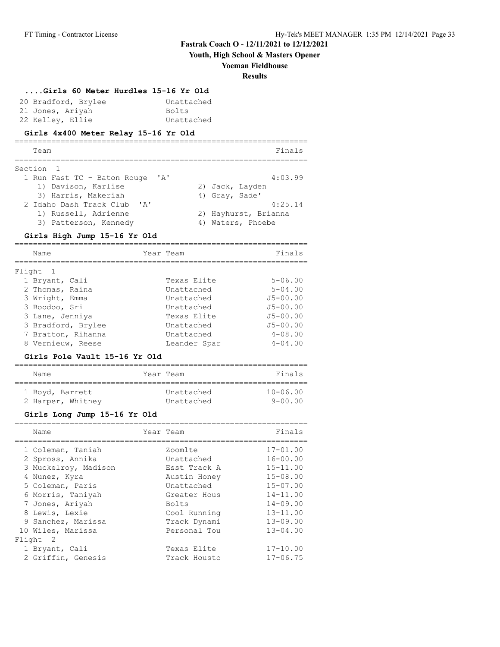**Youth, High School & Masters Opener**

#### **Yoeman Fieldhouse**

#### **Results**

#### **....Girls 60 Meter Hurdles 15-16 Yr Old**

| 20 Bradford, Brylee | Unattached |
|---------------------|------------|
| 21 Jones, Ariyah    | Bolts      |
| 22 Kelley, Ellie    | Unattached |

#### **Girls 4x400 Meter Relay 15-16 Yr Old**

#### ================================================================ Team Finals ================================================================ Section 1 1 Run Fast TC - Baton Rouge 'A' 4:03.99<br>1) Davison, Karlise 2) Jack, Layden 1) Davison, Karlise 2) Jack, Layden 3) Harris, Makeriah (4) Gray, Sade' 2 Idaho Dash Track Club 'A' 4:25.14 1) Russell, Adrienne 2) Hayhurst, Brianna 3) Patterson, Kennedy (4) Waters, Phoebe

#### **Girls High Jump 15-16 Yr Old**

| Name               | Year Team    | Finals       |
|--------------------|--------------|--------------|
| Flight 1           |              |              |
| 1 Bryant, Cali     | Texas Elite  | $5 - 06.00$  |
| 2 Thomas, Raina    | Unattached   | $5 - 04.00$  |
| 3 Wright, Emma     | Unattached   | $J5 - 00.00$ |
| 3 Boodoo, Sri      | Unattached   | $J5 - 00.00$ |
| 3 Lane, Jenniya    | Texas Elite  | $J5 - 00.00$ |
| 3 Bradford, Brylee | Unattached   | $J5 - 00.00$ |
| 7 Bratton, Rihanna | Unattached   | $4 - 08.00$  |
| 8 Vernieuw, Reese  | Leander Spar | $4 - 04.00$  |

# **Girls Pole Vault 15-16 Yr Old**

| Name              | Year Team  | Finals       |
|-------------------|------------|--------------|
| 1 Boyd, Barrett   | Unattached | $10 - 06.00$ |
| 2 Harper, Whitney | Unattached | $9 - 00.00$  |

#### **Girls Long Jump 15-16 Yr Old**

| Name |                                                                                                                                                                                                                                                             |              | Finals       |
|------|-------------------------------------------------------------------------------------------------------------------------------------------------------------------------------------------------------------------------------------------------------------|--------------|--------------|
|      |                                                                                                                                                                                                                                                             | Zoomlte      | $17 - 01.00$ |
|      |                                                                                                                                                                                                                                                             | Unattached   | $16 - 00.00$ |
|      |                                                                                                                                                                                                                                                             | Esst Track A | $15 - 11.00$ |
|      |                                                                                                                                                                                                                                                             | Austin Honey | $15 - 08.00$ |
|      |                                                                                                                                                                                                                                                             | Unattached   | $15 - 07.00$ |
|      |                                                                                                                                                                                                                                                             | Greater Hous | $14 - 11.00$ |
|      |                                                                                                                                                                                                                                                             | <b>Bolts</b> | $14 - 09.00$ |
|      |                                                                                                                                                                                                                                                             | Cool Running | $13 - 11.00$ |
|      |                                                                                                                                                                                                                                                             | Track Dynami | $13 - 09.00$ |
|      |                                                                                                                                                                                                                                                             | Personal Tou | $13 - 04.00$ |
|      |                                                                                                                                                                                                                                                             |              |              |
|      |                                                                                                                                                                                                                                                             | Texas Elite  | $17 - 10.00$ |
|      |                                                                                                                                                                                                                                                             | Track Housto | $17 - 06.75$ |
|      | 1 Coleman, Taniah<br>2 Spross, Annika<br>3 Muckelroy, Madison<br>4 Nunez, Kyra<br>5 Coleman, Paris<br>6 Morris, Taniyah<br>7 Jones, Ariyah<br>8 Lewis, Lexie<br>9 Sanchez, Marissa<br>10 Wiles, Marissa<br>Flight 2<br>1 Bryant, Cali<br>2 Griffin, Genesis |              | Year Team    |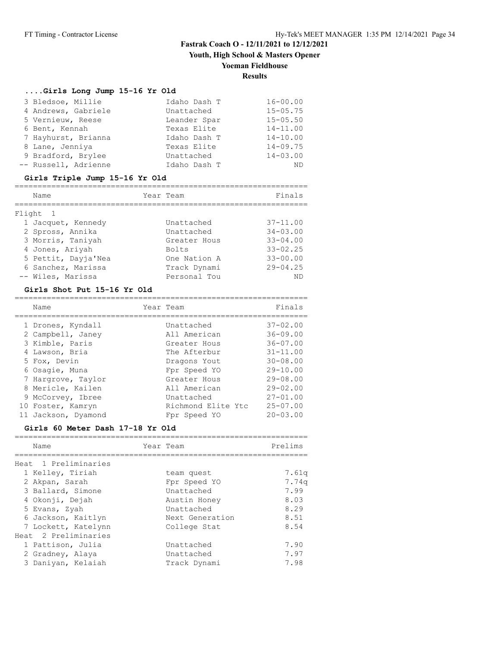**Youth, High School & Masters Opener**

#### **Yoeman Fieldhouse**

#### **Results**

#### **....Girls Long Jump 15-16 Yr Old**

| 3 Bledsoe, Millie    | Idaho Dash T | $16 - 00.00$ |
|----------------------|--------------|--------------|
| 4 Andrews, Gabriele  | Unattached   | $15 - 05.75$ |
| 5 Vernieuw, Reese    | Leander Spar | $15 - 05.50$ |
| 6 Bent, Kennah       | Texas Elite  | $14 - 11.00$ |
| 7 Hayhurst, Brianna  | Idaho Dash T | $14 - 10.00$ |
| 8 Lane, Jenniya      | Texas Elite  | $14 - 09.75$ |
| 9 Bradford, Brylee   | Unattached   | $14 - 03.00$ |
| -- Russell, Adrienne | Idaho Dash T | ND           |

#### **Girls Triple Jump 15-16 Yr Old**

| Name                | Year Team    | Finals       |
|---------------------|--------------|--------------|
| Flight 1            |              |              |
| 1 Jacquet, Kennedy  | Unattached   | $37 - 11.00$ |
| 2 Spross, Annika    | Unattached   | $34 - 03.00$ |
| 3 Morris, Taniyah   | Greater Hous | $33 - 04.00$ |
| 4 Jones, Ariyah     | <b>Bolts</b> | $33 - 02.25$ |
| 5 Pettit, Dayja'Nea | One Nation A | $33 - 00.00$ |
| 6 Sanchez, Marissa  | Track Dynami | $29 - 04.25$ |
| -- Wiles, Marissa   | Personal Tou | ΝD           |

#### **Girls Shot Put 15-16 Yr Old**

| Name                | Year Team          | Finals       |
|---------------------|--------------------|--------------|
| 1 Drones, Kyndall   | Unattached         | $37 - 02.00$ |
| 2 Campbell, Janey   | All American       | $36 - 09.00$ |
| 3 Kimble, Paris     | Greater Hous       | $36 - 07.00$ |
| 4 Lawson, Bria      | The Afterbur       | $31 - 11.00$ |
| 5 Fox, Devin        | Dragons Yout       | $30 - 08.00$ |
| 6 Osagie, Muna      | Fpr Speed YO       | $29 - 10.00$ |
| 7 Hargrove, Taylor  | Greater Hous       | $29 - 08.00$ |
| 8 Mericle, Kailen   | All American       | $29 - 02.00$ |
| 9 McCorvey, Ibree   | Unattached         | $27 - 01.00$ |
| 10 Foster, Kamryn   | Richmond Elite Ytc | $25 - 07.00$ |
| 11 Jackson, Dyamond | Fpr Speed YO       | $20 - 03.00$ |

#### **Girls 60 Meter Dash 17-18 Yr Old**

| Prelims              |
|----------------------|
|                      |
|                      |
| 7.61a                |
| 7.74 <sub>q</sub>    |
| 7.99                 |
| 8.03                 |
| 8.29                 |
| 8.51                 |
| 8.54                 |
|                      |
| 7.90<br>7.97<br>7.98 |
|                      |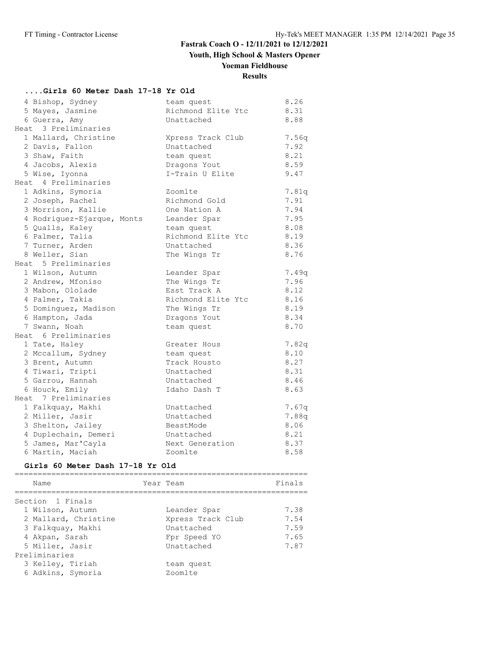# **Youth, High School & Masters Opener**

## **Yoeman Fieldhouse**

# **Results**

### **....Girls 60 Meter Dash 17-18 Yr Old**

| 4 Bishop, Sydney           | team quest         | 8.26  |
|----------------------------|--------------------|-------|
| 5 Mayes, Jasmine           | Richmond Elite Ytc | 8.31  |
| 6 Guerra, Amy              | Unattached         | 8.88  |
| Heat 3 Preliminaries       |                    |       |
| 1 Mallard, Christine       | Xpress Track Club  | 7.56q |
| 2 Davis, Fallon            | Unattached         | 7.92  |
| 3 Shaw, Faith              | team quest         | 8.21  |
| 4 Jacobs, Alexis           | Dragons Yout       | 8.59  |
| 5 Wise, Iyonna             | I-Train U Elite    | 9.47  |
| Heat 4 Preliminaries       |                    |       |
| 1 Adkins, Symoria          | Zoomlte            | 7.81q |
| 2 Joseph, Rachel           | Richmond Gold      | 7.91  |
| 3 Morrison, Kallie         | One Nation A       | 7.94  |
| 4 Rodriguez-Ejarque, Monts | Leander Spar       | 7.95  |
| 5 Qualls, Kaley            | team quest         | 8.08  |
| 6 Palmer, Talia            | Richmond Elite Ytc | 8.19  |
| 7 Turner, Arden            | Unattached         | 8.36  |
| 8 Weller, Sian             | The Wings Tr       | 8.76  |
| Heat 5 Preliminaries       |                    |       |
| 1 Wilson, Autumn           | Leander Spar       | 7.49q |
| 2 Andrew, Mfoniso          | The Wings Tr       | 7.96  |
| 3 Mabon, Ololade           | Esst Track A       | 8.12  |
| 4 Palmer, Takia            | Richmond Elite Ytc | 8.16  |
| 5 Dominquez, Madison       | The Wings Tr       | 8.19  |
| 6 Hampton, Jada            | Dragons Yout       | 8.34  |
| 7 Swann, Noah              | team quest         | 8.70  |
| Heat 6 Preliminaries       |                    |       |
| 1 Tate, Haley              | Greater Hous       | 7.82q |
| 2 Mccallum, Sydney         | team quest         | 8.10  |
| 3 Brent, Autumn            | Track Housto       | 8.27  |
| 4 Tiwari, Tripti           | Unattached         | 8.31  |
| 5 Garrou, Hannah           | Unattached         | 8.46  |
| 6 Houck, Emily             | Idaho Dash T       | 8.63  |
| Heat 7 Preliminaries       |                    |       |
| 1 Falkquay, Makhi          | Unattached         | 7.67q |
| 2 Miller, Jasir            | Unattached         | 7.88q |
| 3 Shelton, Jailey          | BeastMode          | 8.06  |
| 4 Duplechain, Demeri       | Unattached         | 8.21  |
| 5 James, Mar'Cayla         | Next Generation    | 8.37  |
| 6 Martin, Maciah           | Zoomlte            | 8.58  |

# **Girls 60 Meter Dash 17-18 Yr Old**

| Name                                  | Year Team |                       | Finals |
|---------------------------------------|-----------|-----------------------|--------|
| Section 1 Finals                      |           |                       |        |
| 1 Wilson, Autumn                      |           | Leander Spar          | 7.38   |
| 2 Mallard, Christine                  |           | Xpress Track Club     | 7.54   |
| 3 Falkquay, Makhi                     |           | Unattached            | 7.59   |
| 4 Akpan, Sarah                        |           | Fpr Speed YO          | 7.65   |
| 5 Miller, Jasir                       |           | Unattached            | 7.87   |
| Preliminaries                         |           |                       |        |
| 3 Kelley, Tiriah<br>6 Adkins, Symoria |           | team quest<br>Zoomlte |        |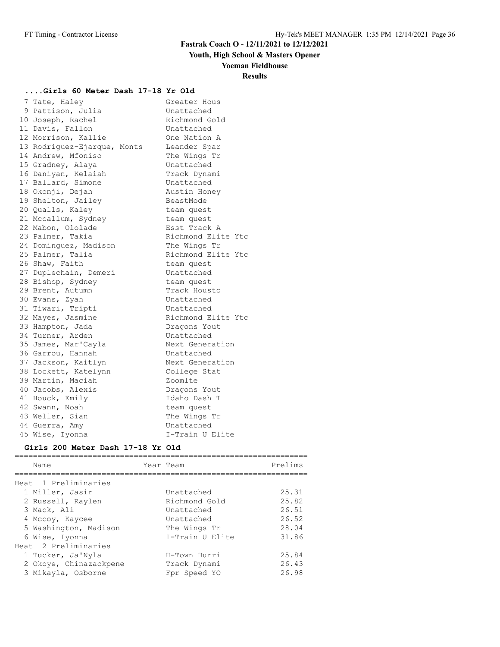# **Youth, High School & Masters Opener**

#### **Yoeman Fieldhouse**

### **Results**

================================================================

#### **....Girls 60 Meter Dash 17-18 Yr Old**

| 7 Tate, Haley               | Greater Hous       |
|-----------------------------|--------------------|
| 9 Pattison, Julia           | Unattached         |
| 10 Joseph, Rachel           | Richmond Gold      |
| 11 Davis, Fallon            | Unattached         |
| 12 Morrison, Kallie         | One Nation A       |
| 13 Rodriguez-Ejarque, Monts | Leander Spar       |
| 14 Andrew, Mfoniso          | The Wings Tr       |
| 15 Gradney, Alaya           | Unattached         |
| 16 Daniyan, Kelaiah         | Track Dynami       |
| 17 Ballard, Simone          | Unattached         |
| 18 Okonji, Dejah            | Austin Honey       |
| 19 Shelton, Jailey          | BeastMode          |
| 20 Qualls, Kaley            | team quest         |
| 21 Mccallum, Sydney         | team quest         |
| 22 Mabon, Ololade           | Esst Track A       |
| 23 Palmer, Takia            | Richmond Elite Ytc |
| 24 Dominguez, Madison       | The Wings Tr       |
| 25 Palmer, Talia            | Richmond Elite Ytc |
| 26 Shaw, Faith              | team quest         |
| 27 Duplechain, Demeri       | Unattached         |
| 28 Bishop, Sydney           | team quest         |
| 29 Brent, Autumn            | Track Housto       |
| 30 Evans, Zyah              | Unattached         |
| 31 Tiwari, Tripti           | Unattached         |
| 32 Mayes, Jasmine           | Richmond Elite Ytc |
| 33 Hampton, Jada            | Dragons Yout       |
| 34 Turner, Arden            | Unattached         |
| 35 James, Mar'Cayla         | Next Generation    |
| 36 Garrou, Hannah           | Unattached         |
| 37 Jackson, Kaitlyn         | Next Generation    |
| 38 Lockett, Katelynn        | College Stat       |
| 39 Martin, Maciah           | Zoomlte            |
| 40 Jacobs, Alexis           | Dragons Yout       |
| 41 Houck, Emily             | Idaho Dash T       |
| 42 Swann, Noah              | team quest         |
| 43 Weller, Sian             | The Wings Tr       |
| 44 Guerra, Amy              | Unattached         |
| 45 Wise, Iyonna             | I-Train U Elite    |

#### **Girls 200 Meter Dash 17-18 Yr Old**

| Name                   | Year Team       | Prelims |
|------------------------|-----------------|---------|
| Heat 1 Preliminaries   |                 |         |
| 1 Miller, Jasir        | Unattached      | 25.31   |
| 2 Russell, Raylen      | Richmond Gold   | 25.82   |
| 3 Mack, Ali            | Unattached      | 26.51   |
| 4 Mccoy, Kaycee        | Unattached      | 26.52   |
| 5 Washington, Madison  | The Wings Tr    | 28.04   |
| 6 Wise, Iyonna         | I-Train U Elite | 31.86   |
| Heat 2 Preliminaries   |                 |         |
| 1 Tucker, Ja'Nyla      | H-Town Hurri    | 25.84   |
| 2 Okoye, Chinazackpene | Track Dynami    | 26.43   |
| 3 Mikayla, Osborne     | Fpr Speed YO    | 26.98   |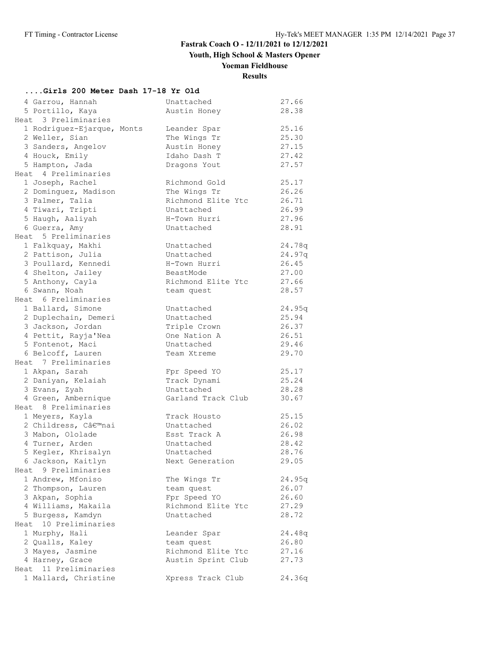**Youth, High School & Masters Opener**

# **Yoeman Fieldhouse**

**Results**

## **....Girls 200 Meter Dash 17-18 Yr Old**

| 4 Garrou, Hannah<br>5 Portillo, Kaya | Unattached<br>Austin Honey | 27.66<br>28.38 |
|--------------------------------------|----------------------------|----------------|
| Heat 3 Preliminaries                 |                            |                |
|                                      |                            | 25.16          |
| 1 Rodriguez-Ejarque, Monts           | Leander Spar               | 25.30          |
| 2 Weller, Sian                       | The Wings Tr               |                |
| 3 Sanders, Angelov                   | Austin Honey               | 27.15          |
| 4 Houck, Emily                       | Idaho Dash T               | 27.42          |
| 5 Hampton, Jada                      | Dragons Yout               | 27.57          |
| Heat 4 Preliminaries                 |                            |                |
| 1 Joseph, Rachel                     | Richmond Gold              | 25.17          |
| 2 Dominquez, Madison                 | The Wings Tr               | 26.26          |
| 3 Palmer, Talia                      | Richmond Elite Ytc         | 26.71          |
| 4 Tiwari, Tripti                     | Unattached                 | 26.99          |
| 5 Haugh, Aaliyah                     | H-Town Hurri               | 27.96          |
| 6 Guerra, Amy                        | Unattached                 | 28.91          |
| Heat 5 Preliminaries                 |                            |                |
| 1 Falkquay, Makhi                    | Unattached                 | 24.78q         |
| 2 Pattison, Julia                    | Unattached                 | 24.97q         |
| 3 Poullard, Kennedi                  | H-Town Hurri               | 26.45          |
| 4 Shelton, Jailey                    | BeastMode                  | 27.00          |
| 5 Anthony, Cayla                     | Richmond Elite Ytc         | 27.66          |
| 6 Swann, Noah                        | team quest                 | 28.57          |
| Heat 6 Preliminaries                 |                            |                |
| 1 Ballard, Simone                    | Unattached                 | 24.95q         |
| 2 Duplechain, Demeri                 | Unattached                 | 25.94          |
| 3 Jackson, Jordan                    | Triple Crown               | 26.37          |
| 4 Pettit, Rayja'Nea                  |                            |                |
|                                      | One Nation A               | 26.51          |
| 5 Fontenot, Maci                     | Unattached                 | 29.46          |
| 6 Belcoff, Lauren                    | Team Xtreme                | 29.70          |
| Heat 7 Preliminaries                 |                            |                |
| 1 Akpan, Sarah                       | Fpr Speed YO               | 25.17          |
| 2 Daniyan, Kelaiah                   | Track Dynami               | 25.24          |
| 3 Evans, Zyah                        | Unattached                 | 28.28          |
| 4 Green, Ambernique                  | Garland Track Club         | 30.67          |
| Heat 8 Preliminaries                 |                            |                |
| 1 Meyers, Kayla                      | Track Housto               | 25.15          |
| 2 Childress, C'nai                   | Unattached                 | 26.02          |
| 3 Mabon, Ololade                     | Esst Track A               | 26.98          |
| 4 Turner, Arden                      | Unattached                 | 28.42          |
| 5 Kegler, Khrisalyn                  | Unattached                 | 28.76          |
| 6 Jackson, Kaitlyn                   | Next Generation            | 29.05          |
| Heat 9 Preliminaries                 |                            |                |
| 1 Andrew, Mfoniso                    | The Wings Tr               | 24.95q         |
| 2 Thompson, Lauren                   | team quest                 | 26.07          |
| 3 Akpan, Sophia                      | Fpr Speed YO               | 26.60          |
| 4 Williams, Makaila                  | Richmond Elite Ytc         | 27.29          |
| 5 Burgess, Kamdyn                    | Unattached                 | 28.72          |
| 10 Preliminaries<br>Heat             |                            |                |
|                                      |                            |                |
| 1 Murphy, Hali                       | Leander Spar               | 24.48q         |
| 2 Qualls, Kaley                      | team quest                 | 26.80          |
| 3 Mayes, Jasmine                     | Richmond Elite Ytc         | 27.16          |
| 4 Harney, Grace                      | Austin Sprint Club         | 27.73          |
| Heat 11 Preliminaries                |                            |                |
| 1 Mallard, Christine                 | Xpress Track Club          | 24.36q         |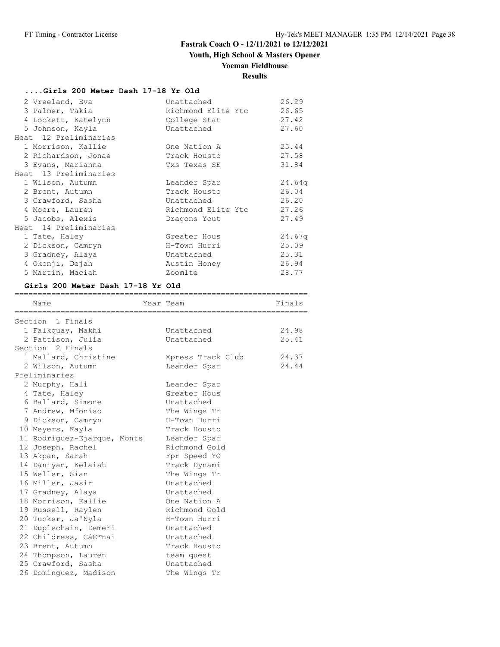## **Youth, High School & Masters Opener**

# **Yoeman Fieldhouse**

# **Results**

### **....Girls 200 Meter Dash 17-18 Yr Old**

| 2 Vreeland, Eva       | Unattached         | 26.29  |
|-----------------------|--------------------|--------|
| 3 Palmer, Takia       | Richmond Elite Ytc | 26.65  |
| 4 Lockett, Katelynn   | College Stat       | 27.42  |
| 5 Johnson, Kayla      | Unattached         | 27.60  |
| Heat 12 Preliminaries |                    |        |
| 1 Morrison, Kallie    | One Nation A       | 25.44  |
| 2 Richardson, Jonae   | Track Housto       | 27.58  |
| 3 Evans, Marianna     | Txs Texas SE       | 31.84  |
| Heat 13 Preliminaries |                    |        |
| 1 Wilson, Autumn      | Leander Spar       | 24.64q |
| 2 Brent, Autumn       | Track Housto       | 26.04  |
| 3 Crawford, Sasha     | Unattached         | 26.20  |
| 4 Moore, Lauren       | Richmond Elite Ytc | 27.26  |
| 5 Jacobs, Alexis      | Dragons Yout       | 27.49  |
| Heat 14 Preliminaries |                    |        |
| 1 Tate, Haley         | Greater Hous       | 24.67q |
| 2 Dickson, Camryn     | H-Town Hurri       | 25.09  |
| 3 Gradney, Alaya      | Unattached         | 25.31  |
| 4 Okonji, Dejah       | Austin Honey       | 26.94  |
| 5 Martin, Maciah      | Zoomlte            | 28.77  |

================================================================

#### **Girls 200 Meter Dash 17-18 Yr Old**

| Name                        | Year Team         | Finals |
|-----------------------------|-------------------|--------|
| Section 1 Finals            |                   |        |
| 1 Falkquay, Makhi           | Unattached        | 24.98  |
| 2 Pattison, Julia           | Unattached        | 25.41  |
| Section 2 Finals            |                   |        |
| 1 Mallard, Christine        | Xpress Track Club | 24.37  |
| 2 Wilson, Autumn            | Leander Spar      | 24.44  |
| Preliminaries               |                   |        |
| 2 Murphy, Hali              | Leander Spar      |        |
| 4 Tate, Haley               | Greater Hous      |        |
| 6 Ballard, Simone           | Unattached        |        |
| 7 Andrew, Mfoniso           | The Wings Tr      |        |
| 9 Dickson, Camryn           | H-Town Hurri      |        |
| 10 Meyers, Kayla            | Track Housto      |        |
| 11 Rodriguez-Ejarque, Monts | Leander Spar      |        |
| 12 Joseph, Rachel           | Richmond Gold     |        |
| 13 Akpan, Sarah             | Fpr Speed YO      |        |
| 14 Daniyan, Kelaiah         | Track Dynami      |        |
| 15 Weller, Sian             | The Wings Tr      |        |
| 16 Miller, Jasir            | Unattached        |        |
| 17 Gradney, Alaya           | Unattached        |        |
| 18 Morrison, Kallie         | One Nation A      |        |
| 19 Russell, Raylen          | Richmond Gold     |        |
| 20 Tucker, Ja'Nyla          | H-Town Hurri      |        |
| 21 Duplechain, Demeri       | Unattached        |        |
| 22 Childress, C'nai         | Unattached        |        |
| 23 Brent, Autumn            | Track Housto      |        |
| 24 Thompson, Lauren         | team quest        |        |
| 25 Crawford, Sasha          | Unattached        |        |
| 26 Dominguez, Madison       | The Wings Tr      |        |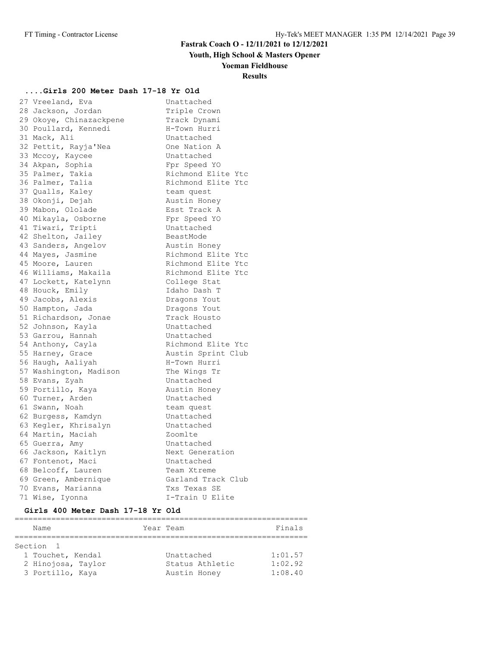## **Youth, High School & Masters Opener**

**Yoeman Fieldhouse**

## **Results**

# **....Girls 200 Meter Dash 17-18 Yr Old**

| 27 Vreeland, Eva        | Unattached         |
|-------------------------|--------------------|
| 28 Jackson, Jordan      | Triple Crown       |
| 29 Okoye, Chinazackpene | Track Dynami       |
| 30 Poullard, Kennedi    | H-Town Hurri       |
| 31 Mack, Ali            | Unattached         |
| 32 Pettit, Rayja'Nea    | One Nation A       |
| 33 Mccoy, Kaycee        | Unattached         |
| 34 Akpan, Sophia        | Fpr Speed YO       |
| 35 Palmer, Takia        | Richmond Elite Ytc |
| 36 Palmer, Talia        | Richmond Elite Ytc |
| 37 Qualls, Kaley        | team quest         |
| 38 Okonji, Dejah        | Austin Honey       |
| 39 Mabon, Ololade       | Esst Track A       |
| 40 Mikayla, Osborne     | Fpr Speed YO       |
| 41 Tiwari, Tripti       | Unattached         |
| 42 Shelton, Jailey      | BeastMode          |
| 43 Sanders, Angelov     | Austin Honey       |
| 44 Mayes, Jasmine       | Richmond Elite Ytc |
| 45 Moore, Lauren        | Richmond Elite Ytc |
| 46 Williams, Makaila    | Richmond Elite Ytc |
| 47 Lockett, Katelynn    | College Stat       |
| 48 Houck, Emily         | Idaho Dash T       |
| 49 Jacobs, Alexis       | Dragons Yout       |
| 50 Hampton, Jada        | Dragons Yout       |
| 51 Richardson, Jonae    | Track Housto       |
| 52 Johnson, Kayla       | Unattached         |
| 53 Garrou, Hannah       | Unattached         |
| 54 Anthony, Cayla       | Richmond Elite Ytc |
| 55 Harney, Grace        | Austin Sprint Club |
| 56 Haugh, Aaliyah       | H-Town Hurri       |
| 57 Washington, Madison  | The Wings Tr       |
| 58 Evans, Zyah          | Unattached         |
| 59 Portillo, Kaya       | Austin Honey       |
| 60 Turner, Arden        | Unattached         |
| 61 Swann, Noah          | team quest         |
| 62 Burgess, Kamdyn      | Unattached         |
| 63 Kegler, Khrisalyn    | Unattached         |
| 64 Martin, Maciah       | Zoomlte            |
| 65 Guerra, Amy          | Unattached         |
| 66 Jackson, Kaitlyn     | Next Generation    |
| 67 Fontenot, Maci       | Unattached         |
| 68 Belcoff, Lauren      | Team Xtreme        |
| 69 Green, Ambernique    | Garland Track Club |
| 70 Evans, Marianna      | Txs Texas SE       |
| 71 Wise, Iyonna         | I-Train U Elite    |

### **Girls 400 Meter Dash 17-18 Yr Old**

| Name               |                 | Finals    |
|--------------------|-----------------|-----------|
|                    |                 |           |
| Section 1          |                 |           |
| 1 Touchet, Kendal  | Unattached      | 1:01.57   |
| 2 Hinojosa, Taylor | Status Athletic | 1:02.92   |
| 3 Portillo, Kaya   | Austin Honey    | 1:08.40   |
|                    |                 | Year Team |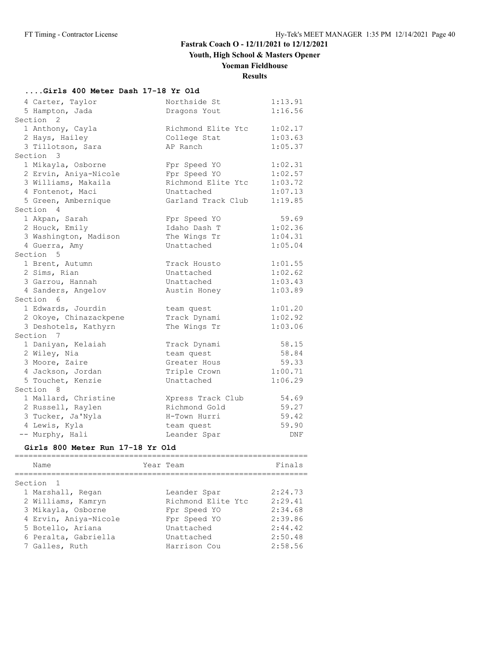**Youth, High School & Masters Opener**

## **Yoeman Fieldhouse**

# **Results**

# **....Girls 400 Meter Dash 17-18 Yr Old**

| 4 Carter, Taylor       | Northside St       | 1:13.91    |
|------------------------|--------------------|------------|
| 5 Hampton, Jada        | Dragons Yout       | 1:16.56    |
| Section <sub>2</sub>   |                    |            |
| 1 Anthony, Cayla       | Richmond Elite Ytc | 1:02.17    |
| 2 Hays, Hailey         | College Stat       | 1:03.63    |
| 3 Tillotson, Sara      | AP Ranch           | 1:05.37    |
| Section 3              |                    |            |
| 1 Mikayla, Osborne     | Fpr Speed YO       | 1:02.31    |
| 2 Ervin, Aniya-Nicole  | Fpr Speed YO       | 1:02.57    |
| 3 Williams, Makaila    | Richmond Elite Ytc | 1:03.72    |
| 4 Fontenot, Maci       | Unattached         | 1:07.13    |
| 5 Green, Ambernique    | Garland Track Club | 1:19.85    |
| Section 4              |                    |            |
| 1 Akpan, Sarah         | Fpr Speed YO       | 59.69      |
| 2 Houck, Emily         | Idaho Dash T       | 1:02.36    |
| 3 Washington, Madison  | The Wings Tr       | 1:04.31    |
| 4 Guerra, Amy          | Unattached         | 1:05.04    |
| Section 5              |                    |            |
| 1 Brent, Autumn        | Track Housto       | 1:01.55    |
| 2 Sims, Rian           | Unattached         | 1:02.62    |
| 3 Garrou, Hannah       | Unattached         | 1:03.43    |
| 4 Sanders, Angelov     | Austin Honey       | 1:03.89    |
| Section 6              |                    |            |
| 1 Edwards, Jourdin     | team quest         | 1:01.20    |
| 2 Okoye, Chinazackpene | Track Dynami       | 1:02.92    |
| 3 Deshotels, Kathyrn   | The Wings Tr       | 1:03.06    |
| Section 7              |                    |            |
| 1 Daniyan, Kelaiah     | Track Dynami       | 58.15      |
| 2 Wiley, Nia           | team quest         | 58.84      |
| 3 Moore, Zaire         | Greater Hous       | 59.33      |
| 4 Jackson, Jordan      | Triple Crown       | 1:00.71    |
| 5 Touchet, Kenzie      | Unattached         | 1:06.29    |
| Section 8              |                    |            |
| 1 Mallard, Christine   | Xpress Track Club  | 54.69      |
| 2 Russell, Raylen      | Richmond Gold      | 59.27      |
| 3 Tucker, Ja'Nyla      | H-Town Hurri       | 59.42      |
| 4 Lewis, Kyla          | team quest         | 59.90      |
| -- Murphy, Hali        | Leander Spar       | <b>DNF</b> |

### **Girls 800 Meter Run 17-18 Yr Old**

| Name                  | Year Team |                    | Finals  |
|-----------------------|-----------|--------------------|---------|
| Section 1             |           |                    |         |
| 1 Marshall, Regan     |           | Leander Spar       | 2:24.73 |
| 2 Williams, Kamryn    |           | Richmond Elite Ytc | 2:29.41 |
| 3 Mikayla, Osborne    |           | Fpr Speed YO       | 2:34.68 |
| 4 Ervin, Aniya-Nicole |           | Fpr Speed YO       | 2:39.86 |
| 5 Botello, Ariana     |           | Unattached         | 2:44.42 |
| 6 Peralta, Gabriella  |           | Unattached         | 2:50.48 |
| 7 Galles, Ruth        |           | Harrison Cou       | 2:58.56 |
|                       |           |                    |         |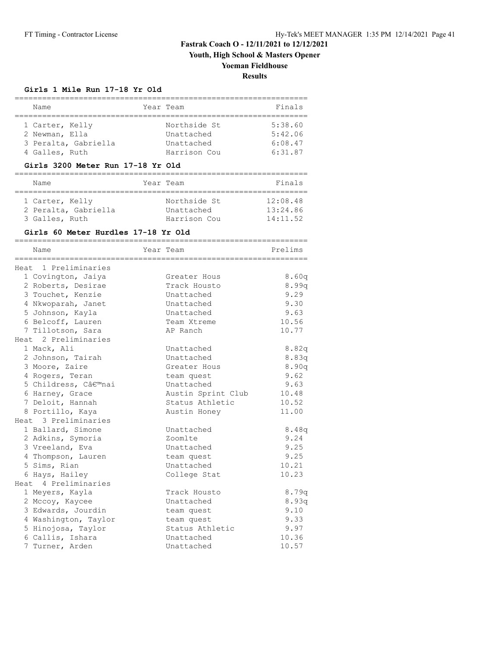**Youth, High School & Masters Opener**

## **Yoeman Fieldhouse**

**Results**

#### **Girls 1 Mile Run 17-18 Yr Old**

| Name                 | Year Team    | Finals  |
|----------------------|--------------|---------|
|                      |              |         |
| 1 Carter, Kelly      | Northside St | 5:38.60 |
| 2 Newman, Ella       | Unattached   | 5:42.06 |
| 3 Peralta, Gabriella | Unattached   | 6:08.47 |
| 4 Galles, Ruth       | Harrison Cou | 6:31.87 |

#### **Girls 3200 Meter Run 17-18 Yr Old**

| Name                                                      | Year Team                                  | Finals                           |
|-----------------------------------------------------------|--------------------------------------------|----------------------------------|
| 1 Carter, Kelly<br>2 Peralta, Gabriella<br>3 Galles, Ruth | Northside St<br>Unattached<br>Harrison Cou | 12:08.48<br>13:24.86<br>14:11.52 |

#### **Girls 60 Meter Hurdles 17-18 Yr Old**

| Name                 | Year Team          | Prelims |
|----------------------|--------------------|---------|
|                      |                    |         |
| Heat 1 Preliminaries |                    |         |
| 1 Covington, Jaiya   | Greater Hous       | 8.60q   |
| 2 Roberts, Desirae   | Track Housto       | 8.99q   |
| 3 Touchet, Kenzie    | Unattached         | 9.29    |
| 4 Nkwoparah, Janet   | Unattached         | 9.30    |
| 5 Johnson, Kayla     | Unattached         | 9.63    |
| 6 Belcoff, Lauren    | Team Xtreme        | 10.56   |
| 7 Tillotson, Sara    | AP Ranch           | 10.77   |
| Heat 2 Preliminaries |                    |         |
| 1 Mack, Ali          | Unattached         | 8.82q   |
| 2 Johnson, Tairah    | Unattached         | 8.83q   |
| 3 Moore, Zaire       | Greater Hous       | 8.90q   |
| 4 Rogers, Teran      | team quest         | 9.62    |
| 5 Childress, C'nai   | Unattached         | 9.63    |
| 6 Harney, Grace      | Austin Sprint Club | 10.48   |
| 7 Deloit, Hannah     | Status Athletic    | 10.52   |
| 8 Portillo, Kaya     | Austin Honey       | 11.00   |
| Heat 3 Preliminaries |                    |         |
| 1 Ballard, Simone    | Unattached         | 8.48q   |
| 2 Adkins, Symoria    | Zoomlte            | 9.24    |
| 3 Vreeland, Eva      | Unattached         | 9.25    |
| 4 Thompson, Lauren   | team quest         | 9.25    |
| 5 Sims, Rian         | Unattached         | 10.21   |
| 6 Hays, Hailey       | College Stat       | 10.23   |
| Heat 4 Preliminaries |                    |         |
| 1 Meyers, Kayla      | Track Housto       | 8.79q   |
| 2 Mccoy, Kaycee      | Unattached         | 8.93q   |
| 3 Edwards, Jourdin   | team quest         | 9.10    |
| 4 Washington, Taylor | team quest         | 9.33    |
| 5 Hinojosa, Taylor   | Status Athletic    | 9.97    |
| 6 Callis, Ishara     | Unattached         | 10.36   |
| 7 Turner, Arden      | Unattached         | 10.57   |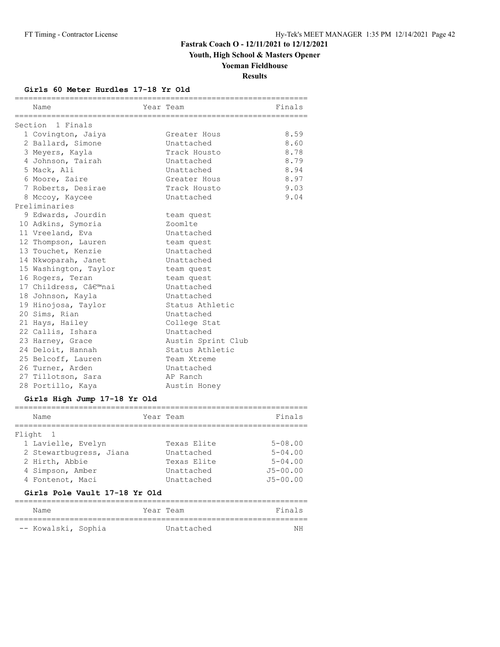**Youth, High School & Masters Opener**

# **Yoeman Fieldhouse**

**Results**

#### **Girls 60 Meter Hurdles 17-18 Yr Old**

| Name                  | Year Team          | Finals |
|-----------------------|--------------------|--------|
| Section 1 Finals      |                    |        |
| 1 Covington, Jaiya    | Greater Hous       | 8.59   |
| 2 Ballard, Simone     | Unattached         | 8.60   |
| 3 Meyers, Kayla       | Track Housto       | 8.78   |
| 4 Johnson, Tairah     | Unattached         | 8.79   |
| 5 Mack, Ali           | Unattached         | 8.94   |
| 6 Moore, Zaire        | Greater Hous       | 8.97   |
| 7 Roberts, Desirae    | Track Housto       | 9.03   |
| 8 Mccoy, Kaycee       | Unattached         | 9.04   |
| Preliminaries         |                    |        |
| 9 Edwards, Jourdin    | team quest         |        |
| 10 Adkins, Symoria    | Zoomlte            |        |
| 11 Vreeland, Eva      | Unattached         |        |
| 12 Thompson, Lauren   | team quest         |        |
| 13 Touchet, Kenzie    | Unattached         |        |
| 14 Nkwoparah, Janet   | Unattached         |        |
| 15 Washington, Taylor | team quest         |        |
| 16 Rogers, Teran      | team quest         |        |
| 17 Childress, C'nai   | Unattached         |        |
| 18 Johnson, Kayla     | Unattached         |        |
| 19 Hinojosa, Taylor   | Status Athletic    |        |
| 20 Sims, Rian         | Unattached         |        |
| 21 Hays, Hailey       | College Stat       |        |
| 22 Callis, Ishara     | Unattached         |        |
| 23 Harney, Grace      | Austin Sprint Club |        |
| 24 Deloit, Hannah     | Status Athletic    |        |
| 25 Belcoff, Lauren    | Team Xtreme        |        |
| 26 Turner, Arden      | Unattached         |        |
| 27 Tillotson, Sara    | AP Ranch           |        |
| 28 Portillo, Kaya     | Austin Honey       |        |
|                       |                    |        |

#### **Girls High Jump 17-18 Yr Old**

| Name                                                                                            | Year Team                                              | Finals                                                    |
|-------------------------------------------------------------------------------------------------|--------------------------------------------------------|-----------------------------------------------------------|
| Flight 1<br>1 Lavielle, Evelyn<br>2 Stewartbugress, Jiana<br>2 Hirth, Abbie<br>4 Simpson, Amber | Texas Elite<br>Unattached<br>Texas Elite<br>Unattached | $5 - 08.00$<br>$5 - 04.00$<br>$5 - 04.00$<br>$J5 - 00.00$ |
| 4 Fontenot, Maci                                                                                | Unattached                                             | $J5 - 00.00$                                              |

### **Girls Pole Vault 17-18 Yr Old**

| Name                | Year Team  | Finals |
|---------------------|------------|--------|
| -- Kowalski, Sophia | Unattached | ΝH     |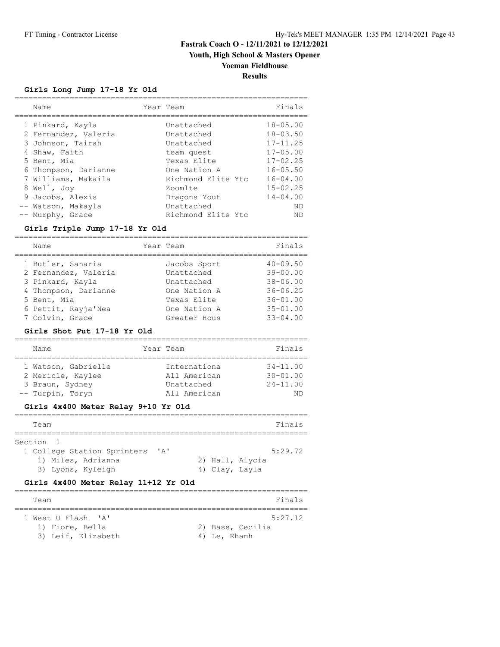## **Youth, High School & Masters Opener**

## **Yoeman Fieldhouse**

### **Results**

### **Girls Long Jump 17-18 Yr Old**

| Name                 | Year Team |                    | Finals       |
|----------------------|-----------|--------------------|--------------|
| 1 Pinkard, Kayla     |           | Unattached         | $18 - 05.00$ |
| 2 Fernandez, Valeria |           | Unattached         | $18 - 03.50$ |
| 3 Johnson, Tairah    |           | Unattached         | $17 - 11.25$ |
| 4 Shaw, Faith        |           | team quest         | $17 - 05.00$ |
| 5 Bent, Mia          |           | Texas Elite        | $17 - 02.25$ |
| 6 Thompson, Darianne |           | One Nation A       | $16 - 05.50$ |
| 7 Williams, Makaila  |           | Richmond Elite Ytc | $16 - 04.00$ |
| 8 Well, Joy          |           | Zoomlte            | $15 - 02.25$ |
| 9 Jacobs, Alexis     |           | Dragons Yout       | $14 - 04.00$ |
| -- Watson, Makayla   |           | Unattached         | ND           |
| -- Murphy, Grace     |           | Richmond Elite Ytc | ND           |

### **Girls Triple Jump 17-18 Yr Old**

| Name                                      | Year Team                  | Finals                       |
|-------------------------------------------|----------------------------|------------------------------|
| 1 Butler, Sanaria<br>2 Fernandez, Valeria | Jacobs Sport<br>Unattached | $40 - 09.50$<br>$39 - 00.00$ |
| 3 Pinkard, Kayla                          | Unattached                 | $38 - 06.00$                 |
| 4 Thompson, Darianne                      | One Nation A               | $36 - 06.25$                 |
| 5 Bent, Mia                               | Texas Elite                | $36 - 01.00$                 |
| 6 Pettit, Rayja'Nea                       | One Nation A               | $35 - 01.00$                 |
| 7 Colvin, Grace                           | Greater Hous               | $33 - 04.00$                 |
|                                           |                            |                              |

#### **Girls Shot Put 17-18 Yr Old**

| Name                                                                            | Year Team                                                  | Finals                                             |
|---------------------------------------------------------------------------------|------------------------------------------------------------|----------------------------------------------------|
| 1 Watson, Gabrielle<br>2 Mericle, Kaylee<br>3 Braun, Sydney<br>-- Turpin, Toryn | Internationa<br>All American<br>Unattached<br>All American | $34 - 11.00$<br>$30 - 01.00$<br>$24 - 11.00$<br>ND |

### **Girls 4x400 Meter Relay 9+10 Yr Old**

| Team                                     |              |                |                 | Finals  |
|------------------------------------------|--------------|----------------|-----------------|---------|
| Section 1<br>1 College Station Sprinters | $\mathsf{A}$ |                |                 | 5:29.72 |
| 1) Miles, Adrianna<br>3) Lyons, Kyleigh  |              | 4) Clay, Layla | 2) Hall, Alycia |         |

#### **Girls 4x400 Meter Relay 11+12 Yr Old**

| Team               | Finals           |
|--------------------|------------------|
|                    |                  |
| 1 West U Flash 'A' | 5:27.12          |
| 1) Fiore, Bella    | 2) Bass, Cecilia |
| 3) Leif, Elizabeth | 4) Le, Khanh     |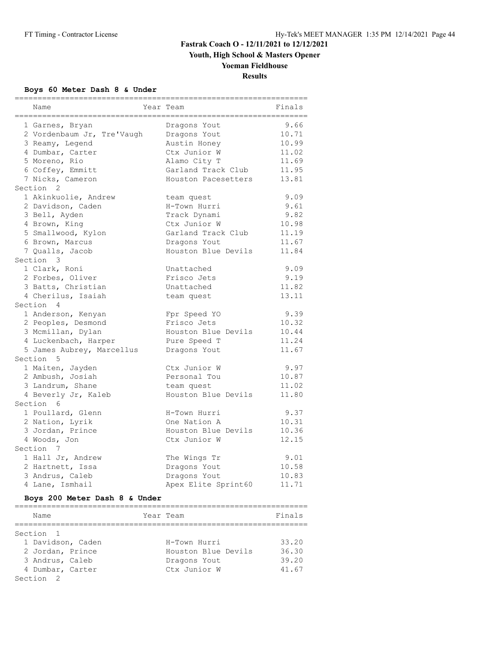**Youth, High School & Masters Opener**

## **Yoeman Fieldhouse**

**Results**

### **Boys 60 Meter Dash 8 & Under**

| Name                       | Year Team           | seeeeee<br>Finals |
|----------------------------|---------------------|-------------------|
| 1 Garnes, Bryan            | Dragons Yout        | 9.66              |
| 2 Vordenbaum Jr, Tre'Vaugh | Dragons Yout        | 10.71             |
| 3 Reamy, Legend            | Austin Honey        | 10.99             |
| 4 Dumbar, Carter           | Ctx Junior W        | 11.02             |
| 5 Moreno, Rio              | Alamo City T        | 11.69             |
| 6 Coffey, Emmitt           | Garland Track Club  | 11.95             |
| 7 Nicks, Cameron           | Houston Pacesetters | 13.81             |
| Section <sub>2</sub>       |                     |                   |
| 1 Akinkuolie, Andrew       | team quest          | 9.09              |
| 2 Davidson, Caden          | H-Town Hurri        | 9.61              |
| 3 Bell, Ayden              | Track Dynami        | 9.82              |
| 4 Brown, King              | Ctx Junior W        | 10.98             |
| 5 Smallwood, Kylon         | Garland Track Club  | 11.19             |
| 6 Brown, Marcus            | Dragons Yout        | 11.67             |
| 7 Qualls, Jacob            | Houston Blue Devils | 11.84             |
| Section 3                  |                     |                   |
| 1 Clark, Roni              | Unattached          | 9.09              |
| 2 Forbes, Oliver           | Frisco Jets         | 9.19              |
| 3 Batts, Christian         | Unattached          | 11.82             |
| 4 Cherilus, Isaiah         | team quest          | 13.11             |
| Section 4                  |                     |                   |
| 1 Anderson, Kenyan         | Fpr Speed YO        | 9.39              |
| 2 Peoples, Desmond         | Frisco Jets         | 10.32             |
| 3 Mcmillan, Dylan          | Houston Blue Devils | 10.44             |
| 4 Luckenbach, Harper       | Pure Speed T        | 11.24             |
| 5 James Aubrey, Marcellus  | Dragons Yout        | 11.67             |
| Section 5                  |                     |                   |
| 1 Maiten, Jayden           | Ctx Junior W        | 9.97              |
| 2 Ambush, Josiah           | Personal Tou        | 10.87             |
| 3 Landrum, Shane           | team quest          | 11.02             |
| 4 Beverly Jr, Kaleb        | Houston Blue Devils | 11.80             |
| Section 6                  |                     |                   |
| 1 Poullard, Glenn          | H-Town Hurri        | 9.37              |
| 2 Nation, Lyrik            | One Nation A        | 10.31             |
| 3 Jordan, Prince           | Houston Blue Devils | 10.36             |
| 4 Woods, Jon               | Ctx Junior W        | 12.15             |
| Section 7                  |                     |                   |
| 1 Hall Jr, Andrew          | The Wings Tr        | 9.01              |
| 2 Hartnett, Issa           | Dragons Yout        | 10.58             |
| 3 Andrus, Caleb            | Dragons Yout        | 10.83             |
| 4 Lane, Ismhail            | Apex Elite Sprint60 | 11.71             |

### **Boys 200 Meter Dash 8 & Under**

| Name                 | Year Team           | Finals |
|----------------------|---------------------|--------|
|                      |                     |        |
| Section 1            |                     |        |
| 1 Davidson, Caden    | H-Town Hurri        | 33.20  |
| 2 Jordan, Prince     | Houston Blue Devils | 36.30  |
| 3 Andrus, Caleb      | Dragons Yout        | 39.20  |
| 4 Dumbar, Carter     | Ctx Junior W        | 41.67  |
| Section <sub>2</sub> |                     |        |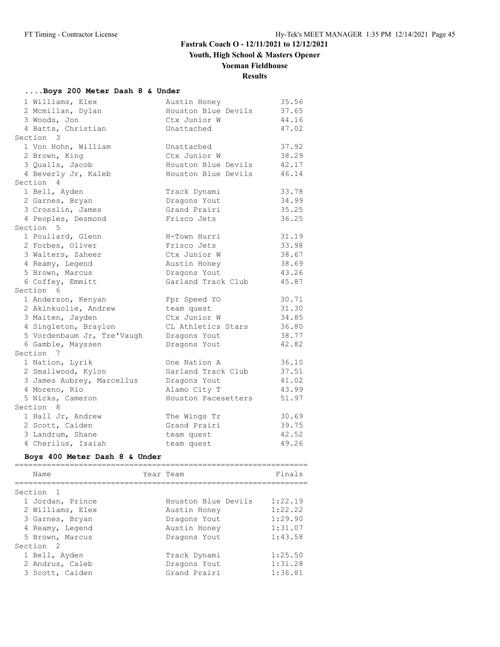## **Youth, High School & Masters Opener**

## **Yoeman Fieldhouse**

## **Results**

### **....Boys 200 Meter Dash 8 & Under**

| 1 Williams, Elex           | Austin Honey        | 35.56 |
|----------------------------|---------------------|-------|
| 2 Mcmillan, Dylan          | Houston Blue Devils | 37.65 |
| 3 Woods, Jon               | Ctx Junior W        | 44.16 |
| 4 Batts, Christian         | Unattached          | 47.02 |
| Section 3                  |                     |       |
| 1 Von Hohn, William        | Unattached          | 37.92 |
| 2 Brown, King              | Ctx Junior W        | 38.29 |
| 3 Qualls, Jacob            | Houston Blue Devils | 42.17 |
| 4 Beverly Jr, Kaleb        | Houston Blue Devils | 46.14 |
| Section 4                  |                     |       |
| 1 Bell, Ayden              | Track Dynami        | 33.78 |
| 2 Garnes, Bryan            | Dragons Yout        | 34.99 |
| 3 Crosslin, James          | Grand Prairi        | 35.25 |
| 4 Peoples, Desmond         | Frisco Jets         | 36.25 |
| Section 5                  |                     |       |
| 1 Poullard, Glenn          | H-Town Hurri        | 31.19 |
| 2 Forbes, Oliver           | Frisco Jets         | 33.98 |
| 3 Walters, Zaheer          | Ctx Junior W        | 38.67 |
| 4 Reamy, Legend            | Austin Honey        | 38.69 |
| 5 Brown, Marcus            | Dragons Yout        | 43.26 |
| 6 Coffey, Emmitt           | Garland Track Club  | 45.87 |
| Section 6                  |                     |       |
| 1 Anderson, Kenyan         | Fpr Speed YO        | 30.71 |
| 2 Akinkuolie, Andrew       | team quest          | 31.30 |
| 3 Maiten, Jayden           | Ctx Junior W        | 34.85 |
| 4 Singleton, Braylon       | CL Athletics Stars  | 36.80 |
| 5 Vordenbaum Jr, Tre'Vaugh | Dragons Yout        | 38.77 |
| 6 Gamble, Mayssen          | Dragons Yout        | 42.82 |
| Section<br>$\overline{7}$  |                     |       |
| 1 Nation, Lyrik            | One Nation A        | 36.10 |
| 2 Smallwood, Kylon         | Garland Track Club  | 37.51 |
| 3 James Aubrey, Marcellus  | Dragons Yout        | 41.02 |
| 4 Moreno, Rio              | Alamo City T        | 43.99 |
| 5 Nicks, Cameron           | Houston Pacesetters | 51.97 |
| Section 8                  |                     |       |
| 1 Hall Jr, Andrew          | The Wings Tr        | 30.69 |
| 2 Scott, Caiden            | Grand Prairi        | 39.75 |
| 3 Landrum, Shane           | team quest          | 42.52 |
| 4 Cherilus, Isaiah         | team quest          | 49.26 |

### **Boys 400 Meter Dash 8 & Under**

| Name                 | Year Team           | Finals  |
|----------------------|---------------------|---------|
| Section <sub>1</sub> |                     |         |
| 1 Jordan, Prince     | Houston Blue Devils | 1:22.19 |
| 2 Williams, Elex     | Austin Honey        | 1:22.22 |
| 3 Garnes, Bryan      | Dragons Yout        | 1:29.90 |
| 4 Reamy, Legend      | Austin Honey        | 1:31.07 |
| 5 Brown, Marcus      | Dragons Yout        | 1:43.58 |
| Section <sub>2</sub> |                     |         |
| 1 Bell, Ayden        | Track Dynami        | 1:25.50 |
| 2 Andrus, Caleb      | Dragons Yout        | 1:31.28 |
| 3 Scott, Caiden      | Grand Prairi        | 1:36.81 |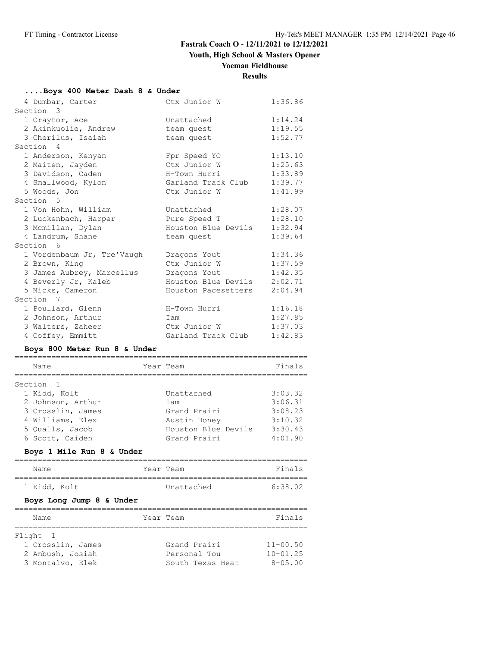**Youth, High School & Masters Opener**

### **Yoeman Fieldhouse**

## **Results**

### **....Boys 400 Meter Dash 8 & Under**

| 4 Dumbar, Carter           | Ctx Junior W        | 1:36.86 |
|----------------------------|---------------------|---------|
| Section 3                  |                     |         |
| 1 Craytor, Ace             | Unattached          | 1:14.24 |
| 2 Akinkuolie, Andrew       | team quest          | 1:19.55 |
| 3 Cherilus, Isaiah         | team quest          | 1:52.77 |
| Section 4                  |                     |         |
| 1 Anderson, Kenyan         | Fpr Speed YO        | 1:13.10 |
| 2 Maiten, Jayden           | Ctx Junior W        | 1:25.63 |
| 3 Davidson, Caden          | H-Town Hurri        | 1:33.89 |
| 4 Smallwood, Kylon         | Garland Track Club  | 1:39.77 |
| 5 Woods, Jon               | Ctx Junior W        | 1:41.99 |
| Section 5                  |                     |         |
| 1 Von Hohn, William        | Unattached          | 1:28.07 |
| 2 Luckenbach, Harper       | Pure Speed T        | 1:28.10 |
| 3 Mcmillan, Dylan          | Houston Blue Devils | 1:32.94 |
| 4 Landrum, Shane           | team quest          | 1:39.64 |
| Section 6                  |                     |         |
| 1 Vordenbaum Jr, Tre'Vaugh | Dragons Yout        | 1:34.36 |
| 2 Brown, King              | Ctx Junior W        | 1:37.59 |
| 3 James Aubrey, Marcellus  | Dragons Yout        | 1:42.35 |
| 4 Beverly Jr, Kaleb        | Houston Blue Devils | 2:02.71 |
| 5 Nicks, Cameron           | Houston Pacesetters | 2:04.94 |
| Section 7                  |                     |         |
| 1 Poullard, Glenn          | H-Town Hurri        | 1:16.18 |
| 2 Johnson, Arthur          | Iam                 | 1:27.85 |
| 3 Walters, Zaheer          | Ctx Junior W        | 1:37.03 |
| 4 Coffey, Emmitt           | Garland Track Club  | 1:42.83 |

### **Boys 800 Meter Run 8 & Under**

|                                                                                                  | Finals                                   |
|--------------------------------------------------------------------------------------------------|------------------------------------------|
| Unattached<br>Iam<br>Grand Prairi<br>Austin Honev                                                | 3:03.32<br>3:06.31<br>3:08.23<br>3:10.32 |
| Grand Prairi                                                                                     | 3:30.43<br>4:01.90                       |
| 2 Johnson, Arthur<br>3 Crosslin, James<br>4 Williams, Elex<br>5 Oualls, Jacob<br>6 Scott, Caiden | Year Team<br>Houston Blue Devils         |

### **Boys 1 Mile Run 8 & Under**

| Name         | Year Team  | Finals  |
|--------------|------------|---------|
| 1 Kidd, Kolt | Unattached | 6:38.02 |

### **Boys Long Jump 8 & Under**

| Name              | Year Team        | Finals         |
|-------------------|------------------|----------------|
|                   |                  |                |
| Flight 1          |                  |                |
| 1 Crosslin, James | Grand Prairi     | $11 - 00.50$   |
| 2 Ambush, Josiah  | Personal Tou     | $10 - 01.25$   |
| 3 Montalvo, Elek  | South Texas Heat | $8 - 0.5$ , 00 |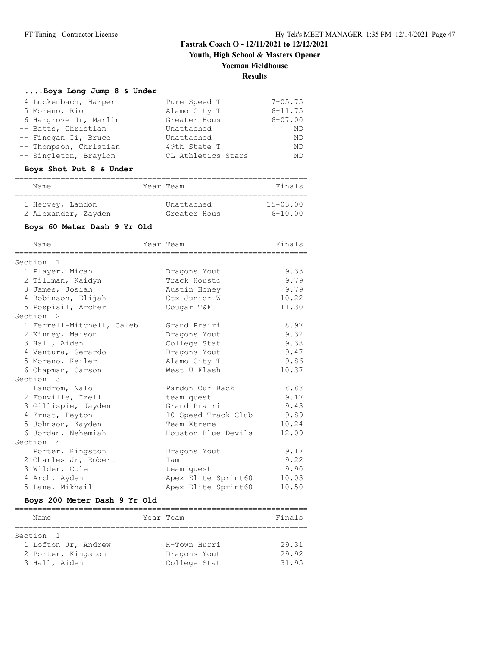**Youth, High School & Masters Opener**

### **Yoeman Fieldhouse**

### **Results**

#### **....Boys Long Jump 8 & Under**

| 4 Luckenbach, Harper   | Pure Speed T       | $7 - 05.75$ |
|------------------------|--------------------|-------------|
| 5 Moreno, Rio          | Alamo City T       | $6 - 11.75$ |
| 6 Hargrove Jr, Marlin  | Greater Hous       | $6 - 07.00$ |
| -- Batts, Christian    | Unattached         | ND          |
| -- Finegan Ii, Bruce   | Unattached         | ND          |
| -- Thompson, Christian | 49th State T       | ND          |
| -- Singleton, Braylon  | CL Athletics Stars | ND          |

### **Boys Shot Put 8 & Under**

| Name                | Year Team    | Finals       |
|---------------------|--------------|--------------|
| 1 Hervey, Landon    | Unattached   | $15 - 03.00$ |
| 2 Alexander, Zayden | Greater Hous | $6 - 10.00$  |

## **Boys 60 Meter Dash 9 Yr Old**

| Name                      | Year Team           | Finals |
|---------------------------|---------------------|--------|
|                           |                     |        |
| Section <sub>1</sub>      |                     |        |
| 1 Player, Micah           | Dragons Yout        | 9.33   |
| 2 Tillman, Kaidyn         | Track Housto        | 9.79   |
| 3 James, Josiah           | Austin Honey        | 9.79   |
| 4 Robinson, Elijah        | Ctx Junior W        | 10.22  |
| 5 Pospisil, Archer        | Cougar T&F          | 11.30  |
| Section <sub>2</sub>      |                     |        |
| 1 Ferrell-Mitchell, Caleb | Grand Prairi        | 8.97   |
| 2 Kinney, Maison          | Dragons Yout        | 9.32   |
| 3 Hall, Aiden             | College Stat        | 9.38   |
| 4 Ventura, Gerardo        | Dragons Yout        | 9.47   |
| 5 Moreno, Keiler          | Alamo City T        | 9.86   |
| 6 Chapman, Carson         | West U Flash        | 10.37  |
| Section 3                 |                     |        |
| 1 Landrom, Nalo           | Pardon Our Back     | 8.88   |
| 2 Fonville, Izell         | team quest          | 9.17   |
| 3 Gillispie, Jayden       | Grand Prairi        | 9.43   |
| 4 Ernst, Peyton           | 10 Speed Track Club | 9.89   |
| 5 Johnson, Kayden         | Team Xtreme         | 10.24  |
| 6 Jordan, Nehemiah        | Houston Blue Devils | 12.09  |
| Section 4                 |                     |        |
| 1 Porter, Kingston        | Dragons Yout        | 9.17   |
| 2 Charles Jr, Robert      | Iam                 | 9.22   |
| 3 Wilder, Cole            | team quest          | 9.90   |
| 4 Arch, Ayden             | Apex Elite Sprint60 | 10.03  |
| 5 Lane, Mikhail           | Apex Elite Sprint60 | 10.50  |

#### **Boys 200 Meter Dash 9 Yr Old**

| Name                | Year Team |              | Finals |
|---------------------|-----------|--------------|--------|
|                     |           |              |        |
| Section 1           |           |              |        |
| 1 Lofton Jr, Andrew |           | H-Town Hurri | 29.31  |
| 2 Porter, Kingston  |           | Dragons Yout | 29.92  |
| 3 Hall, Aiden       |           | College Stat | 31.95  |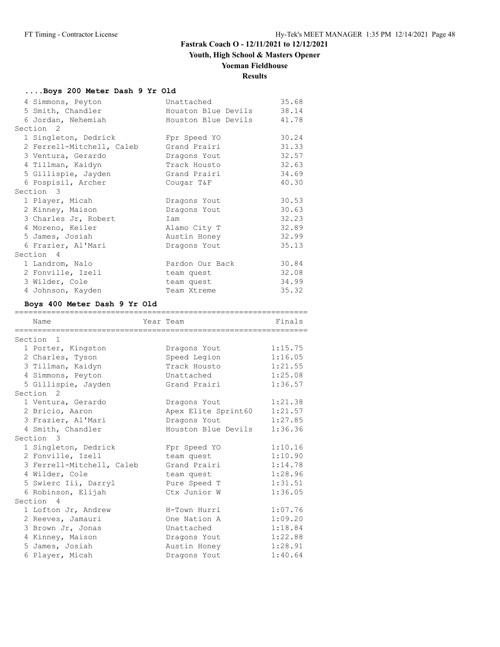## **Youth, High School & Masters Opener**

## **Yoeman Fieldhouse**

# **Results**

### **....Boys 200 Meter Dash 9 Yr Old**

| 4 Simmons, Peyton            | Unattached          | 35.68 |
|------------------------------|---------------------|-------|
| 5 Smith, Chandler            | Houston Blue Devils | 38.14 |
| 6 Jordan, Nehemiah           | Houston Blue Devils | 41.78 |
| Section <sub>2</sub>         |                     |       |
| 1 Singleton, Dedrick         | Fpr Speed YO        | 30.24 |
| 2 Ferrell-Mitchell, Caleb    | Grand Prairi        | 31.33 |
| 3 Ventura, Gerardo           | Dragons Yout        | 32.57 |
| 4 Tillman, Kaidyn            | Track Housto        | 32.63 |
| 5 Gillispie, Jayden          | Grand Prairi        | 34.69 |
| 6 Pospisil, Archer           | Cougar T&F          | 40.30 |
| Section 3                    |                     |       |
| 1 Player, Micah              | Dragons Yout        | 30.53 |
| 2 Kinney, Maison             | Dragons Yout        | 30.63 |
| 3 Charles Jr, Robert         | Iam                 | 32.23 |
| 4 Moreno, Keiler             | Alamo City T        | 32.89 |
| 5 James, Josiah              | Austin Honey        | 32.99 |
| 6 Frazier, Al'Mari           | Dragons Yout        | 35.13 |
| Section 4                    |                     |       |
| 1 Landrom, Nalo              | Pardon Our Back     | 30.84 |
| 2 Fonville, Izell            | team quest          | 32.08 |
| 3 Wilder, Cole               | team quest          | 34.99 |
| 4 Johnson, Kayden            | Team Xtreme         | 35.32 |
| Boys 400 Meter Dash Q Yr Old |                     |       |

### **Boys 400 Meter Dash 9 Yr Old**

| Name                      | Year Team           | Finals  |
|---------------------------|---------------------|---------|
| Section <sub>1</sub>      |                     |         |
| 1 Porter, Kingston        | Dragons Yout        | 1:15.75 |
| 2 Charles, Tyson          | Speed Legion        | 1:16.05 |
| 3 Tillman, Kaidyn         | Track Housto        | 1:21.55 |
| 4 Simmons, Peyton         | Unattached          | 1:25.08 |
| 5 Gillispie, Jayden       | Grand Prairi        | 1:36.57 |
| Section <sub>2</sub>      |                     |         |
| 1 Ventura, Gerardo        | Dragons Yout        | 1:21.38 |
| 2 Bricio, Aaron           | Apex Elite Sprint60 | 1:21.57 |
| 3 Frazier, Al'Mari        | Dragons Yout        | 1:27.85 |
| 4 Smith, Chandler         | Houston Blue Devils | 1:36.36 |
| Section 3                 |                     |         |
| 1 Singleton, Dedrick      | Fpr Speed YO        | 1:10.16 |
| 2 Fonville, Izell         | team quest          | 1:10.90 |
| 3 Ferrell-Mitchell, Caleb | Grand Prairi        | 1:14.78 |
| 4 Wilder, Cole            | team quest          | 1:28.96 |
| 5 Swierc Iii, Darryl      | Pure Speed T        | 1:31.51 |
| 6 Robinson, Elijah        | Ctx Junior W        | 1:36.05 |
| Section 4                 |                     |         |
| 1 Lofton Jr, Andrew       | H-Town Hurri        | 1:07.76 |
| 2 Reeves, Jamauri         | One Nation A        | 1:09.20 |
| 3 Brown Jr, Jonas         | Unattached          | 1:18.84 |
| 4 Kinney, Maison          | Dragons Yout        | 1:22.88 |
| 5 James, Josiah           | Austin Honey        | 1:28.91 |
| 6 Player, Micah           | Dragons Yout        | 1:40.64 |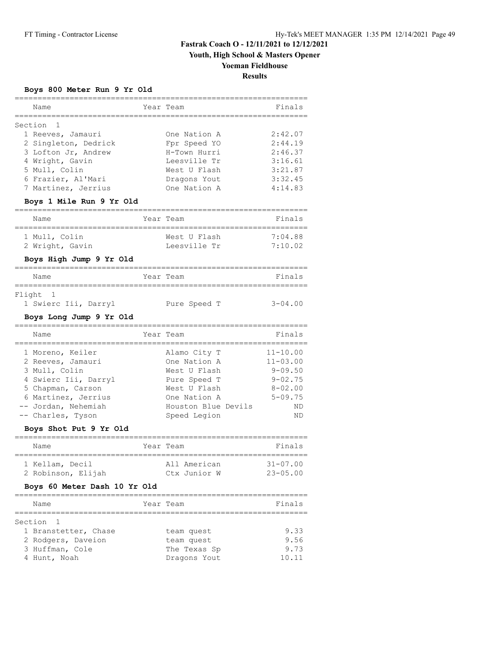**Youth, High School & Masters Opener**

### **Yoeman Fieldhouse**

**Results**

## **Boys 800 Meter Run 9 Yr Old**

| Name                                      |                | Year Team                          | Finals       |
|-------------------------------------------|----------------|------------------------------------|--------------|
|                                           |                |                                    |              |
| Section<br>1<br>1 Reeves, Jamauri         |                | One Nation A                       | 2:42.07      |
| 2 Singleton, Dedrick                      |                | Fpr Speed YO                       | 2:44.19      |
| 3 Lofton Jr, Andrew                       |                | H-Town Hurri                       | 2:46.37      |
| 4 Wright, Gavin                           |                | Leesville Tr                       | 3:16.61      |
| 5 Mull, Colin                             |                | West U Flash                       | 3:21.87      |
| 6 Frazier, Al'Mari                        |                | Dragons Yout                       | 3:32.45      |
| 7 Martinez, Jerrius                       |                | One Nation A                       | 4:14.83      |
| Boys 1 Mile Run 9 Yr Old                  |                |                                    |              |
| Name<br>==============                    | Year           | Team                               | Finals       |
| 1 Mull, Colin                             |                | West U Flash                       | 7:04.88      |
| 2 Wright, Gavin                           |                | Leesville Tr                       | 7:10.02      |
| Boys High Jump 9 Yr Old                   |                |                                    |              |
| -----------------------------<br>Name     |                | =====================<br>Year Team | Finals       |
| Flight<br>- 1                             |                |                                    |              |
| 1 Swierc Iii, Darryl                      |                | Pure Speed T                       | $3 - 04.00$  |
| Boys Long Jump 9 Yr Old<br>-------------- |                |                                    |              |
| Name                                      |                | Year Team                          | Finals       |
| 1 Moreno, Keiler                          |                | Alamo City T                       | $11 - 10.00$ |
| 2 Reeves, Jamauri                         |                | One Nation A                       | $11 - 03.00$ |
| 3 Mull, Colin                             |                | West U Flash                       | $9 - 09.50$  |
| 4 Swierc Iii, Darryl                      |                | Pure Speed T                       | $9 - 02.75$  |
| 5 Chapman, Carson                         |                | West U Flash                       | $8 - 02.00$  |
| 6 Martinez, Jerrius                       |                | One Nation A                       | $5 - 09.75$  |
| -- Jordan, Nehemiah                       |                | Houston Blue Devils                | ND           |
| -- Charles, Tyson                         |                | Speed Legion                       | ND           |
| Boys Shot Put 9 Yr Old                    |                |                                    |              |
| Name                                      |                | Year Team                          | Finals       |
| 1 Kellam, Decil                           |                | All American                       | $31 - 07.00$ |
| 2 Robinson, Elijah                        |                |                                    |              |
|                                           |                |                                    | $23 - 05.00$ |
| Boys 60 Meter Dash 10 Yr Old              |                | Ctx Junior W                       |              |
|                                           | ============== |                                    |              |
| Name                                      |                | Year Team                          | Finals       |
| Section<br>1                              |                |                                    |              |
| 1 Branstetter, Chase                      |                | team quest                         | 9.33         |
| 2 Rodgers, Daveion                        |                | team quest                         | 9.56         |
| 3 Huffman, Cole                           |                | The Texas Sp                       | 9.73         |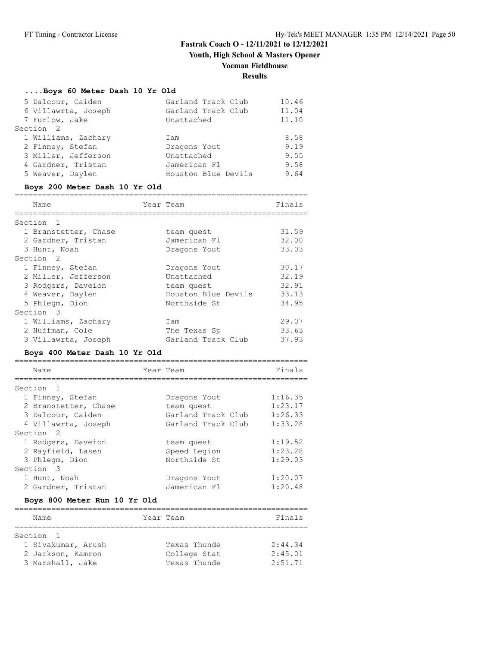**Youth, High School & Masters Opener**

# **Yoeman Fieldhouse**

# **Results**

#### **....Boys 60 Meter Dash 10 Yr Old**

| 5 Dalcour, Caiden    | Garland Track Club  | 10.46 |
|----------------------|---------------------|-------|
| 6 Villawrta, Joseph  | Garland Track Club  | 11.04 |
| 7 Furlow, Jake       | Unattached          | 11.10 |
| Section <sub>2</sub> |                     |       |
| 1 Williams, Zachary  | Iam                 | 8.58  |
| 2 Finney, Stefan     | Dragons Yout        | 9.19  |
| 3 Miller, Jefferson  | Unattached          | 9.55  |
| 4 Gardner, Tristan   | Jamerican Fl        | 9.58  |
| 5 Weaver, Daylen     | Houston Blue Devils | 9.64  |

### **Boys 200 Meter Dash 10 Yr Old**

| Name                 | Year Team           | Finals |
|----------------------|---------------------|--------|
|                      |                     |        |
| Section<br>$^{-1}$   |                     |        |
| 1 Branstetter, Chase | team quest          | 31.59  |
| 2 Gardner, Tristan   | Jamerican Fl        | 32.00  |
| 3 Hunt, Noah         | Dragons Yout        | 33.03  |
| Section <sub>2</sub> |                     |        |
| 1 Finney, Stefan     | Dragons Yout        | 30.17  |
| 2 Miller, Jefferson  | Unattached          | 32.19  |
| 3 Rodgers, Daveion   | team quest          | 32.91  |
| 4 Weaver, Daylen     | Houston Blue Devils | 33.13  |
| 5 Phlegm, Dion       | Northside St        | 34.95  |
| Section 3            |                     |        |
| 1 Williams, Zachary  | Iam                 | 29.07  |
| 2 Huffman, Cole      | The Texas Sp        | 33.63  |
| 3 Villawrta, Joseph  | Garland Track Club  | 37.93  |

### **Boys 400 Meter Dash 10 Yr Old**

| Name                      | Year Team          | Finals  |
|---------------------------|--------------------|---------|
|                           |                    |         |
| Section<br>$\overline{1}$ |                    |         |
| 1 Finney, Stefan          | Dragons Yout       | 1:16.35 |
| 2 Branstetter, Chase      | team quest         | 1:23.17 |
| 3 Dalcour, Caiden         | Garland Track Club | 1:26.33 |
| 4 Villawrta, Joseph       | Garland Track Club | 1:33.28 |
| Section <sub>2</sub>      |                    |         |
| 1 Rodgers, Daveion        | team quest         | 1:19.52 |
| 2 Rayfield, Lasen         | Speed Legion       | 1:23.28 |
| 3 Phlegm, Dion            | Northside St       | 1:29.03 |
| Section 3                 |                    |         |
| 1 Hunt, Noah              | Dragons Yout       | 1:20.07 |
| 2 Gardner, Tristan        | Jamerican Fl       | 1:20.48 |

### **Boys 800 Meter Run 10 Yr Old**

| Name               | Year Team    | Finals  |
|--------------------|--------------|---------|
|                    |              |         |
| Section 1          |              |         |
| 1 Sivakumar, Arush | Texas Thunde | 2:44.34 |
| 2 Jackson, Kamron  | College Stat | 2:45.01 |
| 3 Marshall, Jake   | Texas Thunde | 2:51.71 |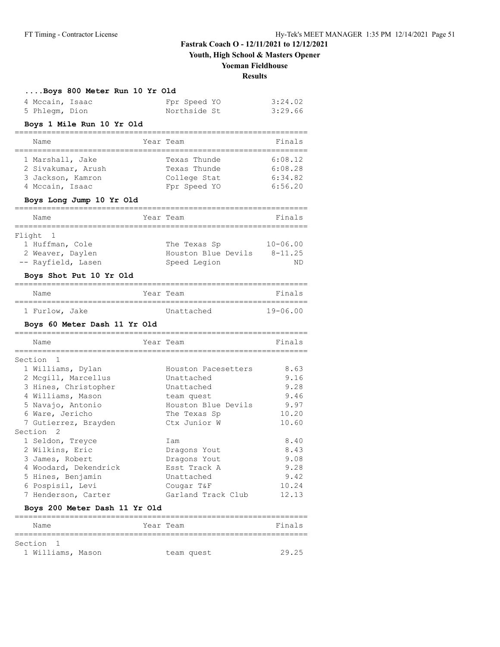**Youth, High School & Masters Opener**

#### **Yoeman Fieldhouse**

**Results**

|  |  |  | Boys 800 Meter Run 10 Yr Old |  |  |  |  |
|--|--|--|------------------------------|--|--|--|--|
|--|--|--|------------------------------|--|--|--|--|

| 4 Mccain, Isaac | Fpr Speed YO | 3:24.02 |
|-----------------|--------------|---------|
| 5 Phlegm, Dion  | Northside St | 3:29.66 |

#### **Boys 1 Mile Run 10 Yr Old**

| Name               | Year Team    | Finals  |
|--------------------|--------------|---------|
| 1 Marshall, Jake   | Texas Thunde | 6:08.12 |
| 2 Sivakumar, Arush | Texas Thunde | 6:08.28 |
| 3 Jackson, Kamron  | College Stat | 6:34.82 |
| 4 Mccain, Isaac    | Fpr Speed YO | 6:56.20 |

#### **Boys Long Jump 10 Yr Old**

| Name               | Year Team           | Finals       |
|--------------------|---------------------|--------------|
| Flight 1           |                     |              |
| 1 Huffman, Cole    | The Texas Sp        | $10 - 06.00$ |
| 2 Weaver, Daylen   | Houston Blue Devils | $8 - 11.25$  |
| -- Rayfield, Lasen | Speed Legion        | ΝD           |
|                    |                     |              |

#### **Boys Shot Put 10 Yr Old**

| Name           |  | Year Team  | Finals       |
|----------------|--|------------|--------------|
|                |  |            |              |
| 1 Furlow, Jake |  | Unattached | $19 - 06.00$ |

#### **Boys 60 Meter Dash 11 Yr Old**

|   | Name                  | Year Team |                     | Finals |
|---|-----------------------|-----------|---------------------|--------|
|   | Section 1             |           |                     |        |
|   | 1 Williams, Dylan     |           | Houston Pacesetters | 8.63   |
|   | 2 Mcgill, Marcellus   |           | Unattached          | 9.16   |
|   | 3 Hines, Christopher  |           | Unattached          | 9.28   |
|   | 4 Williams, Mason     |           | team quest          | 9.46   |
|   | 5 Navajo, Antonio     |           | Houston Blue Devils | 9.97   |
|   | 6 Ware, Jericho       |           | The Texas Sp        | 10.20  |
|   | 7 Gutierrez, Brayden  |           | Ctx Junior W        | 10.60  |
|   | Section <sub>2</sub>  |           |                     |        |
|   | 1 Seldon, Treyce      |           | Iam                 | 8.40   |
|   | 2 Wilkins, Eric       |           | Dragons Yout        | 8.43   |
|   | 3 James, Robert       |           | Dragons Yout        | 9.08   |
|   | 4 Woodard, Dekendrick |           | Esst Track A        | 9.28   |
|   | 5 Hines, Benjamin     |           | Unattached          | 9.42   |
|   | 6 Pospisil, Levi      |           | Cougar T&F          | 10.24  |
| 7 | Henderson, Carter     |           | Garland Track Club  | 12.13  |

### **Boys 200 Meter Dash 11 Yr Old**

| Name              | Year Team |            | Finals |
|-------------------|-----------|------------|--------|
| Section 1         |           |            |        |
| 1 Williams, Mason |           | team quest | 29.25  |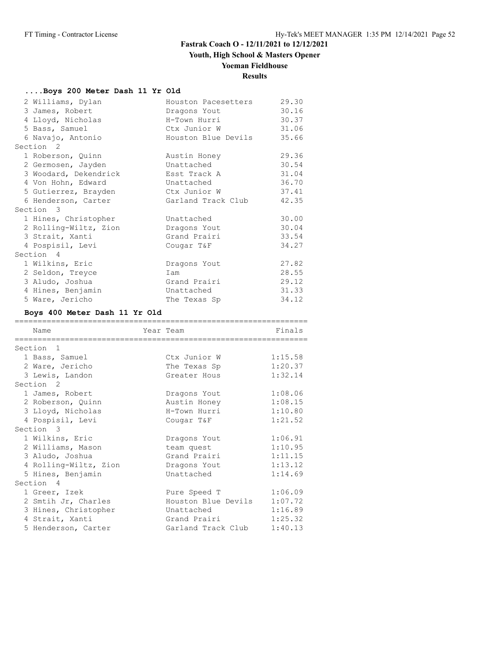## **Youth, High School & Masters Opener**

# **Yoeman Fieldhouse**

# **Results**

### **....Boys 200 Meter Dash 11 Yr Old**

| 2 Williams, Dylan     | Houston Pacesetters | 29.30 |
|-----------------------|---------------------|-------|
| 3 James, Robert       | Dragons Yout        | 30.16 |
| 4 Lloyd, Nicholas     | H-Town Hurri        | 30.37 |
| 5 Bass, Samuel        | Ctx Junior W        | 31.06 |
| 6 Navajo, Antonio     | Houston Blue Devils | 35.66 |
| Section <sub>2</sub>  |                     |       |
| 1 Roberson, Quinn     | Austin Honey        | 29.36 |
| 2 Germosen, Jayden    | Unattached          | 30.54 |
| 3 Woodard, Dekendrick | Esst Track A        | 31.04 |
| 4 Von Hohn, Edward    | Unattached          | 36.70 |
| 5 Gutierrez, Brayden  | Ctx Junior W        | 37.41 |
| 6 Henderson, Carter   | Garland Track Club  | 42.35 |
| Section 3             |                     |       |
| 1 Hines, Christopher  | Unattached          | 30.00 |
| 2 Rolling-Wiltz, Zion | Dragons Yout        | 30.04 |
| 3 Strait, Xanti       | Grand Prairi        | 33.54 |
| 4 Pospisil, Levi      | Cougar T&F          | 34.27 |
| Section 4             |                     |       |
| 1 Wilkins, Eric       | Dragons Yout        | 27.82 |
| 2 Seldon, Treyce      | Iam                 | 28.55 |
| 3 Aludo, Joshua       | Grand Prairi        | 29.12 |
| 4 Hines, Benjamin     | Unattached          | 31.33 |
| 5 Ware, Jericho       | The Texas Sp        | 34.12 |

## **Boys 400 Meter Dash 11 Yr Old**

| Name                  | Year Team           | Finals  |
|-----------------------|---------------------|---------|
| ================      |                     |         |
| Section <sub>1</sub>  |                     |         |
| 1 Bass, Samuel        | Ctx Junior W        | 1:15.58 |
| 2 Ware, Jericho       | The Texas Sp        | 1:20.37 |
| 3 Lewis, Landon       | Greater Hous        | 1:32.14 |
| Section <sub>2</sub>  |                     |         |
| 1 James, Robert       | Dragons Yout        | 1:08.06 |
| 2 Roberson, Quinn     | Austin Honey        | 1:08.15 |
| 3 Lloyd, Nicholas     | H-Town Hurri        | 1:10.80 |
| 4 Pospisil, Levi      | Cougar T&F          | 1:21.52 |
| Section 3             |                     |         |
| 1 Wilkins, Eric       | Dragons Yout        | 1:06.91 |
| 2 Williams, Mason     | team quest          | 1:10.95 |
| 3 Aludo, Joshua       | Grand Prairi        | 1:11.15 |
| 4 Rolling-Wiltz, Zion | Dragons Yout        | 1:13.12 |
| 5 Hines, Benjamin     | Unattached          | 1:14.69 |
| Section 4             |                     |         |
| 1 Greer, Izek         | Pure Speed T        | 1:06.09 |
| 2 Smtih Jr, Charles   | Houston Blue Devils | 1:07.72 |
| 3 Hines, Christopher  | Unattached          | 1:16.89 |
| 4 Strait, Xanti       | Grand Prairi        | 1:25.32 |
| 5 Henderson, Carter   | Garland Track Club  | 1:40.13 |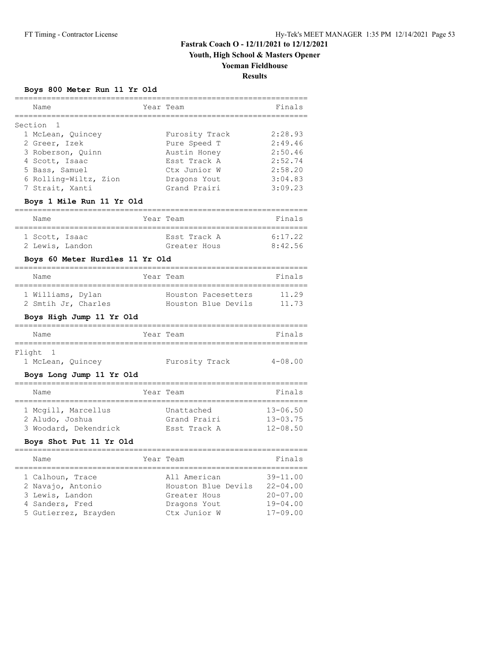**Youth, High School & Masters Opener**

## **Yoeman Fieldhouse**

**Results**

#### **Boys 800 Meter Run 11 Yr Old**

| Name<br>=====================                                                                             | Year Team                                                    | Finals                                       |
|-----------------------------------------------------------------------------------------------------------|--------------------------------------------------------------|----------------------------------------------|
| Section 1<br>1 McLean, Quincey<br>2 Greer, Izek<br>3 Roberson, Quinn                                      | Furosity Track<br>Pure Speed T<br>Austin Honey               | 2:28.93<br>2:49.46<br>2:50.46                |
| 4 Scott, Isaac<br>5 Bass, Samuel<br>6 Rolling-Wiltz, Zion<br>7 Strait, Xanti<br>Boys 1 Mile Run 11 Yr Old | Esst Track A<br>Ctx Junior W<br>Dragons Yout<br>Grand Prairi | 2:52.74<br>2:58.20<br>3:04.83<br>3:09.23     |
| Name                                                                                                      | Year Team                                                    | Finals                                       |
| 1 Scott, Isaac<br>2 Lewis, Landon<br>Boys 60 Meter Hurdles 11 Yr Old                                      | Esst Track A<br>Greater Hous                                 | 6:17.22<br>8:42.56                           |
| Name                                                                                                      | Year Team                                                    | Finals                                       |
| 1 Williams, Dylan<br>2 Smtih Jr, Charles                                                                  | Houston Pacesetters<br>Houston Blue Devils                   | 11.29<br>11.73                               |
| Boys High Jump 11 Yr Old                                                                                  |                                                              |                                              |
| Name<br>=============                                                                                     | Year Team<br>----------------                                | Finals                                       |
| Flight 1<br>1 McLean, Quincey<br>Boys Long Jump 11 Yr Old                                                 | Furosity Track                                               | $4 - 08.00$                                  |
| Name                                                                                                      | Year Team                                                    | Finals                                       |
| 1 Mcgill, Marcellus<br>2 Aludo, Joshua<br>3 Woodard, Dekendrick                                           | Unattached<br>Grand Prairi<br>Esst Track A                   | $13 - 06.50$<br>$13 - 03.75$<br>$12 - 08.50$ |
| Boys Shot Put 11 Yr Old                                                                                   |                                                              |                                              |
| Name                                                                                                      | Year Team                                                    | Finals                                       |
| 1 Calhoun, Trace<br>2 Navajo, Antonio<br>3 Lewis, Landon                                                  | All American<br>Houston Blue Devils 22-04.00<br>Greater Hous | $39 - 11.00$<br>$20 - 07.00$                 |

 4 Sanders, Fred Dragons Yout 19-04.00 5 Gutierrez, Brayden Ctx Junior W 17-09.00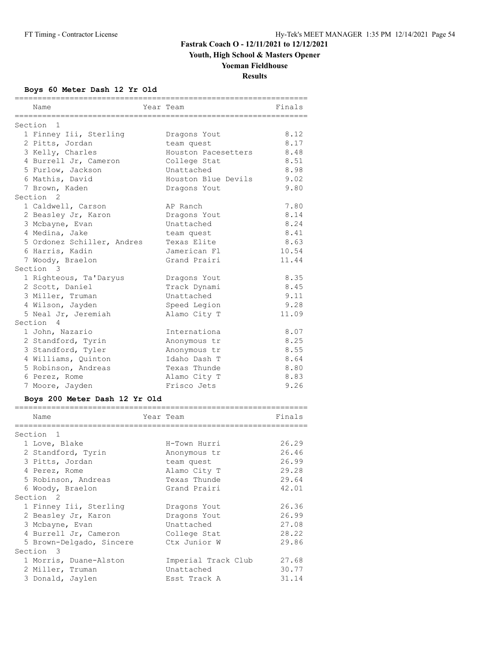**Youth, High School & Masters Opener**

# **Yoeman Fieldhouse**

**Results**

### **Boys 60 Meter Dash 12 Yr Old**

| Name                          | Year Team           | Finals |
|-------------------------------|---------------------|--------|
| Section<br>$\overline{1}$     |                     |        |
| 1 Finney Iii, Sterling        | Dragons Yout        | 8.12   |
| 2 Pitts, Jordan               | team quest          | 8.17   |
| 3 Kelly, Charles              | Houston Pacesetters | 8.48   |
| 4 Burrell Jr, Cameron         | College Stat        | 8.51   |
| 5 Furlow, Jackson             | Unattached          | 8.98   |
| 6 Mathis, David               | Houston Blue Devils | 9.02   |
| 7 Brown, Kaden                | Dragons Yout        | 9.80   |
| Section <sub>2</sub>          |                     |        |
| 1 Caldwell, Carson            | AP Ranch            | 7.80   |
| 2 Beasley Jr, Karon           | Dragons Yout        | 8.14   |
| 3 Mcbayne, Evan               | Unattached          | 8.24   |
| 4 Medina, Jake                | team quest          | 8.41   |
| 5 Ordonez Schiller, Andres    | Texas Elite         | 8.63   |
| 6 Harris, Kadin               | Jamerican Fl        | 10.54  |
| 7 Woody, Braelon              | Grand Prairi        | 11.44  |
| Section 3                     |                     |        |
| 1 Righteous, Ta'Daryus        | Dragons Yout        | 8.35   |
| 2 Scott, Daniel               | Track Dynami        | 8.45   |
| 3 Miller, Truman              | Unattached          | 9.11   |
| 4 Wilson, Jayden              | Speed Legion        | 9.28   |
| 5 Neal Jr, Jeremiah           | Alamo City T        | 11.09  |
| Section 4                     |                     |        |
| 1 John, Nazario               | Internationa        | 8.07   |
| 2 Standford, Tyrin            | Anonymous tr        | 8.25   |
| 3 Standford, Tyler            | Anonymous tr        | 8.55   |
| 4 Williams, Quinton           | Idaho Dash T        | 8.64   |
| 5 Robinson, Andreas           | Texas Thunde        | 8.80   |
| 6 Perez, Rome                 | Alamo City T        | 8.83   |
| 7 Moore, Jayden               | Frisco Jets         | 9.26   |
| Boys 200 Meter Dash 12 Yr Old |                     |        |
| :================<br>Name     | Year Team           | Finals |
| ===========                   |                     |        |
| Section 1                     |                     |        |
| 1 Love, Blake                 | H-Town Hurri        | 26.29  |
| 2 Standford, Tyrin            | Anonymous tr        | 26.46  |
| 3 Pitts, Jordan               | team quest          | 26.99  |
| 4 Perez, Rome                 | Alamo City T        | 29.28  |
| 5 Robinson, Andreas           | Texas Thunde        | 29.64  |
| 6 Woody, Braelon              | Grand Prairi        | 42.01  |
| Section <sub>2</sub>          |                     |        |
| 1 Finney Iii, Sterling        | Dragons Yout        | 26.36  |
| 2 Beasley Jr, Karon           | Dragons Yout        | 26.99  |
| 3 Mcbayne, Evan               | Unattached          | 27.08  |
| 4 Burrell Jr, Cameron         | College Stat        | 28.22  |
| 5 Brown-Delgado, Sincere      | Ctx Junior W        | 29.86  |
| Section 3                     |                     |        |
| 1 Morris, Duane-Alston        | Imperial Track Club | 27.68  |
| 2 Miller, Truman              | Unattached          | 30.77  |
| 3 Donald, Jaylen              | Esst Track A        | 31.14  |

================================================================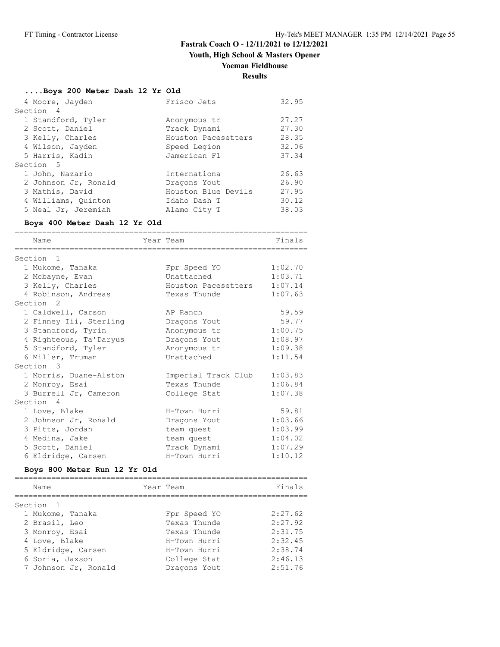**Youth, High School & Masters Opener**

## **Yoeman Fieldhouse**

**Results**

### **....Boys 200 Meter Dash 12 Yr Old**

|           | 4 Moore, Jayden      | Frisco Jets         | 32.95 |
|-----------|----------------------|---------------------|-------|
| Section 4 |                      |                     |       |
|           | 1 Standford, Tyler   | Anonymous tr        | 27.27 |
|           | 2 Scott, Daniel      | Track Dynami        | 27.30 |
|           | 3 Kelly, Charles     | Houston Pacesetters | 28.35 |
|           | 4 Wilson, Jayden     | Speed Legion        | 32.06 |
|           | 5 Harris, Kadin      | Jamerican Fl        | 37.34 |
| Section 5 |                      |                     |       |
|           | 1 John, Nazario      | Internationa        | 26.63 |
|           | 2 Johnson Jr, Ronald | Dragons Yout        | 26.90 |
|           | 3 Mathis, David      | Houston Blue Devils | 27.95 |
|           | 4 Williams, Quinton  | Idaho Dash T        | 30.12 |
|           | 5 Neal Jr, Jeremiah  | Alamo City T        | 38.03 |

### **Boys 400 Meter Dash 12 Yr Old**

| Name                         |           | Year Team           | Finals  |
|------------------------------|-----------|---------------------|---------|
| Section <sub>1</sub>         |           |                     |         |
| 1 Mukome, Tanaka             |           | Fpr Speed YO        | 1:02.70 |
| 2 Mcbayne, Evan              |           | Unattached          | 1:03.71 |
| 3 Kelly, Charles             |           | Houston Pacesetters | 1:07.14 |
| 4 Robinson, Andreas          |           | Texas Thunde        | 1:07.63 |
| Section <sub>2</sub>         |           |                     |         |
| 1 Caldwell, Carson           |           | AP Ranch            | 59.59   |
| 2 Finney Iii, Sterling       |           | Dragons Yout        | 59.77   |
| 3 Standford, Tyrin           |           | Anonymous tr        | 1:00.75 |
| 4 Righteous, Ta'Daryus       |           | Dragons Yout        | 1:08.97 |
| 5 Standford, Tyler           |           | Anonymous tr        | 1:09.38 |
| 6 Miller, Truman             |           | Unattached          | 1:11.54 |
| Section 3                    |           |                     |         |
| 1 Morris, Duane-Alston       |           | Imperial Track Club | 1:03.83 |
| 2 Monroy, Esai               |           | Texas Thunde        | 1:06.84 |
| 3 Burrell Jr, Cameron        |           | College Stat        | 1:07.38 |
| Section 4                    |           |                     |         |
| 1 Love, Blake                |           | H-Town Hurri        | 59.81   |
| 2 Johnson Jr, Ronald         |           | Dragons Yout        | 1:03.66 |
| 3 Pitts, Jordan              |           | team quest          | 1:03.99 |
| 4 Medina, Jake               |           | team quest          | 1:04.02 |
| 5 Scott, Daniel              |           | Track Dynami        | 1:07.29 |
| 6 Eldridge, Carsen           |           | H-Town Hurri        | 1:10.12 |
| Boys 800 Meter Run 12 Yr Old |           |                     |         |
| Name                         | Year Team |                     | Finals  |

| Name                 | Year Team    | Finals  |
|----------------------|--------------|---------|
|                      |              |         |
| Section 1            |              |         |
| 1 Mukome, Tanaka     | Fpr Speed YO | 2:27.62 |
| 2 Brasil, Leo        | Texas Thunde | 2:27.92 |
| 3 Monroy, Esai       | Texas Thunde | 2:31.75 |
| 4 Love, Blake        | H-Town Hurri | 2:32.45 |
| 5 Eldridge, Carsen   | H-Town Hurri | 2:38.74 |
| 6 Soria, Jaxson      | College Stat | 2:46.13 |
| 7 Johnson Jr, Ronald | Dragons Yout | 2:51.76 |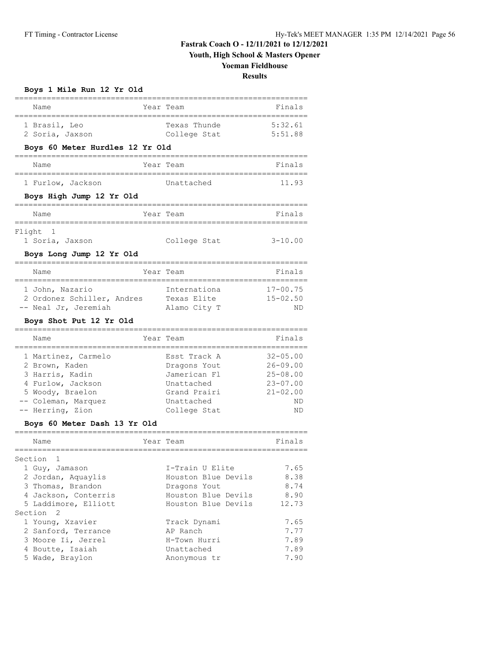**Youth, High School & Masters Opener**

### **Yoeman Fieldhouse**

**Results**

| Boys 1 Mile Run 12 Yr Old<br>============                                                                                                                 |  |                                                                                                          |                                                                                          |  |  |
|-----------------------------------------------------------------------------------------------------------------------------------------------------------|--|----------------------------------------------------------------------------------------------------------|------------------------------------------------------------------------------------------|--|--|
| Name                                                                                                                                                      |  | Year Team                                                                                                | Finals                                                                                   |  |  |
| 1 Brasil, Leo<br>2 Soria, Jaxson                                                                                                                          |  | Texas Thunde<br>College Stat                                                                             | 5:32.61<br>5:51.88                                                                       |  |  |
| Boys 60 Meter Hurdles 12 Yr Old                                                                                                                           |  |                                                                                                          |                                                                                          |  |  |
| Name                                                                                                                                                      |  | Year Team                                                                                                | Finals                                                                                   |  |  |
| 1 Furlow, Jackson                                                                                                                                         |  | Unattached                                                                                               | 11.93                                                                                    |  |  |
| Boys High Jump 12 Yr Old                                                                                                                                  |  |                                                                                                          |                                                                                          |  |  |
| Name                                                                                                                                                      |  | Year Team                                                                                                | Finals                                                                                   |  |  |
| Flight 1<br>1 Soria, Jaxson                                                                                                                               |  | College Stat                                                                                             | $3 - 10.00$                                                                              |  |  |
| Boys Long Jump 12 Yr Old                                                                                                                                  |  |                                                                                                          |                                                                                          |  |  |
| Name                                                                                                                                                      |  | Year Team                                                                                                | Finals                                                                                   |  |  |
| 1 John, Nazario<br>2 Ordonez Schiller, Andres<br>-- Neal Jr, Jeremiah<br>Boys Shot Put 12 Yr Old                                                          |  | Internationa<br>Texas Elite<br>Alamo City T                                                              | $17 - 00.75$<br>$15 - 02.50$<br>ND                                                       |  |  |
| Name                                                                                                                                                      |  | Year Team                                                                                                | Finals                                                                                   |  |  |
| 1 Martinez, Carmelo<br>2 Brown, Kaden<br>3 Harris, Kadin<br>4 Furlow, Jackson<br>5 Woody, Braelon<br>-- Coleman, Marquez<br>-- Herring, Zion              |  | Esst Track A<br>Dragons Yout<br>Jamerican Fl<br>Unattached<br>Grand Prairi<br>Unattached<br>College Stat | $32 - 05.00$<br>$26 - 09.00$<br>$25 - 08.00$<br>$23 - 07.00$<br>$21 - 02.00$<br>ND<br>ND |  |  |
| Boys 60 Meter Dash 13 Yr Old                                                                                                                              |  |                                                                                                          |                                                                                          |  |  |
| .===================================<br>Name                                                                                                              |  | Year Team                                                                                                | Finals                                                                                   |  |  |
| Section 1<br>1 Guy, Jamason<br>2 Jordan, Aquaylis<br>3 Thomas, Brandon<br>4 Jackson, Conterris                                                            |  | I-Train U Elite<br>Houston Blue Devils<br>Dragons Yout<br>Houston Blue Devils                            | 7.65<br>8.38<br>8.74<br>8.90                                                             |  |  |
| 5 Laddimore, Elliott<br>Section<br>$\overline{2}$<br>1 Young, Xzavier<br>2 Sanford, Terrance<br>3 Moore Ii, Jerrel<br>4 Boutte, Isaiah<br>5 Wade, Braylon |  | Houston Blue Devils<br>Track Dynami<br>AP Ranch<br>H-Town Hurri<br>Unattached<br>Anonymous tr            | 12.73<br>7.65<br>7.77<br>7.89<br>7.89<br>7.90                                            |  |  |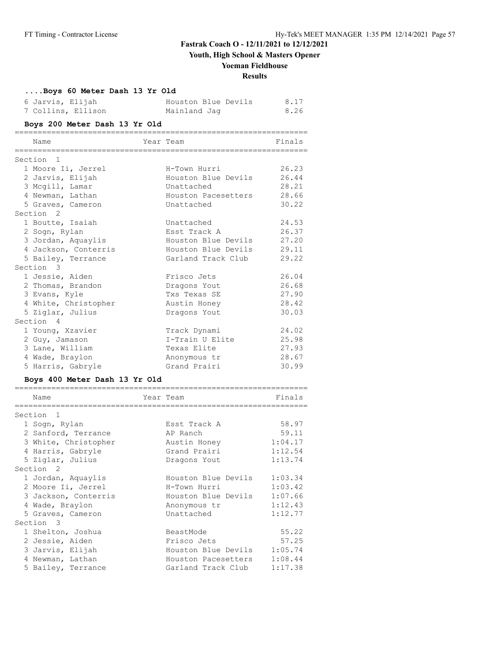## **Youth, High School & Masters Opener**

### **Yoeman Fieldhouse**

#### **Results**

### **....Boys 60 Meter Dash 13 Yr Old**

| 6 Jarvis, Elijah   | Houston Blue Devils | 8.17 |
|--------------------|---------------------|------|
| 7 Collins, Ellison | Mainland Jaq        | 8.26 |

### **Boys 200 Meter Dash 13 Yr Old**

| Name                 | Year Team           | Finals |
|----------------------|---------------------|--------|
|                      |                     |        |
| Section <sub>1</sub> |                     |        |
| 1 Moore Ii, Jerrel   | H-Town Hurri        | 26.23  |
| 2 Jarvis, Elijah     | Houston Blue Devils | 26.44  |
| 3 Mcgill, Lamar      | Unattached          | 28.21  |
| 4 Newman, Lathan     | Houston Pacesetters | 28.66  |
| 5 Graves, Cameron    | Unattached          | 30.22  |
| Section <sub>2</sub> |                     |        |
| 1 Boutte, Isaiah     | Unattached          | 24.53  |
| 2 Sogn, Rylan        | Esst Track A        | 26.37  |
| 3 Jordan, Aquaylis   | Houston Blue Devils | 27.20  |
| 4 Jackson, Conterris | Houston Blue Devils | 29.11  |
| 5 Bailey, Terrance   | Garland Track Club  | 29.22  |
| Section 3            |                     |        |
| 1 Jessie, Aiden      | Frisco Jets         | 26.04  |
| 2 Thomas, Brandon    | Dragons Yout        | 26.68  |
| 3 Evans, Kyle        | Txs Texas SE        | 27.90  |
| 4 White, Christopher | Austin Honey        | 28.42  |
| 5 Ziglar, Julius     | Dragons Yout        | 30.03  |
| Section 4            |                     |        |
| 1 Young, Xzavier     | Track Dynami        | 24.02  |
| 2 Guy, Jamason       | I-Train U Elite     | 25.98  |
| 3 Lane, William      | Texas Elite         | 27.93  |
| 4 Wade, Braylon      | Anonymous tr        | 28.67  |
| 5 Harris, Gabryle    | Grand Prairi        | 30.99  |

### **Boys 400 Meter Dash 13 Yr Old**

| Name                 | Year Team           | Finals  |
|----------------------|---------------------|---------|
| Section <sub>1</sub> |                     |         |
| 1 Sogn, Rylan        | Esst Track A        | 58.97   |
| 2 Sanford, Terrance  | AP Ranch            | 59.11   |
| 3 White, Christopher | Austin Honey        | 1:04.17 |
| 4 Harris, Gabryle    | Grand Prairi        | 1:12.54 |
| 5 Ziglar, Julius     | Dragons Yout        | 1:13.74 |
| Section 2            |                     |         |
| 1 Jordan, Aquaylis   | Houston Blue Devils | 1:03.34 |
| 2 Moore Ii, Jerrel   | H-Town Hurri        | 1:03.42 |
| 3 Jackson, Conterris | Houston Blue Devils | 1:07.66 |
| 4 Wade, Braylon      | Anonymous tr        | 1:12.43 |
| 5 Graves, Cameron    | Unattached          | 1:12.77 |
| Section 3            |                     |         |
| 1 Shelton, Joshua    | BeastMode           | 55.22   |
| 2 Jessie, Aiden      | Frisco Jets         | 57.25   |
| 3 Jarvis, Elijah     | Houston Blue Devils | 1:05.74 |
| 4 Newman, Lathan     | Houston Pacesetters | 1:08.44 |
| 5 Bailey, Terrance   | Garland Track Club  | 1:17.38 |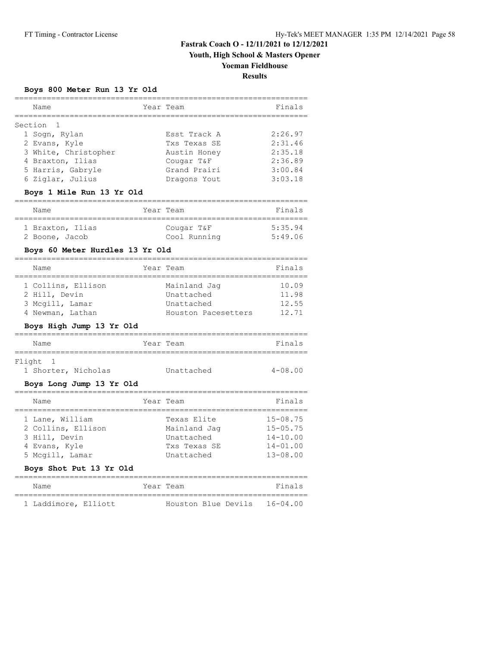## **Youth, High School & Masters Opener**

### **Yoeman Fieldhouse**

**Results**

### **Boys 800 Meter Run 13 Yr Old**

| Name                 | Year Team    | Finals  |
|----------------------|--------------|---------|
| Section 1            |              |         |
| 1 Sogn, Rylan        | Esst Track A | 2:26.97 |
| 2 Evans, Kyle        | Txs Texas SE | 2:31.46 |
| 3 White, Christopher | Austin Honey | 2:35.18 |
| 4 Braxton, Ilias     | Cougar T&F   | 2:36.89 |
| 5 Harris, Gabryle    | Grand Prairi | 3:00.84 |
| 6 Ziglar, Julius     | Dragons Yout | 3:03.18 |

### **Boys 1 Mile Run 13 Yr Old**

| Name             | Year Team    | Finals  |
|------------------|--------------|---------|
| 1 Braxton, Ilias | Cougar T&F   | 5:35.94 |
| 2 Boone, Jacob   | Cool Running | 5:49.06 |

#### **Boys 60 Meter Hurdles 13 Yr Old**

| Name               | Year Team           | Finals |
|--------------------|---------------------|--------|
|                    |                     |        |
| 1 Collins, Ellison | Mainland Jag        | 10.09  |
| 2 Hill, Devin      | Unattached          | 11.98  |
| 3 Mcgill, Lamar    | Unattached          | 12.55  |
| 4 Newman, Lathan   | Houston Pacesetters | 12.71  |

### **Boys High Jump 13 Yr Old**

| Name                                                                                                                  | Year Team                                                               | Finals                                                                       |
|-----------------------------------------------------------------------------------------------------------------------|-------------------------------------------------------------------------|------------------------------------------------------------------------------|
| Flight 1<br>1 Shorter, Nicholas<br>Boys Long Jump 13 Yr Old                                                           | Unattached                                                              | $4 - 08.00$                                                                  |
| Name                                                                                                                  | Year Team                                                               | Finals                                                                       |
| 1 Lane, William<br>2 Collins, Ellison<br>3 Hill, Devin<br>4 Evans, Kyle<br>5 Mcgill, Lamar<br>Boys Shot Put 13 Yr Old | Texas Elite<br>Mainland Jaq<br>Unattached<br>Txs Texas SE<br>Unattached | $15 - 08.75$<br>$15 - 05.75$<br>$14 - 10.00$<br>$14 - 01.00$<br>$13 - 08.00$ |
| $N$ ame                                                                                                               | Year Team                                                               | Finals                                                                       |

| <b>Nalle</b>         | TEGT TEGHL |  |                              | $F \perp H \rightarrow B$ |  |
|----------------------|------------|--|------------------------------|---------------------------|--|
|                      |            |  |                              |                           |  |
| 1 Laddimore, Elliott |            |  | Houston Blue Devils 16-04.00 |                           |  |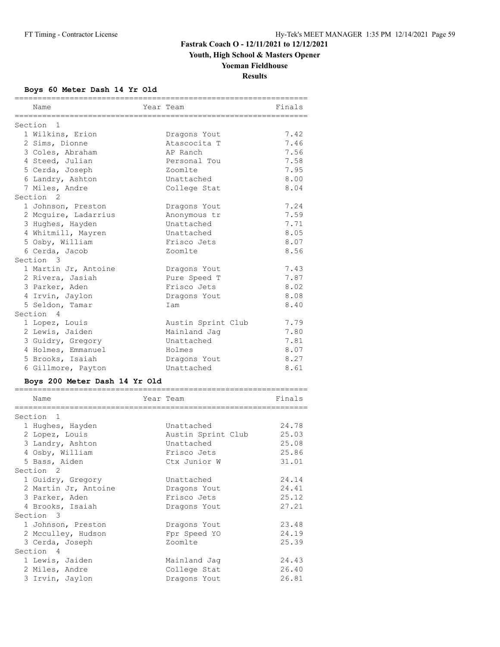**Youth, High School & Masters Opener**

## **Yoeman Fieldhouse**

**Results**

### **Boys 60 Meter Dash 14 Yr Old**

| Name                 | Year Team          | Finals |
|----------------------|--------------------|--------|
| Section 1            |                    |        |
| 1 Wilkins, Erion     | Dragons Yout       | 7.42   |
| 2 Sims, Dionne       | Atascocita T       | 7.46   |
| 3 Coles, Abraham     | AP Ranch           | 7.56   |
| 4 Steed, Julian      | Personal Tou       | 7.58   |
| 5 Cerda, Joseph      | Zoomlte            | 7.95   |
| 6 Landry, Ashton     | Unattached         | 8.00   |
| 7 Miles, Andre       | College Stat       | 8.04   |
| Section <sub>2</sub> |                    |        |
| 1 Johnson, Preston   | Dragons Yout       | 7.24   |
| 2 Mcquire, Ladarrius | Anonymous tr       | 7.59   |
| 3 Hughes, Hayden     | Unattached         | 7.71   |
| 4 Whitmill, Mayren   | Unattached         | 8.05   |
| 5 Osby, William      | Frisco Jets        | 8.07   |
| 6 Cerda, Jacob       | Zoomlte            | 8.56   |
| Section 3            |                    |        |
| 1 Martin Jr, Antoine | Dragons Yout       | 7.43   |
| 2 Rivera, Jasiah     | Pure Speed T       | 7.87   |
| 3 Parker, Aden       | Frisco Jets        | 8.02   |
| 4 Irvin, Jaylon      | Dragons Yout       | 8.08   |
| 5 Seldon, Tamar      | Iam                | 8.40   |
| Section 4            |                    |        |
| 1 Lopez, Louis       | Austin Sprint Club | 7.79   |
| 2 Lewis, Jaiden      | Mainland Jag       | 7.80   |
| 3 Guidry, Gregory    | Unattached         | 7.81   |
| 4 Holmes, Emmanuel   | Holmes             | 8.07   |
| 5 Brooks, Isaiah     | Dragons Yout       | 8.27   |
| 6 Gillmore, Payton   | Unattached         | 8.61   |
|                      |                    |        |

### **Boys 200 Meter Dash 14 Yr Old**

| Name                 | Year Team |                    | Finals |
|----------------------|-----------|--------------------|--------|
| Section <sub>1</sub> |           |                    |        |
| 1 Hughes, Hayden     |           | Unattached         | 24.78  |
| 2 Lopez, Louis       |           | Austin Sprint Club | 25.03  |
| 3 Landry, Ashton     |           | Unattached         | 25.08  |
| 4 Osby, William      |           | Frisco Jets        | 25.86  |
| 5 Bass, Aiden        |           | Ctx Junior W       | 31.01  |
| Section <sub>2</sub> |           |                    |        |
|                      |           | Unattached         | 24.14  |
| 1 Guidry, Gregory    |           |                    |        |
| 2 Martin Jr, Antoine |           | Dragons Yout       | 24.41  |
| 3 Parker, Aden       |           | Frisco Jets        | 25.12  |
| 4 Brooks, Isaiah     |           | Dragons Yout       | 27.21  |
| Section 3            |           |                    |        |
| 1 Johnson, Preston   |           | Dragons Yout       | 23.48  |
| 2 Mcculley, Hudson   |           | Fpr Speed YO       | 24.19  |
| 3 Cerda, Joseph      |           | Zoomlte            | 25.39  |
| Section 4            |           |                    |        |
| 1 Lewis, Jaiden      |           | Mainland Jaq       | 24.43  |
| 2 Miles, Andre       |           | College Stat       | 26.40  |
| 3 Irvin, Jaylon      |           | Dragons Yout       | 26.81  |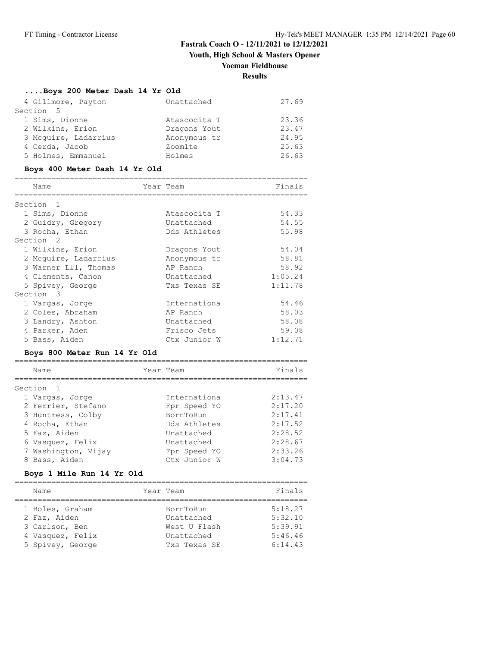**Youth, High School & Masters Opener**

### **Yoeman Fieldhouse**

**Results**

#### **....Boys 200 Meter Dash 14 Yr Old**

| 4 Gillmore, Payton   | Unattached   | 27.69 |
|----------------------|--------------|-------|
| Section 5            |              |       |
| 1 Sims, Dionne       | Atascocita T | 23.36 |
| 2 Wilkins, Erion     | Dragons Yout | 23.47 |
| 3 Mcguire, Ladarrius | Anonymous tr | 24.95 |
| 4 Cerda, Jacob       | Zoomlte      | 25.63 |
| 5 Holmes, Emmanuel   | Holmes       | 26.63 |

#### **Boys 400 Meter Dash 14 Yr Old**

| Name                 | Year Team |              | Finals  |
|----------------------|-----------|--------------|---------|
| Section 1            |           |              |         |
| 1 Sims, Dionne       |           | Atascocita T | 54.33   |
| 2 Guidry, Gregory    |           | Unattached   | 54.55   |
| 3 Rocha, Ethan       |           | Dds Athletes | 55.98   |
| Section <sub>2</sub> |           |              |         |
| 1 Wilkins, Erion     |           | Dragons Yout | 54.04   |
| 2 Mcquire, Ladarrius |           | Anonymous tr | 58.81   |
| 3 Warner Lll, Thomas |           | AP Ranch     | 58.92   |
| 4 Clements, Canon    |           | Unattached   | 1:05.24 |
| 5 Spivey, George     |           | Txs Texas SE | 1:11.78 |
| Section 3            |           |              |         |
| 1 Vargas, Jorge      |           | Internationa | 54.46   |
| 2 Coles, Abraham     |           | AP Ranch     | 58.03   |
| 3 Landry, Ashton     |           | Unattached   | 58.08   |
| 4 Parker, Aden       |           | Frisco Jets  | 59.08   |
| 5 Bass, Aiden        |           | Ctx Junior W | 1:12.71 |
|                      |           |              |         |

#### **Boys 800 Meter Run 14 Yr Old**

| Name                 | Year Team    | Finals  |
|----------------------|--------------|---------|
| Section <sub>1</sub> |              |         |
| 1 Vargas, Jorge      | Internationa | 2:13.47 |
| 2 Ferrier, Stefano   | Fpr Speed YO | 2:17.20 |
| 3 Huntress, Colby    | BornToRun    | 2:17.41 |
| 4 Rocha, Ethan       | Dds Athletes | 2:17.52 |
| 5 Faz, Aiden         | Unattached   | 2:28.52 |
| 6 Vasquez, Felix     | Unattached   | 2:28.67 |
| 7 Washington, Vijay  | Fpr Speed YO | 2:33.26 |
| 8 Bass, Aiden        | Ctx Junior W | 3:04.73 |

#### **Boys 1 Mile Run 14 Yr Old**

================================================================ Name **The South Sear Team** Prinals Finals ================================================================ 1 Boles, Graham BornToRun 5:18.27 2 Faz, Aiden Unattached 5:32.10 3 Carlson, Ben West U Flash 5:39.91 4 Vasquez, Felix Unattached 5:46.46 5 Spivey, George Txs Texas SE 6:14.43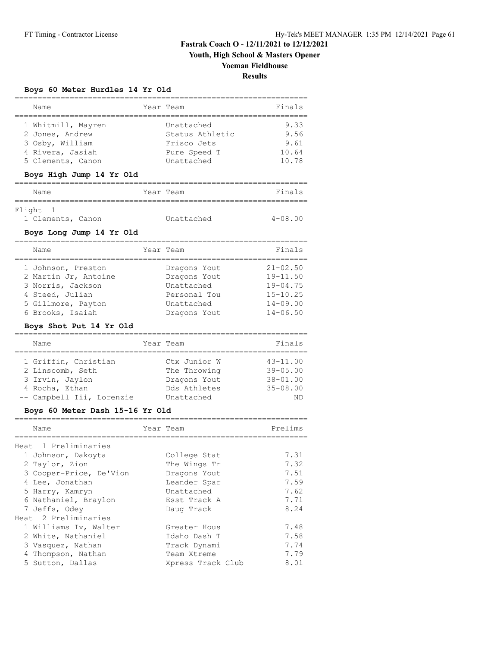**Youth, High School & Masters Opener**

# **Yoeman Fieldhouse**

**Results**

### **Boys 60 Meter Hurdles 14 Yr Old**

| Name                                                                                                                          | Year Team                                                                                | Finals                                                                                       |
|-------------------------------------------------------------------------------------------------------------------------------|------------------------------------------------------------------------------------------|----------------------------------------------------------------------------------------------|
| 1 Whitmill, Mayren<br>2 Jones, Andrew<br>3 Osby, William<br>4 Rivera, Jasiah<br>5 Clements, Canon<br>Boys High Jump 14 Yr Old | Unattached<br>Status Athletic<br>Frisco Jets<br>Pure Speed T<br>Unattached               | 9.33<br>9.56<br>9.61<br>10.64<br>10.78                                                       |
| Name                                                                                                                          | Year Team                                                                                | Finals                                                                                       |
| Flight<br>- 1<br>1 Clements, Canon<br>Boys Long Jump 14 Yr Old<br>Name                                                        | Unattached<br>Year Team                                                                  | $4 - 08.00$<br>Finals                                                                        |
| 1 Johnson, Preston<br>2 Martin Jr, Antoine<br>3 Norris, Jackson<br>4 Steed, Julian<br>5 Gillmore, Payton<br>6 Brooks, Isaiah  | Dragons Yout<br>Dragons Yout<br>Unattached<br>Personal Tou<br>Unattached<br>Dragons Yout | $21 - 02.50$<br>$19 - 11.50$<br>$19 - 04.75$<br>$15 - 10.25$<br>$14 - 09.00$<br>$14 - 06.50$ |
| Boys Shot Put 14 Yr Old                                                                                                       |                                                                                          |                                                                                              |
| Name                                                                                                                          | Year Team                                                                                | Finals                                                                                       |

| Name                      | rear Team |              | Finals       |
|---------------------------|-----------|--------------|--------------|
| 1 Griffin, Christian      |           | Ctx Junior W | $43 - 11.00$ |
| 2 Linscomb, Seth          |           | The Throwing | $39 - 05.00$ |
| 3 Irvin, Jaylon           |           | Dragons Yout | $38 - 01.00$ |
| 4 Rocha, Ethan            |           | Dds Athletes | $35 - 08.00$ |
| -- Campbell Iii, Lorenzie |           | Unattached   | ND           |

### **Boys 60 Meter Dash 15-16 Yr Old**

| Name                    | Year Team |                   | Prelims |
|-------------------------|-----------|-------------------|---------|
| Heat 1 Preliminaries    |           |                   |         |
| 1 Johnson, Dakoyta      |           | College Stat      | 7.31    |
| 2 Taylor, Zion          |           | The Wings Tr      | 7.32    |
| 3 Cooper-Price, De'Vion |           | Dragons Yout      | 7.51    |
| 4 Lee, Jonathan         |           | Leander Spar      | 7.59    |
| 5 Harry, Kamryn         |           | Unattached        | 7.62    |
| 6 Nathaniel, Braylon    |           | Esst Track A      | 7.71    |
| 7 Jeffs, Odey           |           | Daug Track        | 8.24    |
| Heat 2 Preliminaries    |           |                   |         |
| 1 Williams Iv, Walter   |           | Greater Hous      | 7.48    |
| 2 White, Nathaniel      |           | Idaho Dash T      | 7.58    |
| 3 Vasquez, Nathan       |           | Track Dynami      | 7.74    |
| 4 Thompson, Nathan      |           | Team Xtreme       | 7.79    |
| 5 Sutton, Dallas        |           | Xpress Track Club | 8.01    |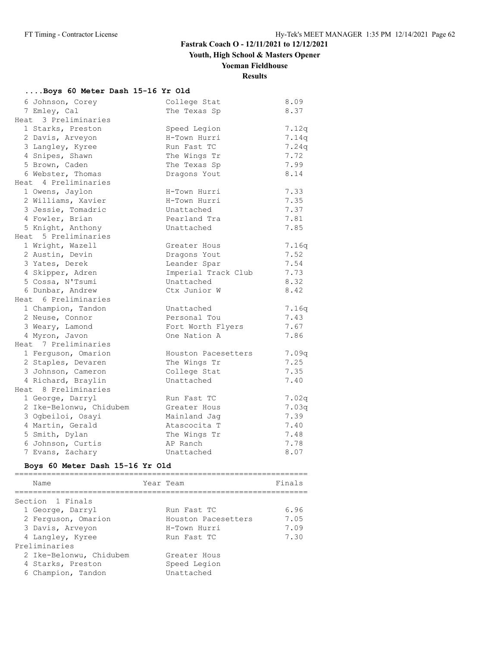**Youth, High School & Masters Opener**

## **Yoeman Fieldhouse**

## **Results**

### **....Boys 60 Meter Dash 15-16 Yr Old**

| 6 Johnson, Corey        | College Stat        | 8.09  |
|-------------------------|---------------------|-------|
| 7 Emley, Cal            | The Texas Sp        | 8.37  |
| Heat 3 Preliminaries    |                     |       |
| 1 Starks, Preston       | Speed Legion        | 7.12q |
| 2 Davis, Arveyon        | H-Town Hurri        | 7.14q |
| 3 Langley, Kyree        | Run Fast TC         | 7.24q |
| 4 Snipes, Shawn         | The Wings Tr        | 7.72  |
| 5 Brown, Caden          | The Texas Sp        | 7.99  |
| 6 Webster, Thomas       | Dragons Yout        | 8.14  |
| Heat 4 Preliminaries    |                     |       |
| 1 Owens, Jaylon         | H-Town Hurri        | 7.33  |
| 2 Williams, Xavier      | H-Town Hurri        | 7.35  |
| 3 Jessie, Tomadric      | Unattached          | 7.37  |
| 4 Fowler, Brian         | Pearland Tra        | 7.81  |
| 5 Knight, Anthony       | Unattached          | 7.85  |
| Heat 5 Preliminaries    |                     |       |
| 1 Wright, Wazell        | Greater Hous        | 7.16q |
| 2 Austin, Devin         | Dragons Yout        | 7.52  |
| 3 Yates, Derek          | Leander Spar        | 7.54  |
| 4 Skipper, Adren        | Imperial Track Club | 7.73  |
| 5 Cossa, N'Tsumi        | Unattached          | 8.32  |
| 6 Dunbar, Andrew        | Ctx Junior W        | 8.42  |
| Heat 6 Preliminaries    |                     |       |
| 1 Champion, Tandon      | Unattached          | 7.16q |
| 2 Neuse, Connor         | Personal Tou        | 7.43  |
| 3 Weary, Lamond         | Fort Worth Flyers   | 7.67  |
| 4 Myron, Javon          | One Nation A        | 7.86  |
| Heat 7 Preliminaries    |                     |       |
| 1 Ferguson, Omarion     | Houston Pacesetters | 7.09q |
| 2 Staples, Devaren      | The Wings Tr        | 7.25  |
| 3 Johnson, Cameron      | College Stat        | 7.35  |
| 4 Richard, Braylin      | Unattached          | 7.40  |
| Heat 8 Preliminaries    |                     |       |
| 1 George, Darryl        | Run Fast TC         | 7.02q |
| 2 Ike-Belonwu, Chidubem | Greater Hous        | 7.03q |
| 3 Ogbeiloi, Osayi       | Mainland Jaq        | 7.39  |
| 4 Martin, Gerald        | Atascocita T        | 7.40  |
| 5 Smith, Dylan          | The Wings Tr        | 7.48  |
| 6 Johnson, Curtis       | AP Ranch            | 7.78  |
| 7 Evans, Zachary        | Unattached          | 8.07  |

### **Boys 60 Meter Dash 15-16 Yr Old**

| Name                    | Year Team |                     | Finals |
|-------------------------|-----------|---------------------|--------|
| Section 1 Finals        |           |                     |        |
| 1 George, Darryl        |           | Run Fast TC         | 6.96   |
| 2 Ferguson, Omarion     |           | Houston Pacesetters | 7.05   |
| 3 Davis, Arveyon        |           | H-Town Hurri        | 7.09   |
| 4 Langley, Kyree        |           | Run Fast TC         | 7.30   |
| Preliminaries           |           |                     |        |
| 2 Ike-Belonwu, Chidubem |           | Greater Hous        |        |
| 4 Starks, Preston       |           | Speed Legion        |        |
| 6 Champion, Tandon      |           | Unattached          |        |
|                         |           |                     |        |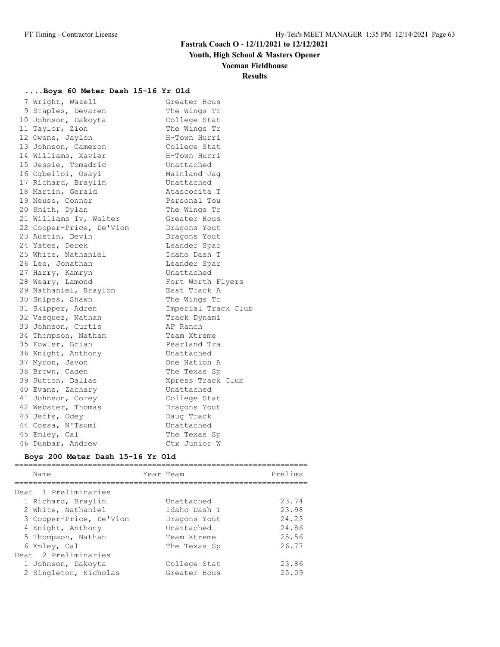**Youth, High School & Masters Opener**

### **Yoeman Fieldhouse**

### **Results**

### **....Boys 60 Meter Dash 15-16 Yr Old**

| 7 Wright, Wazell         | Greater Hous        |
|--------------------------|---------------------|
| 9 Staples, Devaren       | The Wings Tr        |
| 10 Johnson, Dakoyta      | College Stat        |
| 11 Taylor, Zion          | The Wings Tr        |
| 12 Owens, Jaylon         | H-Town Hurri        |
| 13 Johnson, Cameron      | College Stat        |
| 14 Williams, Xavier      | H-Town Hurri        |
| 15 Jessie, Tomadric      | Unattached          |
| 16 Ogbeiloi, Osayi       | Mainland Jag        |
| 17 Richard, Braylin      | Unattached          |
| 18 Martin, Gerald        | Atascocita T        |
| 19 Neuse, Connor         | Personal Tou        |
| 20 Smith, Dylan          | The Wings Tr        |
| 21 Williams Iv, Walter   | Greater Hous        |
| 22 Cooper-Price, De'Vion | Dragons Yout        |
| 23 Austin, Devin         | Dragons Yout        |
| 24 Yates, Derek          | Leander Spar        |
| 25 White, Nathaniel      | Idaho Dash T        |
| 26 Lee, Jonathan         | Leander Spar        |
| 27 Harry, Kamryn         | Unattached          |
| 28 Weary, Lamond         | Fort Worth Flyers   |
| 29 Nathaniel, Braylon    | Esst Track A        |
| 30 Snipes, Shawn         | The Wings Tr        |
| 31 Skipper, Adren        | Imperial Track Club |
| 32 Vasquez, Nathan       | Track Dynami        |
| 33 Johnson, Curtis       | AP Ranch            |
| 34 Thompson, Nathan      | Team Xtreme         |
| 35 Fowler, Brian         | Pearland Tra        |
| 36 Knight, Anthony       | Unattached          |
| 37 Myron, Javon          | One Nation A        |
| 38 Brown, Caden          | The Texas Sp        |
| 39 Sutton, Dallas        | Xpress Track Club   |
| 40 Evans, Zachary        | Unattached          |
| 41 Johnson, Corey        | College Stat        |
| 42 Webster, Thomas       | Dragons Yout        |
| 43 Jeffs, Odey           | Daug Track          |
| 44 Cossa, N'Tsumi        | Unattached          |
| 45 Emley, Cal            | The Texas Sp        |
| 46 Dunbar, Andrew        | Ctx Junior W        |

### **Boys 200 Meter Dash 15-16 Yr Old**

| Name                    | Year Team    | Prelims |
|-------------------------|--------------|---------|
| Heat, 1 Preliminaries   |              |         |
| 1 Richard, Braylin      | Unattached   | 23.74   |
| 2 White, Nathaniel      | Idaho Dash T | 23.98   |
| 3 Cooper-Price, De'Vion | Dragons Yout | 24.23   |
| 4 Knight, Anthony       | Unattached   | 24.86   |
| 5 Thompson, Nathan      | Team Xtreme  | 25.56   |
| 6 Emley, Cal            | The Texas Sp | 26.77   |
| Heat 2 Preliminaries    |              |         |
| 1 Johnson, Dakoyta      | College Stat | 23.86   |
| 2 Singleton, Nicholas   | Greater Hous | 25.09   |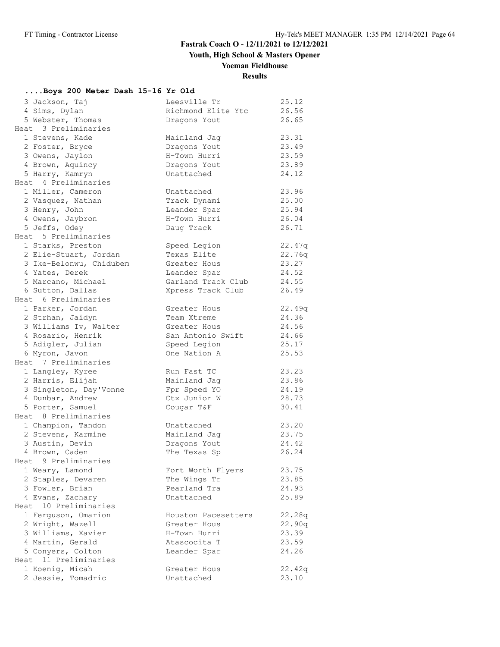**Youth, High School & Masters Opener**

# **Yoeman Fieldhouse**

# **Results**

## **....Boys 200 Meter Dash 15-16 Yr Old**

| 3 Jackson, Taj          | Leesville Tr        | 25.12  |
|-------------------------|---------------------|--------|
| 4 Sims, Dylan           | Richmond Elite Ytc  | 26.56  |
| 5 Webster, Thomas       | Dragons Yout        | 26.65  |
| Heat 3 Preliminaries    |                     |        |
| 1 Stevens, Kade         | Mainland Jag        | 23.31  |
| 2 Foster, Bryce         | Dragons Yout        | 23.49  |
| 3 Owens, Jaylon         | H-Town Hurri        | 23.59  |
| 4 Brown, Aquincy        | Dragons Yout        | 23.89  |
| 5 Harry, Kamryn         | Unattached          | 24.12  |
| Heat 4 Preliminaries    |                     |        |
| 1 Miller, Cameron       | Unattached          | 23.96  |
| 2 Vasquez, Nathan       | Track Dynami        | 25.00  |
| 3 Henry, John           | Leander Spar        | 25.94  |
| 4 Owens, Jaybron        | H-Town Hurri        | 26.04  |
| 5 Jeffs, Odey           | Daug Track          | 26.71  |
| Heat 5 Preliminaries    |                     |        |
| 1 Starks, Preston       | Speed Legion        | 22.47q |
| 2 Elie-Stuart, Jordan   | Texas Elite         | 22.76q |
| 3 Ike-Belonwu, Chidubem | Greater Hous        | 23.27  |
| 4 Yates, Derek          | Leander Spar        | 24.52  |
| 5 Marcano, Michael      | Garland Track Club  | 24.55  |
| 6 Sutton, Dallas        | Xpress Track Club   | 26.49  |
| Heat 6 Preliminaries    |                     |        |
| 1 Parker, Jordan        | Greater Hous        | 22.49q |
| 2 Strhan, Jaidyn        | Team Xtreme         | 24.36  |
| 3 Williams Iv, Walter   | Greater Hous        | 24.56  |
| 4 Rosario, Henrik       | San Antonio Swift   | 24.66  |
| 5 Adigler, Julian       | Speed Legion        | 25.17  |
| 6 Myron, Javon          | One Nation A        | 25.53  |
| Heat 7 Preliminaries    |                     |        |
| 1 Langley, Kyree        | Run Fast TC         | 23.23  |
| 2 Harris, Elijah        | Mainland Jag        | 23.86  |
| 3 Singleton, Day'Vonne  | Fpr Speed YO        | 24.19  |
| 4 Dunbar, Andrew        | Ctx Junior W        | 28.73  |
| 5 Porter, Samuel        | Cougar T&F          | 30.41  |
| Heat 8 Preliminaries    |                     |        |
| 1 Champion, Tandon      | Unattached          | 23.20  |
| 2 Stevens, Karmine      | Mainland Jag        | 23.75  |
| 3 Austin, Devin         | Dragons Yout        | 24.42  |
| 4 Brown, Caden          | The Texas Sp        | 26.24  |
| Heat 9 Preliminaries    |                     |        |
| 1 Weary, Lamond         | Fort Worth Flyers   | 23.75  |
| 2 Staples, Devaren      | The Wings Tr        | 23.85  |
| 3 Fowler, Brian         | Pearland Tra        | 24.93  |
| 4 Evans, Zachary        | Unattached          | 25.89  |
| Heat 10 Preliminaries   |                     |        |
| 1 Ferguson, Omarion     | Houston Pacesetters | 22.28q |
| 2 Wright, Wazell        | Greater Hous        | 22.90q |
| 3 Williams, Xavier      | H-Town Hurri        | 23.39  |
| 4 Martin, Gerald        | Atascocita T        | 23.59  |
| 5 Conyers, Colton       | Leander Spar        | 24.26  |
| Heat 11 Preliminaries   |                     |        |
| 1 Koenig, Micah         | Greater Hous        | 22.42q |
| 2 Jessie, Tomadric      | Unattached          | 23.10  |
|                         |                     |        |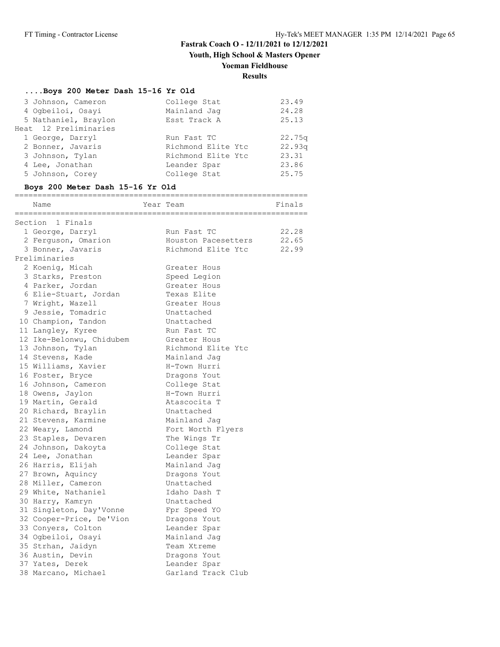**Youth, High School & Masters Opener**

### **Yoeman Fieldhouse**

### **Results**

## **....Boys 200 Meter Dash 15-16 Yr Old**

| 3 Johnson, Cameron    | College Stat       | 23.49  |
|-----------------------|--------------------|--------|
| 4 Ogbeiloi, Osayi     | Mainland Jag       | 24.28  |
| 5 Nathaniel, Braylon  | Esst Track A       | 25.13  |
| Heat 12 Preliminaries |                    |        |
| 1 George, Darryl      | Run Fast TC        | 22.75q |
| 2 Bonner, Javaris     | Richmond Elite Ytc | 22.93q |
| 3 Johnson, Tylan      | Richmond Elite Ytc | 23.31  |
| 4 Lee, Jonathan       | Leander Spar       | 23.86  |
| 5 Johnson, Corey      | College Stat       | 25.75  |

### **Boys 200 Meter Dash 15-16 Yr Old**

| Name                     | Year Team           | Finals |
|--------------------------|---------------------|--------|
| Section 1 Finals         |                     |        |
| 1 George, Darryl         | Run Fast TC         | 22.28  |
| 2 Ferguson, Omarion      | Houston Pacesetters | 22.65  |
| 3 Bonner, Javaris        | Richmond Elite Ytc  | 22.99  |
| Preliminaries            |                     |        |
| 2 Koenig, Micah          | Greater Hous        |        |
| 3 Starks, Preston        | Speed Legion        |        |
| 4 Parker, Jordan         | Greater Hous        |        |
| 6 Elie-Stuart, Jordan    | Texas Elite         |        |
| 7 Wright, Wazell         | Greater Hous        |        |
| 9 Jessie, Tomadric       | Unattached          |        |
| 10 Champion, Tandon      | Unattached          |        |
| 11 Langley, Kyree        | Run Fast TC         |        |
| 12 Ike-Belonwu, Chidubem | Greater Hous        |        |
| 13 Johnson, Tylan        | Richmond Elite Ytc  |        |
| 14 Stevens, Kade         | Mainland Jag        |        |
| 15 Williams, Xavier      | H-Town Hurri        |        |
| 16 Foster, Bryce         | Dragons Yout        |        |
| 16 Johnson, Cameron      | College Stat        |        |
| 18 Owens, Jaylon         | H-Town Hurri        |        |
| 19 Martin, Gerald        | Atascocita T        |        |
| 20 Richard, Braylin      | Unattached          |        |
| 21 Stevens, Karmine      | Mainland Jaq        |        |
| 22 Weary, Lamond         | Fort Worth Flyers   |        |
| 23 Staples, Devaren      | The Wings Tr        |        |
| 24 Johnson, Dakoyta      | College Stat        |        |
| 24 Lee, Jonathan         | Leander Spar        |        |
| 26 Harris, Elijah        | Mainland Jaq        |        |
| 27 Brown, Aquincy        | Dragons Yout        |        |
| 28 Miller, Cameron       | Unattached          |        |
| 29 White, Nathaniel      | Idaho Dash T        |        |
| 30 Harry, Kamryn         | Unattached          |        |
| 31 Singleton, Day'Vonne  | Fpr Speed YO        |        |
| 32 Cooper-Price, De'Vion | Dragons Yout        |        |
| 33 Conyers, Colton       | Leander Spar        |        |
| 34 Ogbeiloi, Osayi       | Mainland Jaq        |        |
| 35 Strhan, Jaidyn        | Team Xtreme         |        |
| 36 Austin, Devin         | Dragons Yout        |        |
| 37 Yates, Derek          | Leander Spar        |        |
| 38 Marcano, Michael      | Garland Track Club  |        |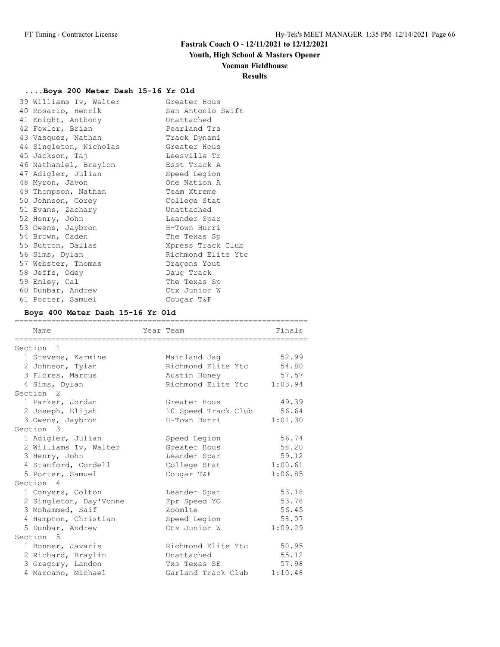## **Youth, High School & Masters Opener**

### **Yoeman Fieldhouse**

### **Results**

## **....Boys 200 Meter Dash 15-16 Yr Old**

| 39 Williams Iv, Walter | Greater Hous       |
|------------------------|--------------------|
| 40 Rosario, Henrik     | San Antonio Swift  |
| 41 Knight, Anthony     | Unattached         |
| 42 Fowler, Brian       | Pearland Tra       |
| 43 Vasquez, Nathan     | Track Dynami       |
| 44 Singleton, Nicholas | Greater Hous       |
| 45 Jackson, Taj        | Leesville Tr       |
| 46 Nathaniel, Braylon  | Esst Track A       |
| 47 Adigler, Julian     | Speed Legion       |
| 48 Myron, Javon        | One Nation A       |
| 49 Thompson, Nathan    | Team Xtreme        |
| 50 Johnson, Corey      | College Stat       |
| 51 Evans, Zachary      | Unattached         |
| 52 Henry, John         | Leander Spar       |
| 53 Owens, Jaybron      | H-Town Hurri       |
| 54 Brown, Caden        | The Texas Sp       |
| 55 Sutton, Dallas      | Xpress Track Club  |
| 56 Sims, Dylan         | Richmond Elite Ytc |
| 57 Webster, Thomas     | Dragons Yout       |
| 58 Jeffs, Odey         | Daug Track         |
| 59 Emley, Cal          | The Texas Sp       |
| 60 Dunbar, Andrew      | Ctx Junior W       |
| 61 Porter, Samuel      | Cougar T&F         |

### **Boys 400 Meter Dash 15-16 Yr Old**

| Name                   | Year Team           | Finals  |
|------------------------|---------------------|---------|
| Section <sub>1</sub>   |                     |         |
| 1 Stevens, Karmine     | Mainland Jaq        | 52.99   |
| 2 Johnson, Tylan       | Richmond Elite Ytc  | 54.80   |
|                        |                     |         |
| 3 Flores, Marcus       | Austin Honey        | 57.57   |
| 4 Sims, Dylan          | Richmond Elite Ytc  | 1:03.94 |
| Section <sub>2</sub>   |                     |         |
| 1 Parker, Jordan       | Greater Hous        | 49.39   |
| 2 Joseph, Elijah       | 10 Speed Track Club | 56.64   |
| 3 Owens, Jaybron       | H-Town Hurri        | 1:01.30 |
| Section 3              |                     |         |
| 1 Adigler, Julian      | Speed Legion        | 56.74   |
| 2 Williams Iv, Walter  | Greater Hous        | 58.20   |
| 3 Henry, John          | Leander Spar        | 59.12   |
| 4 Stanford, Cordell    | College Stat        | 1:00.61 |
| 5 Porter, Samuel       | Cougar T&F          | 1:06.85 |
| Section 4              |                     |         |
| 1 Conyers, Colton      | Leander Spar        | 53.18   |
| 2 Singleton, Day'Vonne | Fpr Speed YO        | 53.78   |
| 3 Mohammed, Saif       | Zoomlte             | 56.45   |
| 4 Hampton, Christian   | Speed Legion        | 58.07   |
| 5 Dunbar, Andrew       | Ctx Junior W        | 1:09.29 |
|                        |                     |         |
| Section 5              |                     |         |
| 1 Bonner, Javaris      | Richmond Elite Ytc  | 50.95   |
| 2 Richard, Braylin     | Unattached          | 55.12   |
| 3 Gregory, Landon      | Txs Texas SE        | 57.98   |
| 4 Marcano, Michael     | Garland Track Club  | 1:10.48 |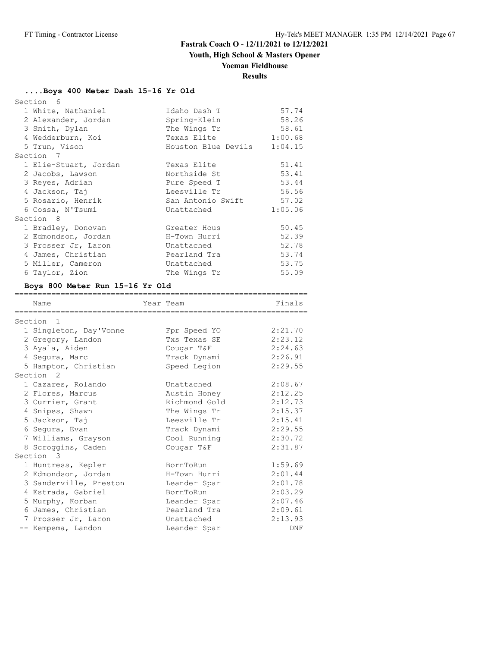## **Youth, High School & Masters Opener**

## **Yoeman Fieldhouse**

# **Results**

================================================================

### **....Boys 400 Meter Dash 15-16 Yr Old**

| Section 6             |                         |         |
|-----------------------|-------------------------|---------|
| 1 White, Nathaniel    | Idaho Dash T            | 57.74   |
| 2 Alexander, Jordan   | Spring-Klein            | 58.26   |
| 3 Smith, Dylan        | The Wings Tr            | 58.61   |
| 4 Wedderburn, Koi     | Texas Elite             | 1:00.68 |
| 5 Trun, Vison         | Houston Blue Devils     | 1:04.15 |
| Section 7             |                         |         |
| 1 Elie-Stuart, Jordan | Texas Elite             | 51.41   |
| 2 Jacobs, Lawson      | Northside St            | 53.41   |
| 3 Reyes, Adrian       | Pure Speed T            | 53.44   |
| 4 Jackson, Taj        | Leesville Tr            | 56.56   |
| 5 Rosario, Henrik     | San Antonio Swift 57.02 |         |
| 6 Cossa, N'Tsumi      | Unattached              | 1:05.06 |
| Section 8             |                         |         |
| 1 Bradley, Donovan    | Greater Hous            | 50.45   |
| 2 Edmondson, Jordan   | H-Town Hurri            | 52.39   |
| 3 Prosser Jr, Laron   | Unattached              | 52.78   |
| 4 James, Christian    | Pearland Tra            | 53.74   |
| 5 Miller, Cameron     | Unattached              | 53.75   |
| 6 Taylor, Zion        | The Wings Tr            | 55.09   |

### **Boys 800 Meter Run 15-16 Yr Old**

| Name                   | Year Team |               | Finals  |
|------------------------|-----------|---------------|---------|
| Section<br>-1          |           |               |         |
| 1 Singleton, Day'Vonne |           | Fpr Speed YO  | 2:21.70 |
| 2 Gregory, Landon      |           | Txs Texas SE  | 2:23.12 |
| 3 Ayala, Aiden         |           | Cougar T&F    | 2:24.63 |
| 4 Segura, Marc         |           | Track Dynami  | 2:26.91 |
| 5 Hampton, Christian   |           | Speed Legion  | 2:29.55 |
| Section <sub>2</sub>   |           |               |         |
| 1 Cazares, Rolando     |           | Unattached    | 2:08.67 |
| 2 Flores, Marcus       |           | Austin Honey  | 2:12.25 |
| 3 Currier, Grant       |           | Richmond Gold | 2:12.73 |
| 4 Snipes, Shawn        |           | The Wings Tr  | 2:15.37 |
| 5 Jackson, Taj         |           | Leesville Tr  | 2:15.41 |
| 6 Segura, Evan         |           | Track Dynami  | 2:29.55 |
| 7 Williams, Grayson    |           | Cool Running  | 2:30.72 |
| 8 Scroggins, Caden     |           | Cougar T&F    | 2:31.87 |
| Section 3              |           |               |         |
| 1 Huntress, Kepler     |           | BornToRun     | 1:59.69 |
| 2 Edmondson, Jordan    |           | H-Town Hurri  | 2:01.44 |
| 3 Sanderville, Preston |           | Leander Spar  | 2:01.78 |
| 4 Estrada, Gabriel     |           | BornToRun     | 2:03.29 |
| 5 Murphy, Korban       |           | Leander Spar  | 2:07.46 |
| 6 James, Christian     |           | Pearland Tra  | 2:09.61 |
| 7 Prosser Jr, Laron    |           | Unattached    | 2:13.93 |
| -- Kempema, Landon     |           | Leander Spar  | DNF     |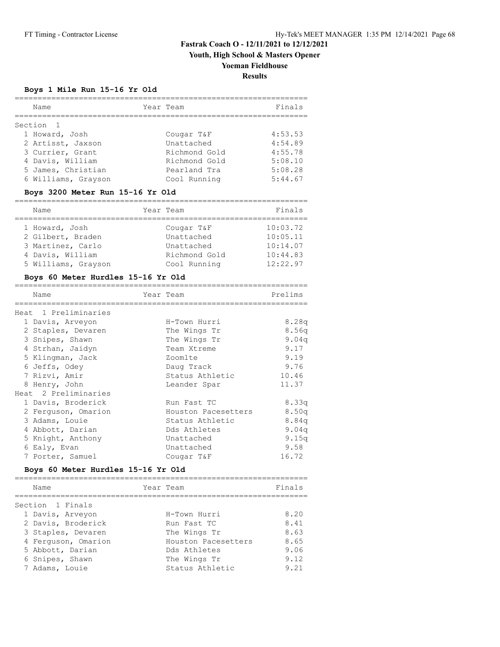## **Youth, High School & Masters Opener**

### **Yoeman Fieldhouse**

**Results**

### **Boys 1 Mile Run 15-16 Yr Old**

| Name                | Year Team     | Finals  |
|---------------------|---------------|---------|
| Section 1           |               |         |
| 1 Howard, Josh      | Cougar T&F    | 4:53.53 |
| 2 Artisst, Jaxson   | Unattached    | 4:54.89 |
| 3 Currier, Grant    | Richmond Gold | 4:55.78 |
| 4 Davis, William    | Richmond Gold | 5:08.10 |
| 5 James, Christian  | Pearland Tra  | 5:08.28 |
| 6 Williams, Grayson | Cool Running  | 5:44.67 |

# **Boys 3200 Meter Run 15-16 Yr Old**

| Name                | Year Team     | Finals   |
|---------------------|---------------|----------|
| 1 Howard, Josh      | Cougar T&F    | 10:03.72 |
| 2 Gilbert, Braden   | Unattached    | 10:05.11 |
| 3 Martinez, Carlo   | Unattached    | 10:14.07 |
| 4 Davis, William    | Richmond Gold | 10:44.83 |
| 5 Williams, Grayson | Cool Running  | 12:22.97 |

### **Boys 60 Meter Hurdles 15-16 Yr Old**

| Name                                                                                                                                                                                                                                                                                                                                             | Year Team                                                                                                                                                                                                                                  | Prelims                                                                                                                         |
|--------------------------------------------------------------------------------------------------------------------------------------------------------------------------------------------------------------------------------------------------------------------------------------------------------------------------------------------------|--------------------------------------------------------------------------------------------------------------------------------------------------------------------------------------------------------------------------------------------|---------------------------------------------------------------------------------------------------------------------------------|
| Heat 1 Preliminaries<br>1 Davis, Arveyon<br>2 Staples, Devaren<br>3 Snipes, Shawn<br>4 Strhan, Jaidyn<br>5 Klingman, Jack<br>6 Jeffs, Odey<br>7 Rizvi, Amir<br>8 Henry, John<br>Heat 2 Preliminaries<br>1 Davis, Broderick<br>2 Ferquson, Omarion<br>3 Adams, Louie<br>4 Abbott, Darian<br>5 Knight, Anthony<br>6 Ealy, Evan<br>7 Porter, Samuel | H-Town Hurri<br>The Wings Tr<br>The Wings Tr<br>Team Xtreme<br>Zoomlte<br>Daug Track<br>Status Athletic<br>Leander Spar<br>Run Fast TC<br>Houston Pacesetters<br>Status Athletic<br>Dds Athletes<br>Unattached<br>Unattached<br>Cougar T&F | 8.28q<br>8.56q<br>9.04q<br>9.17<br>9.19<br>9.76<br>10.46<br>11.37<br>8.33q<br>8.50q<br>8.84q<br>9.04q<br>9.15q<br>9.58<br>16.72 |
| Boys 60 Meter Hurdles 15-16 Yr Old                                                                                                                                                                                                                                                                                                               |                                                                                                                                                                                                                                            |                                                                                                                                 |
| Name                                                                                                                                                                                                                                                                                                                                             | Year Team                                                                                                                                                                                                                                  | Finals                                                                                                                          |
| Section 1 Finals<br>1 Davis, Arveyon<br>2 Davis, Broderick<br>3 Staples, Devaren<br>4 Ferquson, Omarion<br>5 Abbott, Darian<br>6 Snipes, Shawn<br>7 Adams, Louie                                                                                                                                                                                 | H-Town Hurri<br>Run Fast TC<br>The Wings Tr<br>Houston Pacesetters 8.65<br>Dds Athletes<br>The Wings Tr<br>Status Athletic                                                                                                                 | 8.20<br>8.41<br>8.63<br>9.06<br>9.12<br>9.21                                                                                    |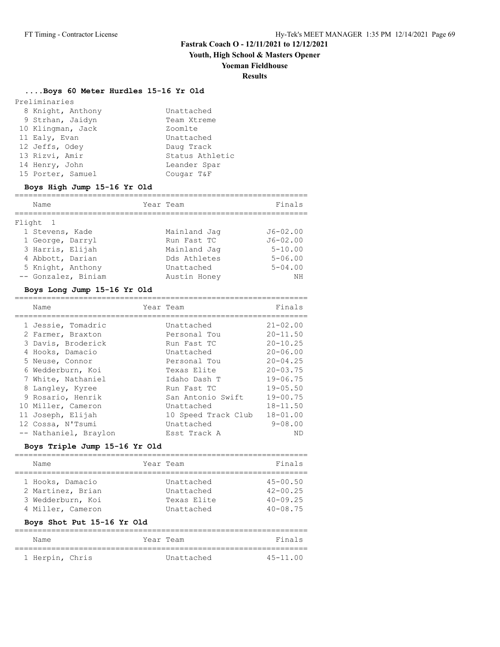**Youth, High School & Masters Opener**

#### **Yoeman Fieldhouse**

### **Results**

## **....Boys 60 Meter Hurdles 15-16 Yr Old**

| Preliminaries     |                 |
|-------------------|-----------------|
| 8 Knight, Anthony | Unattached      |
| 9 Strhan, Jaidyn  | Team Xtreme     |
| 10 Klingman, Jack | Zoomlte         |
| 11 Ealy, Evan     | Unattached      |
| 12 Jeffs, Odev    | Daug Track      |
| 13 Rizvi, Amir    | Status Athletic |
| 14 Henry, John    | Leander Spar    |
| 15 Porter, Samuel | Cougar T&F      |

### **Boys High Jump 15-16 Yr Old**

| Name                | Year Team    | Finals       |
|---------------------|--------------|--------------|
| Flight 1            |              |              |
| 1 Stevens, Kade     | Mainland Jaq | $J6 - 02.00$ |
| 1 George, Darryl    | Run Fast TC  | $J6 - 02.00$ |
| 3 Harris, Elijah    | Mainland Jaq | $5 - 10.00$  |
| 4 Abbott, Darian    | Dds Athletes | $5 - 06.00$  |
| 5 Knight, Anthony   | Unattached   | $5 - 04.00$  |
| -- Gonzalez, Biniam | Austin Honey | NΗ           |

### **Boys Long Jump 15-16 Yr Old**

| Name                                    | Year Team                   | Finals                       |
|-----------------------------------------|-----------------------------|------------------------------|
| 1 Jessie, Tomadric                      | Unattached                  | $21 - 02.00$                 |
| 2 Farmer, Braxton<br>3 Davis, Broderick | Personal Tou<br>Run Fast TC | $20 - 11.50$<br>$20 - 10.25$ |
| 4 Hooks, Damacio                        | Unattached                  | $20 - 06.00$                 |
| 5 Neuse, Connor                         | Personal Tou                | $20 - 04.25$                 |
| 6 Wedderburn, Koi                       | Texas Elite                 | $20 - 03.75$                 |
| 7 White, Nathaniel                      | Idaho Dash T                | $19 - 06.75$                 |
| 8 Langley, Kyree                        | Run Fast TC                 | $19 - 05.50$                 |
| 9 Rosario, Henrik                       | San Antonio Swift           | $19 - 00.75$                 |
| 10 Miller, Cameron                      | Unattached                  | $18 - 11.50$                 |
| 11 Joseph, Elijah                       | 10 Speed Track Club         | $18 - 01.00$                 |
| 12 Cossa, N'Tsumi                       | Unattached                  | $9 - 08.00$                  |
| -- Nathaniel, Braylon                   | Esst Track A                | ND                           |

### **Boys Triple Jump 15-16 Yr Old**

|  | Name              |  | Year Team   | Finals       |  |  |
|--|-------------------|--|-------------|--------------|--|--|
|  |                   |  |             |              |  |  |
|  | 1 Hooks, Damacio  |  | Unattached  | $45 - 00.50$ |  |  |
|  | 2 Martinez, Brian |  | Unattached  | $42 - 00.25$ |  |  |
|  | 3 Wedderburn, Koi |  | Texas Elite | $40 - 09.25$ |  |  |
|  | 4 Miller, Cameron |  | Unattached  | $40 - 08.75$ |  |  |

#### **Boys Shot Put 15-16 Yr Old**

| Name            | Year Team  | Finals       |
|-----------------|------------|--------------|
| 1 Herpin, Chris | Unattached | $45 - 11.00$ |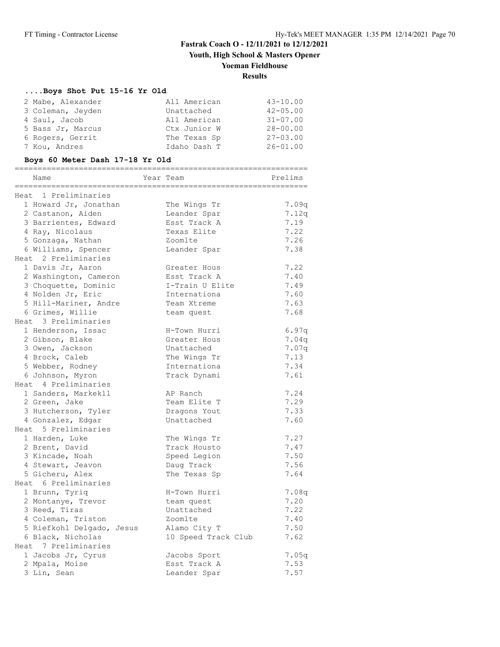**Youth, High School & Masters Opener**

## **Yoeman Fieldhouse**

### **Results**

### **....Boys Shot Put 15-16 Yr Old**

| 2 Mabe, Alexander | All American | $43 - 10.00$ |
|-------------------|--------------|--------------|
| 3 Coleman, Jeyden | Unattached   | $42 - 05.00$ |
| 4 Saul, Jacob     | All American | $31 - 07.00$ |
| 5 Bass Jr, Marcus | Ctx Junior W | $28 - 00.00$ |
| 6 Rogers, Gerrit  | The Texas Sp | $27 - 03.00$ |
| 7 Kou, Andres     | Idaho Dash T | $26 - 01.00$ |

### **Boys 60 Meter Dash 17-18 Yr Old**

| Name                      | ;===================<br>Year Team | ========<br>Prelims |
|---------------------------|-----------------------------------|---------------------|
| Heat 1 Preliminaries      |                                   |                     |
| 1 Howard Jr, Jonathan     | The Wings Tr                      | 7.09q               |
| 2 Castanon, Aiden         | Leander Spar                      | 7.12q               |
| 3 Barrientes, Edward      | Esst Track A                      | 7.19                |
| 4 Ray, Nicolaus           | Texas Elite                       | 7.22                |
| 5 Gonzaga, Nathan         | Zoomlte                           | 7.26                |
| 6 Williams, Spencer       | Leander Spar                      | 7.38                |
| Heat 2 Preliminaries      |                                   |                     |
| 1 Davis Jr, Aaron         | Greater Hous                      | 7.22                |
| 2 Washington, Cameron     | Esst Track A                      | 7.40                |
| 3 Choquette, Dominic      | I-Train U Elite                   | 7.49                |
| 4 Nolden Jr, Eric         | Internationa                      | 7.60                |
| 5 Hill-Mariner, Andre     | Team Xtreme                       | 7.63                |
| 6 Grimes, Willie          | team quest                        | 7.68                |
| Heat 3 Preliminaries      |                                   |                     |
| 1 Henderson, Issac        | H-Town Hurri                      | 6.97q               |
| 2 Gibson, Blake           | Greater Hous                      | 7.04q               |
| 3 Owen, Jackson           | Unattached                        | 7.07q               |
| 4 Brock, Caleb            | The Wings Tr                      | 7.13                |
| 5 Webber, Rodney          | Internationa                      | 7.34                |
| 6 Johnson, Myron          | Track Dynami                      | 7.61                |
| Heat 4 Preliminaries      |                                   |                     |
| 1 Sanders, Markekll       | AP Ranch                          | 7.24                |
| 2 Green, Jake             | Team Elite T                      | 7.29                |
| 3 Hutcherson, Tyler       | Dragons Yout                      | 7.33                |
| 4 Gonzalez, Edgar         | Unattached                        | 7.60                |
| Heat 5 Preliminaries      |                                   |                     |
| 1 Harden, Luke            | The Wings Tr                      | 7.27                |
| 2 Brent, David            | Track Housto                      | 7.47                |
| 3 Kincade, Noah           | Speed Legion                      | 7.50                |
| 4 Stewart, Jeavon         | Daug Track                        | 7.56                |
| 5 Gicheru, Alex           | The Texas Sp                      | 7.64                |
| Heat 6 Preliminaries      |                                   |                     |
| 1 Brunn, Tyriq            | H-Town Hurri                      | 7.08q               |
| 2 Montanye, Trevor        | team quest                        | 7.20                |
| 3 Reed, Tiras             | Unattached                        | 7.22                |
| 4 Coleman, Triston        | Zoomlte                           | 7.40                |
| 5 Riefkohl Delgado, Jesus | Alamo City T                      | 7.50                |
| 6 Black, Nicholas         | 10 Speed Track Club               | 7.62                |
| Heat 7 Preliminaries      |                                   |                     |
| 1 Jacobs Jr, Cyrus        | Jacobs Sport                      | 7.05q               |
| 2 Mpala, Moise            | Esst Track A                      | 7.53                |
| 3 Lin, Sean               | Leander Spar                      | 7.57                |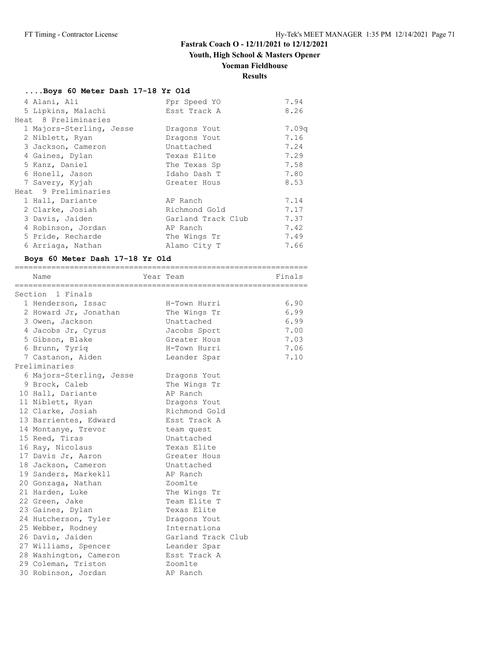## **Youth, High School & Masters Opener**

### **Yoeman Fieldhouse**

================================================================

# **Results**

| Boys 60 Meter Dash 17-18 Yr Old |  |  |                              |
|---------------------------------|--|--|------------------------------|
| $1.71$ $\sim$ $1.7$             |  |  | $T_{\mathcal{D}} \times C_1$ |

| 4 Alani, Ali             | Fpr Speed YO       | 7.94  |
|--------------------------|--------------------|-------|
| 5 Lipkins, Malachi       | Esst Track A       | 8.26  |
| Heat 8 Preliminaries     |                    |       |
| 1 Majors-Sterling, Jesse | Dragons Yout       | 7.09q |
| 2 Niblett, Ryan          | Dragons Yout       | 7.16  |
| 3 Jackson, Cameron       | Unattached         | 7.24  |
| 4 Gaines, Dylan          | Texas Elite        | 7.29  |
| 5 Kanz, Daniel           | The Texas Sp       | 7.58  |
| 6 Honell, Jason          | Idaho Dash T       | 7.80  |
| 7 Savery, Kyjah          | Greater Hous       | 8.53  |
| Heat 9 Preliminaries     |                    |       |
| 1 Hall, Dariante         | AP Ranch           | 7.14  |
| 2 Clarke, Josiah         | Richmond Gold      | 7.17  |
| 3 Davis, Jaiden          | Garland Track Club | 7.37  |
| 4 Robinson, Jordan       | AP Ranch           | 7.42  |
| 5 Pride, Recharde        | The Wings Tr       | 7.49  |
| 6 Arriaga, Nathan        | Alamo City T       | 7.66  |

#### **Boys 60 Meter Dash 17-18 Yr Old**

| Name                     | Year Team |                    | Finals |
|--------------------------|-----------|--------------------|--------|
| Section 1 Finals         |           |                    |        |
| 1 Henderson, Issac       |           | H-Town Hurri       | 6.90   |
| 2 Howard Jr, Jonathan    |           | The Wings Tr       | 6.99   |
| 3 Owen, Jackson          |           | Unattached         | 6.99   |
| 4 Jacobs Jr, Cyrus       |           | Jacobs Sport       | 7.00   |
| 5 Gibson, Blake          |           | Greater Hous       | 7.03   |
| 6 Brunn, Tyriq           |           | H-Town Hurri       | 7.06   |
| 7 Castanon, Aiden        |           | Leander Spar       | 7.10   |
| Preliminaries            |           |                    |        |
| 6 Majors-Sterling, Jesse |           | Dragons Yout       |        |
| 9 Brock, Caleb           |           | The Wings Tr       |        |
| 10 Hall, Dariante        |           | AP Ranch           |        |
| 11 Niblett, Ryan         |           | Dragons Yout       |        |
| 12 Clarke, Josiah        |           | Richmond Gold      |        |
| 13 Barrientes, Edward    |           | Esst Track A       |        |
| 14 Montanye, Trevor      |           | team quest         |        |
| 15 Reed, Tiras           |           | Unattached         |        |
| 16 Ray, Nicolaus         |           | Texas Elite        |        |
| 17 Davis Jr, Aaron       |           | Greater Hous       |        |
| 18 Jackson, Cameron      |           | Unattached         |        |
| 19 Sanders, Markekll     |           | AP Ranch           |        |
| 20 Gonzaga, Nathan       |           | Zoomlte            |        |
| 21 Harden, Luke          |           | The Wings Tr       |        |
| 22 Green, Jake           |           | Team Elite T       |        |
| 23 Gaines, Dylan         |           | Texas Elite        |        |
| 24 Hutcherson, Tyler     |           | Dragons Yout       |        |
| 25 Webber, Rodney        |           | Internationa       |        |
| 26 Davis, Jaiden         |           | Garland Track Club |        |
| 27 Williams, Spencer     |           | Leander Spar       |        |
| 28 Washington, Cameron   |           | Esst Track A       |        |
| 29 Coleman, Triston      |           | Zoomlte            |        |
| 30 Robinson, Jordan      |           | AP Ranch           |        |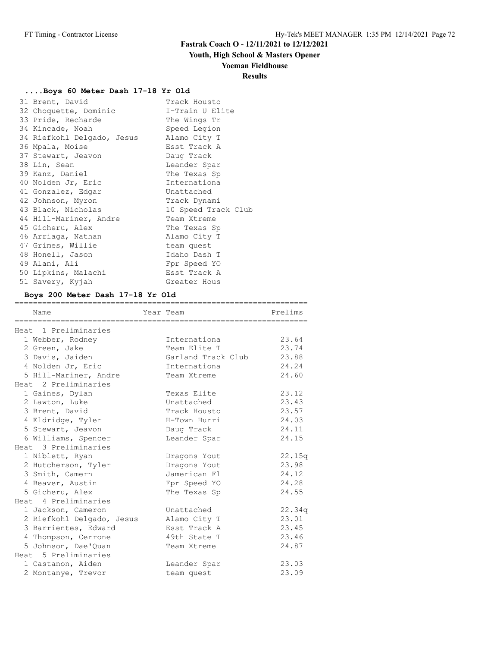## **Youth, High School & Masters Opener**

### **Yoeman Fieldhouse**

## **Results**

### **....Boys 60 Meter Dash 17-18 Yr Old**

| 31 Brent, David            | Track Housto        |
|----------------------------|---------------------|
| 32 Choquette, Dominic      | I-Train U Elite     |
| 33 Pride, Recharde         | The Wings Tr        |
| 34 Kincade, Noah           | Speed Legion        |
| 34 Riefkohl Delgado, Jesus | Alamo City T        |
| 36 Mpala, Moise            | Esst Track A        |
| 37 Stewart, Jeavon         | Daug Track          |
| 38 Lin, Sean               | Leander Spar        |
| 39 Kanz, Daniel            | The Texas Sp        |
| 40 Nolden Jr, Eric         | Internationa        |
| 41 Gonzalez, Edgar         | Unattached          |
| 42 Johnson, Myron          | Track Dynami        |
| 43 Black, Nicholas         | 10 Speed Track Club |
| 44 Hill-Mariner, Andre     | Team Xtreme         |
| 45 Gicheru, Alex           | The Texas Sp        |
| 46 Arriaga, Nathan         | Alamo City T        |
| 47 Grimes, Willie          | team quest          |
| 48 Honell, Jason           | Idaho Dash T        |
| 49 Alani, Ali              | Fpr Speed YO        |
| 50 Lipkins, Malachi        | Esst Track A        |
| 51 Savery, Kyjah           | Greater Hous        |

## **Boys 200 Meter Dash 17-18 Yr Old**

| Name                      | Year Team          | Prelims |
|---------------------------|--------------------|---------|
|                           |                    |         |
| Heat 1 Preliminaries      |                    |         |
| 1 Webber, Rodney          | Internationa       | 23.64   |
| 2 Green, Jake             | Team Elite T       | 23.74   |
| 3 Davis, Jaiden           | Garland Track Club | 23.88   |
| 4 Nolden Jr, Eric         | Internationa       | 24.24   |
| 5 Hill-Mariner, Andre     | Team Xtreme        | 24.60   |
| Heat 2 Preliminaries      |                    |         |
| 1 Gaines, Dylan           | Texas Elite        | 23.12   |
| 2 Lawton, Luke            | Unattached         | 23.43   |
| 3 Brent, David            | Track Housto       | 23.57   |
| 4 Eldridge, Tyler         | H-Town Hurri       | 24.03   |
| 5 Stewart, Jeavon         | Daug Track         | 24.11   |
| 6 Williams, Spencer       | Leander Spar       | 24.15   |
| Heat 3 Preliminaries      |                    |         |
| 1 Niblett, Ryan           | Dragons Yout       | 22.15q  |
| 2 Hutcherson, Tyler       | Dragons Yout       | 23.98   |
| 3 Smith, Camern           | Jamerican Fl       | 24.12   |
| 4 Beaver, Austin          | Fpr Speed YO       | 24.28   |
| 5 Gicheru, Alex           | The Texas Sp       | 24.55   |
| Heat 4 Preliminaries      |                    |         |
| 1 Jackson, Cameron        | Unattached         | 22.34q  |
| 2 Riefkohl Delgado, Jesus | Alamo City T       | 23.01   |
| 3 Barrientes, Edward      | Esst Track A       | 23.45   |
| 4 Thompson, Cerrone       | 49th State T       | 23.46   |
| 5 Johnson, Dae'Quan       | Team Xtreme        | 24.87   |
| Heat 5 Preliminaries      |                    |         |
| 1 Castanon, Aiden         | Leander Spar       | 23.03   |
| 2 Montanye, Trevor        | team quest         | 23.09   |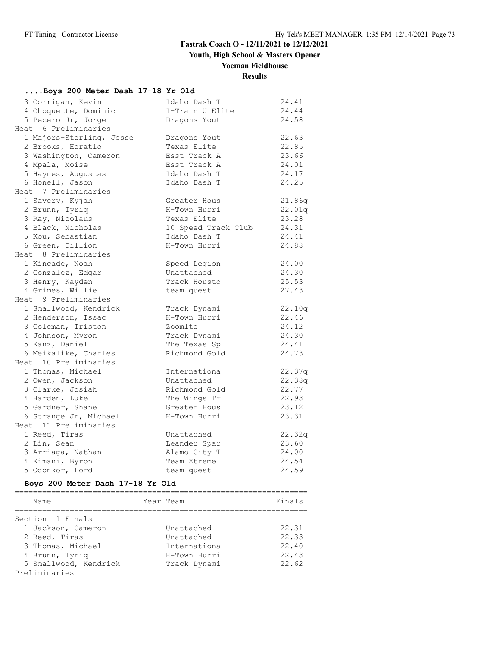**Youth, High School & Masters Opener**

## **Yoeman Fieldhouse**

## **Results**

#### **....Boys 200 Meter Dash 17-18 Yr Old**

| 3 Corrigan, Kevin        | Idaho Dash T        | 24.41  |
|--------------------------|---------------------|--------|
| 4 Choquette, Dominic     | I-Train U Elite     | 24.44  |
| 5 Pecero Jr, Jorge       | Dragons Yout        | 24.58  |
| Heat 6 Preliminaries     |                     |        |
| 1 Majors-Sterling, Jesse | Dragons Yout        | 22.63  |
| 2 Brooks, Horatio        | Texas Elite         | 22.85  |
| 3 Washington, Cameron    | Esst Track A        | 23.66  |
| 4 Mpala, Moise           | Esst Track A        | 24.01  |
| 5 Haynes, Augustas       | Idaho Dash T        | 24.17  |
| 6 Honell, Jason          | Idaho Dash T        | 24.25  |
| Heat 7 Preliminaries     |                     |        |
| 1 Savery, Kyjah          | Greater Hous        | 21.86q |
| 2 Brunn, Tyriq           | H-Town Hurri        | 22.01q |
| 3 Ray, Nicolaus          | Texas Elite         | 23.28  |
| 4 Black, Nicholas        | 10 Speed Track Club | 24.31  |
| 5 Kou, Sebastian         | Idaho Dash T        | 24.41  |
| 6 Green, Dillion         | H-Town Hurri        | 24.88  |
| Heat 8 Preliminaries     |                     |        |
| 1 Kincade, Noah          | Speed Legion        | 24.00  |
| 2 Gonzalez, Edgar        | Unattached          | 24.30  |
| 3 Henry, Kayden          | Track Housto        | 25.53  |
| 4 Grimes, Willie         | team quest          | 27.43  |
| Heat 9 Preliminaries     |                     |        |
| 1 Smallwood, Kendrick    | Track Dynami        | 22.10q |
| 2 Henderson, Issac       | H-Town Hurri        | 22.46  |
| 3 Coleman, Triston       | Zoomlte             | 24.12  |
| 4 Johnson, Myron         | Track Dynami        | 24.30  |
| 5 Kanz, Daniel           | The Texas Sp        | 24.41  |
| 6 Meikalike, Charles     | Richmond Gold       | 24.73  |
| Heat 10 Preliminaries    |                     |        |
| 1 Thomas, Michael        | Internationa        | 22.37q |
| 2 Owen, Jackson          | Unattached          | 22.38q |
| 3 Clarke, Josiah         | Richmond Gold       | 22.77  |
| 4 Harden, Luke           | The Wings Tr        | 22.93  |
| 5 Gardner, Shane         | Greater Hous        | 23.12  |
| 6 Strange Jr, Michael    | H-Town Hurri        | 23.31  |
| Heat 11 Preliminaries    |                     |        |
| 1 Reed, Tiras            | Unattached          | 22.32q |
| 2 Lin, Sean              | Leander Spar        | 23.60  |
| 3 Arriaga, Nathan        | Alamo City T        | 24.00  |
| 4 Kimani, Byron          | Team Xtreme         | 24.54  |
| 5 Odonkor, Lord          | team quest          | 24.59  |

#### **Boys 200 Meter Dash 17-18 Yr Old**

| Name                  | Year Team    | Finals |
|-----------------------|--------------|--------|
| Section 1 Finals      |              |        |
| 1 Jackson, Cameron    | Unattached   | 22.31  |
| 2 Reed, Tiras         | Unattached   | 22.33  |
| 3 Thomas, Michael     | Internationa | 22.40  |
| 4 Brunn, Tyriq        | H-Town Hurri | 22.43  |
| 5 Smallwood, Kendrick | Track Dynami | 22.62  |
| Preliminaries         |              |        |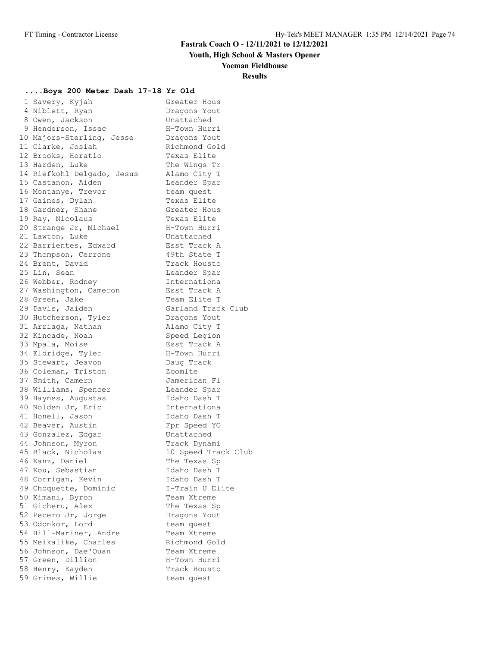**Youth, High School & Masters Opener**

#### **Yoeman Fieldhouse**

## **Results**

#### **....Boys 200 Meter Dash 17-18 Yr Old**

| 1 Savery, Kyjah                      | Greater Hous              |
|--------------------------------------|---------------------------|
| 4 Niblett, Ryan                      | Dragons Yout              |
| 8 Owen, Jackson                      | Unattached                |
| 9 Henderson, Issac                   | H-Town Hurri              |
| 10 Majors-Sterling, Jesse            | Dragons Yout              |
| 11 Clarke, Josiah                    | Richmond Gold             |
| 12 Brooks, Horatio                   | Texas Elite               |
| 13 Harden, Luke                      | The Wings Tr              |
| 14 Riefkohl Delgado, Jesus           | Alamo City T              |
| 15 Castanon, Aiden                   | Leander Spar              |
| 16 Montanye, Trevor                  | team quest                |
| 17 Gaines, Dylan                     | Texas Elite               |
| 18 Gardner, Shane                    | Greater Hous              |
| 19 Ray, Nicolaus                     | Texas Elite               |
| 20 Strange Jr, Michael               | H-Town Hurri              |
| 21 Lawton, Luke                      | Unattached                |
| 22 Barrientes, Edward                | Esst Track A              |
| 23 Thompson, Cerrone                 | 49th State T              |
| 24 Brent, David                      | Track Housto              |
| 25 Lin, Sean                         | Leander Spar              |
| 26 Webber, Rodney                    | Internationa              |
| 27 Washington, Cameron               | Esst Track A              |
| 28 Green, Jake                       | Team Elite T              |
| 29 Davis, Jaiden                     | Garland Track Club        |
| 30 Hutcherson, Tyler                 | Dragons Yout              |
| 31 Arriaga, Nathan                   | Alamo City T              |
| 32 Kincade, Noah                     | Speed Legion              |
| 33 Mpala, Moise                      | Esst Track A              |
| 34 Eldridge, Tyler                   | H-Town Hurri              |
| 35 Stewart, Jeavon                   | Daug Track                |
| 36 Coleman, Triston                  | Zoomlte                   |
| 37 Smith, Camern                     | Jamerican Fl              |
| 38 Williams, Spencer                 | Leander Spar              |
| 39 Haynes, Augustas                  | Idaho Dash T              |
| 40 Nolden Jr, Eric                   | Internationa              |
| 41 Honell, Jason                     | Idaho Dash T              |
| 42 Beaver, Austin                    | Fpr Speed YO              |
| 43 Gonzalez, Edgar                   | Unattached                |
| 44 Johnson, Myron                    | Track Dynami              |
| 45 Black, Nicholas                   | 10 Speed Track Club       |
| 46 Kanz, Daniel                      | The Texas Sp              |
| 47 Kou, Sebastian                    | Idaho Dash T              |
| 48 Corrigan, Kevin                   | Idaho Dash T              |
| 49 Choquette, Dominic                | I-Train U Elite           |
|                                      | Team Xtreme               |
| 50 Kimani, Byron<br>51 Gicheru, Alex | The Texas Sp              |
| 52 Pecero Jr, Jorge                  | Dragons Yout              |
| 53 Odonkor, Lord                     |                           |
| 54 Hill-Mariner, Andre               | team quest<br>Team Xtreme |
| 55 Meikalike, Charles                | Richmond Gold             |
| 56 Johnson, Dae'Quan                 | Team Xtreme               |
| 57 Green, Dillion                    | H-Town Hurri              |
| 58 Henry, Kayden                     | Track Housto              |
|                                      |                           |
| 59 Grimes, Willie                    | team quest                |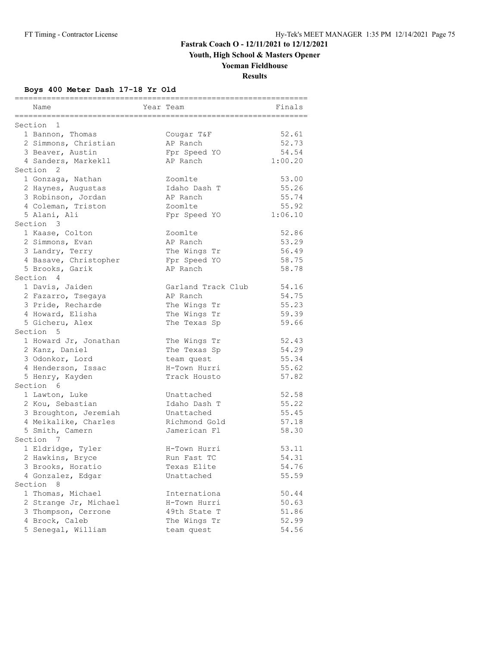**Youth, High School & Masters Opener**

## **Yoeman Fieldhouse**

**Results**

#### **Boys 400 Meter Dash 17-18 Yr Old**

| Name<br>Year Team<br>===========                     | Finals         |
|------------------------------------------------------|----------------|
| Section 1                                            |                |
| 1 Bannon, Thomas<br>Cougar T&F                       | 52.61          |
| 2 Simmons, Christian<br>AP Ranch                     | 52.73          |
| 3 Beaver, Austin<br>Fpr Speed YO                     | 54.54          |
| 4 Sanders, Markekll<br>AP Ranch                      | 1:00.20        |
| Section <sub>2</sub>                                 |                |
| 1 Gonzaga, Nathan<br>Zoomlte                         | 53.00          |
| Idaho Dash T<br>2 Haynes, Augustas                   | 55.26          |
| 3 Robinson, Jordan<br>AP Ranch                       | 55.74          |
| 4 Coleman, Triston<br>Zoomlte                        | 55.92          |
| 5 Alani, Ali<br>Fpr Speed YO                         | 1:06.10        |
| Section 3                                            |                |
| 1 Kaase, Colton<br>Zoomlte                           | 52.86          |
| 2 Simmons, Evan<br>AP Ranch                          | 53.29          |
| 3 Landry, Terry<br>The Wings Tr                      | 56.49          |
| 4 Basave, Christopher<br>Fpr Speed YO                | 58.75          |
| 5 Brooks, Garik<br>AP Ranch                          | 58.78          |
| Section 4                                            |                |
| 1 Davis, Jaiden<br>Garland Track Club                | 54.16          |
| AP Ranch<br>2 Fazarro, Tsegaya                       | 54.75          |
| 3 Pride, Recharde<br>The Wings Tr                    | 55.23          |
| 4 Howard, Elisha<br>The Wings Tr                     | 59.39          |
| 5 Gicheru, Alex<br>The Texas Sp                      | 59.66          |
| Section 5                                            |                |
| 1 Howard Jr, Jonathan<br>The Wings Tr                | 52.43          |
| 2 Kanz, Daniel<br>The Texas Sp                       | 54.29          |
| 3 Odonkor, Lord<br>team quest                        | 55.34          |
| 4 Henderson, Issac<br>H-Town Hurri                   | 55.62          |
| Track Housto<br>5 Henry, Kayden                      | 57.82          |
| Section 6                                            |                |
| 1 Lawton, Luke<br>Unattached                         | 52.58          |
| 2 Kou, Sebastian<br>Idaho Dash T                     | 55.22          |
| 3 Broughton, Jeremiah<br>Unattached                  | 55.45          |
| 4 Meikalike, Charles<br>Richmond Gold                | 57.18          |
| 5 Smith, Camern<br>Jamerican Fl                      | 58.30          |
| Section 7                                            |                |
| 1 Eldridge, Tyler<br>H-Town Hurri<br>Run Fast TC     | 53.11<br>54.31 |
| 2 Hawkins, Bryce<br>3 Brooks, Horatio<br>Texas Elite | 54.76          |
| 4 Gonzalez, Edgar<br>Unattached                      | 55.59          |
| Section<br>8                                         |                |
| 1 Thomas, Michael<br>Internationa                    | 50.44          |
| 2 Strange Jr, Michael<br>H-Town Hurri                | 50.63          |
| 3 Thompson, Cerrone<br>49th State T                  | 51.86          |
| 4 Brock, Caleb<br>The Wings Tr                       | 52.99          |
| 5 Senegal, William<br>team quest                     | 54.56          |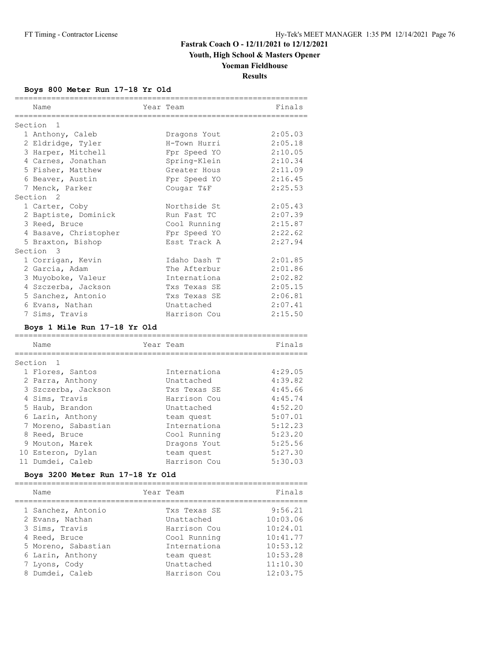## **Youth, High School & Masters Opener**

## **Yoeman Fieldhouse**

**Results**

#### **Boys 800 Meter Run 17-18 Yr Old**

|                      | Name                  | Year Team    | Finals  |
|----------------------|-----------------------|--------------|---------|
|                      |                       |              |         |
| Section 1            |                       |              |         |
|                      | 1 Anthony, Caleb      | Dragons Yout | 2:05.03 |
|                      | 2 Eldridge, Tyler     | H-Town Hurri | 2:05.18 |
|                      | 3 Harper, Mitchell    | Fpr Speed YO | 2:10.05 |
|                      | 4 Carnes, Jonathan    | Spring-Klein | 2:10.34 |
|                      | 5 Fisher, Matthew     | Greater Hous | 2:11.09 |
|                      | 6 Beaver, Austin      | Fpr Speed YO | 2:16.45 |
|                      | 7 Menck, Parker       | Cougar T&F   | 2:25.53 |
| Section <sub>2</sub> |                       |              |         |
|                      | 1 Carter, Coby        | Northside St | 2:05.43 |
|                      | 2 Baptiste, Dominick  | Run Fast TC  | 2:07.39 |
|                      | 3 Reed, Bruce         | Cool Running | 2:15.87 |
|                      | 4 Basave, Christopher | Fpr Speed YO | 2:22.62 |
|                      | 5 Braxton, Bishop     | Esst Track A | 2:27.94 |
| Section 3            |                       |              |         |
|                      | 1 Corrigan, Kevin     | Idaho Dash T | 2:01.85 |
|                      | 2 Garcia, Adam        | The Afterbur | 2:01.86 |
|                      | 3 Muyoboke, Valeur    | Internationa | 2:02.82 |
|                      | 4 Szczerba, Jackson   | Txs Texas SE | 2:05.15 |
|                      | 5 Sanchez, Antonio    | Txs Texas SE | 2:06.81 |
|                      | 6 Evans, Nathan       | Unattached   | 2:07.41 |
|                      | 7 Sims, Travis        | Harrison Cou | 2:15.50 |

#### **Boys 1 Mile Run 17-18 Yr Old**

| Name                | Year Team    | Finals  |
|---------------------|--------------|---------|
|                     |              |         |
| Section 1           |              |         |
| 1 Flores, Santos    | Internationa | 4:29.05 |
| 2 Parra, Anthony    | Unattached   | 4:39.82 |
| 3 Szczerba, Jackson | Txs Texas SE | 4:45.66 |
| 4 Sims, Travis      | Harrison Cou | 4:45.74 |
| 5 Haub, Brandon     | Unattached   | 4:52.20 |
| 6 Larin, Anthony    | team quest   | 5:07.01 |
| 7 Moreno, Sabastian | Internationa | 5:12.23 |
| 8 Reed, Bruce       | Cool Running | 5:23.20 |
| 9 Mouton, Marek     | Dragons Yout | 5:25.56 |
| 10 Esteron, Dylan   | team quest   | 5:27.30 |
| 11 Dumdei, Caleb    | Harrison Cou | 5:30.03 |
|                     |              |         |

#### **Boys 3200 Meter Run 17-18 Yr Old**

| Year Team<br>Name                   | Finals   |
|-------------------------------------|----------|
| 1 Sanchez, Antonio<br>Txs Texas SE  | 9:56.21  |
| 2 Evans, Nathan<br>Unattached       | 10:03.06 |
| Harrison Cou<br>3 Sims, Travis      | 10:24.01 |
| Cool Running<br>4 Reed, Bruce       | 10:41.77 |
| 5 Moreno, Sabastian<br>Internationa | 10:53.12 |
| 6 Larin, Anthony<br>team quest      | 10:53.28 |
| Unattached<br>7 Lyons, Cody         | 11:10.30 |
| 8 Dumdei, Caleb<br>Harrison Cou     | 12:03.75 |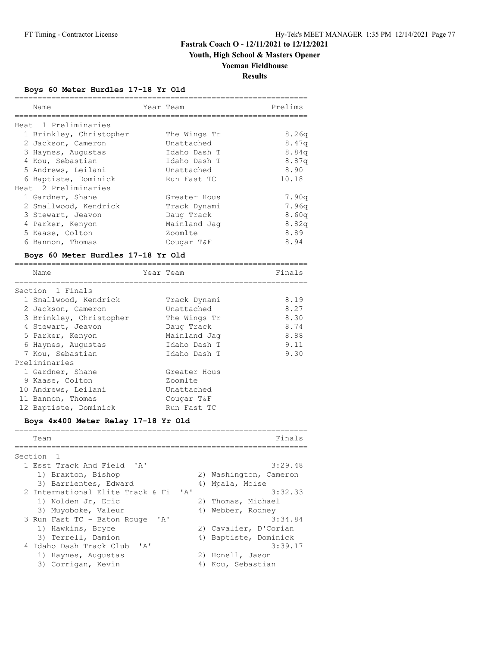## **Youth, High School & Masters Opener**

## **Yoeman Fieldhouse**

**Results**

#### **Boys 60 Meter Hurdles 17-18 Yr Old**

| Name                                                                                                                                                                                                                                                                                                                                                                     | Year Team   |                                                                                                                                                                                |                                                                                                     | Prelims                                                                                                              |
|--------------------------------------------------------------------------------------------------------------------------------------------------------------------------------------------------------------------------------------------------------------------------------------------------------------------------------------------------------------------------|-------------|--------------------------------------------------------------------------------------------------------------------------------------------------------------------------------|-----------------------------------------------------------------------------------------------------|----------------------------------------------------------------------------------------------------------------------|
| Heat 1 Preliminaries<br>1 Brinkley, Christopher<br>2 Jackson, Cameron<br>3 Haynes, Augustas<br>4 Kou, Sebastian<br>5 Andrews, Leilani<br>6 Baptiste, Dominick                                                                                                                                                                                                            |             | The Wings Tr<br>Unattached<br>Idaho Dash T<br>Idaho Dash T<br>Unattached<br>Run Fast TC                                                                                        |                                                                                                     | 8.26q<br>8.47q<br>8.84q<br>8.87q<br>8.90<br>10.18                                                                    |
| Heat 2 Preliminaries<br>1 Gardner, Shane<br>2 Smallwood, Kendrick<br>3 Stewart, Jeavon<br>4 Parker, Kenyon<br>5 Kaase, Colton<br>6 Bannon, Thomas<br>Boys 60 Meter Hurdles 17-18 Yr Old                                                                                                                                                                                  |             | Greater Hous<br>Track Dynami<br>Daug Track<br>Mainland Jaq<br>Zoomlte<br>Cougar T&F                                                                                            |                                                                                                     | 7.90q<br>7.96q<br>8.60q<br>8.82q<br>8.89<br>8.94                                                                     |
| Name                                                                                                                                                                                                                                                                                                                                                                     |             | Year Team                                                                                                                                                                      |                                                                                                     | Finals                                                                                                               |
| ===================<br>Section 1 Finals<br>1 Smallwood, Kendrick<br>2 Jackson, Cameron<br>3 Brinkley, Christopher<br>4 Stewart, Jeavon<br>5 Parker, Kenyon<br>6 Haynes, Augustas<br>7 Kou, Sebastian<br>Preliminaries<br>1 Gardner, Shane<br>9 Kaase, Colton<br>10 Andrews, Leilani<br>11 Bannon, Thomas<br>12 Baptiste, Dominick<br>Boys 4x400 Meter Relay 17-18 Yr Old |             | Track Dynami<br>Unattached<br>The Wings Tr<br>Daug Track<br>Mainland Jag<br>Idaho Dash T<br>Idaho Dash T<br>Greater Hous<br>Zoomlte<br>Unattached<br>Cougar T&F<br>Run Fast TC | ==================                                                                                  | 8.19<br>8.27<br>8.30<br>8.74<br>8.88<br>9.11<br>9.30                                                                 |
| Team<br>============                                                                                                                                                                                                                                                                                                                                                     |             |                                                                                                                                                                                |                                                                                                     | Finals                                                                                                               |
| Section<br>1<br>1 Esst Track And Field<br>1) Braxton, Bishop<br>3) Barrientes, Edward<br>2 International Elite Track & Fi<br>1) Nolden Jr, Eric<br>3) Muyoboke, Valeur<br>3 Run Fast TC - Baton Rouge<br>1) Hawkins, Bryce<br>3) Terrell, Damion<br>4 Idaho Dash Track Club<br>1) Haynes, Augustas<br>3) Corrigan, Kevin                                                 | ' A'<br>'A' | 'A'<br>'A'                                                                                                                                                                     | 4) Mpala, Moise<br>2) Thomas, Michael<br>4) Webber, Rodney<br>2) Honell, Jason<br>4) Kou, Sebastian | 3:29.48<br>2) Washington, Cameron<br>3:32.33<br>3:34.84<br>2) Cavalier, D'Corian<br>4) Baptiste, Dominick<br>3:39.17 |

================================================================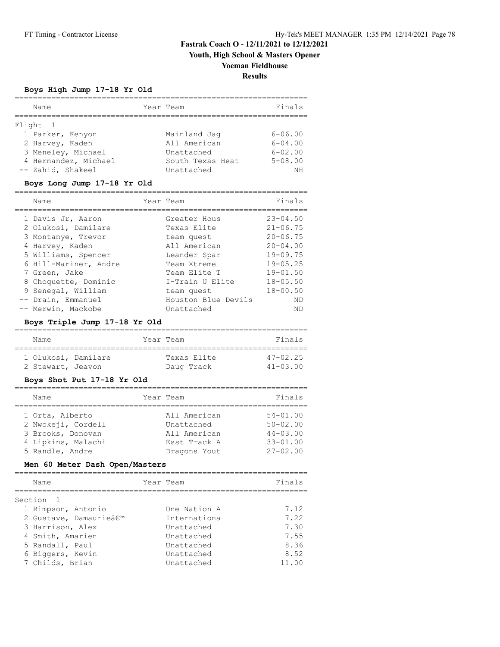**Youth, High School & Masters Opener**

## **Yoeman Fieldhouse**

**Results**

#### **Boys High Jump 17-18 Yr Old**

| Name                 | Year Team        | Finals      |
|----------------------|------------------|-------------|
|                      |                  |             |
| Flight 1             |                  |             |
| 1 Parker, Kenyon     | Mainland Jaq     | $6 - 06.00$ |
| 2 Harvey, Kaden      | All American     | $6 - 04.00$ |
| 3 Meneley, Michael   | Unattached       | $6 - 02.00$ |
| 4 Hernandez, Michael | South Texas Heat | $5 - 08.00$ |
| -- Zahid, Shakeel    | Unattached       | ΝH          |

#### **Boys Long Jump 17-18 Yr Old**

| Name                  | Year Team           | Finals       |
|-----------------------|---------------------|--------------|
| 1 Davis Jr, Aaron     | Greater Hous        | $23 - 04.50$ |
| 2 Olukosi, Damilare   | Texas Elite         | $21 - 06.75$ |
| 3 Montanye, Trevor    | team quest          | $20 - 06.75$ |
| 4 Harvey, Kaden       | All American        | $20 - 04.00$ |
| 5 Williams, Spencer   | Leander Spar        | $19 - 09.75$ |
| 6 Hill-Mariner, Andre | Team Xtreme         | $19 - 05.25$ |
| 7 Green, Jake         | Team Elite T        | $19 - 01.50$ |
| 8 Choquette, Dominic  | I-Train U Elite     | $18 - 05.50$ |
| 9 Senegal, William    | team quest          | $18 - 00.50$ |
| -- Drain, Emmanuel    | Houston Blue Devils | ND           |
| -- Merwin, Mackobe    | Unattached          | ΝD           |

#### **Boys Triple Jump 17-18 Yr Old**

| Name                | Year Team   | Finals          |
|---------------------|-------------|-----------------|
|                     |             |                 |
| 1 Olukosi, Damilare | Texas Elite | $47 - 02.25$    |
| 2 Stewart, Jeavon   | Daug Track  | $41 - 0.3$ , 00 |

#### **Boys Shot Put 17-18 Yr Old**

| Name               | Year Team    | Finals       |
|--------------------|--------------|--------------|
| 1 Orta, Alberto    | All American | $54 - 01.00$ |
| 2 Nwokeji, Cordell | Unattached   | $50 - 02.00$ |
| 3 Brooks, Donovan  | All American | $44 - 03.00$ |
| 4 Lipkins, Malachi | Esst Track A | $33 - 01.00$ |
| 5 Randle, Andre    | Dragons Yout | $27 - 02.00$ |

#### **Men 60 Meter Dash Open/Masters**

| Name      |                      | Year Team    | Finals |
|-----------|----------------------|--------------|--------|
| Section 1 |                      |              |        |
|           | 1 Rimpson, Antonio   | One Nation A | 7.12   |
|           | 2 Gustave, Damaurie' | Internationa | 7.22   |
|           | 3 Harrison, Alex     | Unattached   | 7.30   |
|           | 4 Smith, Amarien     | Unattached   | 7.55   |
|           | 5 Randall, Paul      | Unattached   | 8.36   |
|           | 6 Biggers, Kevin     | Unattached   | 8.52   |
|           | 7 Childs, Brian      | Unattached   | 11.00  |
|           |                      |              |        |